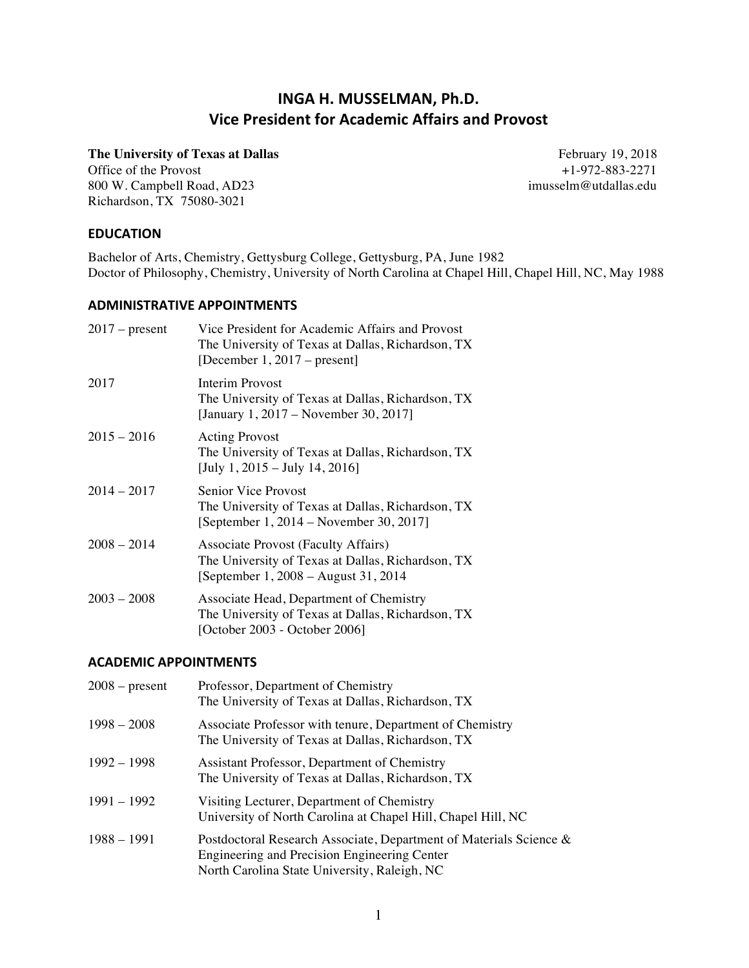# **INGA H. MUSSELMAN, Ph.D. Vice President for Academic Affairs and Provost**

Office of the Provost 800 W. Campbell Road, AD23 imusselm@utdallas.edu Richardson, TX 75080-3021

**The University of Texas at Dallas** February 19, 2018<br>Office of the Provost  $+1-972-883-2271$ 

### **EDUCATION**

Bachelor of Arts, Chemistry, Gettysburg College, Gettysburg, PA, June 1982 Doctor of Philosophy, Chemistry, University of North Carolina at Chapel Hill, Chapel Hill, NC, May 1988

## **ADMINISTRATIVE APPOINTMENTS**

| $2017$ – present | Vice President for Academic Affairs and Provost<br>The University of Texas at Dallas, Richardson, TX<br>[December $1,2017$ – present]    |
|------------------|------------------------------------------------------------------------------------------------------------------------------------------|
| 2017             | Interim Provost<br>The University of Texas at Dallas, Richardson, TX<br>[January 1, 2017 – November 30, 2017]                            |
| $2015 - 2016$    | <b>Acting Provost</b><br>The University of Texas at Dallas, Richardson, TX<br>[July 1, 2015 – July 14, 2016]                             |
| $2014 - 2017$    | <b>Senior Vice Provost</b><br>The University of Texas at Dallas, Richardson, TX<br>[September $1, 2014 -$ November 30, 2017]             |
| $2008 - 2014$    | <b>Associate Provost (Faculty Affairs)</b><br>The University of Texas at Dallas, Richardson, TX<br>[September 1, 2008 – August 31, 2014] |
| $2003 - 2008$    | Associate Head, Department of Chemistry<br>The University of Texas at Dallas, Richardson, TX<br>[October 2003 - October 2006]            |

## **ACADEMIC APPOINTMENTS**

| $2008 - present$ | Professor, Department of Chemistry<br>The University of Texas at Dallas, Richardson, TX                                                                            |
|------------------|--------------------------------------------------------------------------------------------------------------------------------------------------------------------|
| $1998 - 2008$    | Associate Professor with tenure, Department of Chemistry<br>The University of Texas at Dallas, Richardson, TX                                                      |
| $1992 - 1998$    | Assistant Professor, Department of Chemistry<br>The University of Texas at Dallas, Richardson, TX                                                                  |
| 1991 – 1992      | Visiting Lecturer, Department of Chemistry<br>University of North Carolina at Chapel Hill, Chapel Hill, NC                                                         |
| $1988 - 1991$    | Postdoctoral Research Associate, Department of Materials Science &<br>Engineering and Precision Engineering Center<br>North Carolina State University, Raleigh, NC |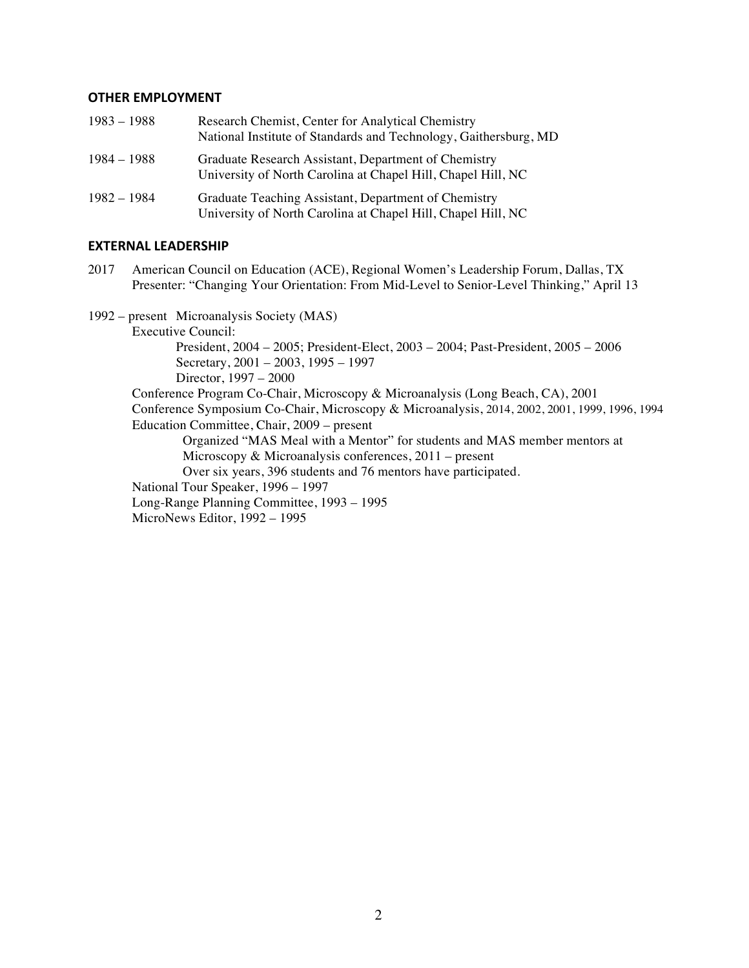#### **OTHER EMPLOYMENT**

| $1983 - 1988$ | Research Chemist, Center for Analytical Chemistry<br>National Institute of Standards and Technology, Gaithersburg, MD |
|---------------|-----------------------------------------------------------------------------------------------------------------------|
| 1984 – 1988   | Graduate Research Assistant, Department of Chemistry<br>University of North Carolina at Chapel Hill, Chapel Hill, NC  |
| 1982 – 1984   | Graduate Teaching Assistant, Department of Chemistry<br>University of North Carolina at Chapel Hill, Chapel Hill, NC  |

#### **EXTERNAL LEADERSHIP**

2017 American Council on Education (ACE), Regional Women's Leadership Forum, Dallas, TX Presenter: "Changing Your Orientation: From Mid-Level to Senior-Level Thinking," April 13

1992 – present Microanalysis Society (MAS) Executive Council: President, 2004 – 2005; President-Elect, 2003 – 2004; Past-President, 2005 – 2006 Secretary, 2001 – 2003, 1995 – 1997 Director, 1997 – 2000 Conference Program Co-Chair, Microscopy & Microanalysis (Long Beach, CA), 2001 Conference Symposium Co-Chair, Microscopy & Microanalysis, 2014, 2002, 2001, 1999, 1996, 1994 Education Committee, Chair, 2009 – present Organized "MAS Meal with a Mentor" for students and MAS member mentors at Microscopy & Microanalysis conferences, 2011 – present Over six years, 396 students and 76 mentors have participated. National Tour Speaker, 1996 – 1997 Long-Range Planning Committee, 1993 – 1995 MicroNews Editor, 1992 – 1995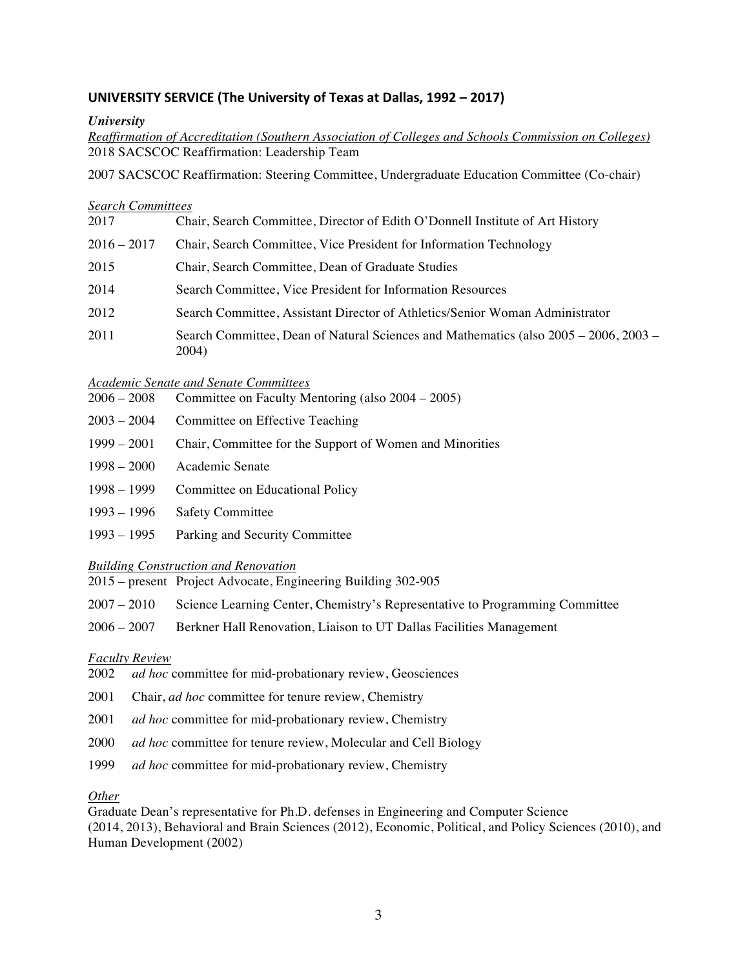## **UNIVERSITY SERVICE (The University of Texas at Dallas, 1992 – 2017)**

### *University*

*Reaffirmation of Accreditation (Southern Association of Colleges and Schools Commission on Colleges)* 2018 SACSCOC Reaffirmation: Leadership Team

2007 SACSCOC Reaffirmation: Steering Committee, Undergraduate Education Committee (Co-chair)

#### *Search Committees*

| $2016 - 2017$<br>Chair, Search Committee, Vice President for Information Technology<br>2015<br>Chair, Search Committee, Dean of Graduate Studies<br>2014<br>Search Committee, Vice President for Information Resources<br>2012<br>Search Committee, Assistant Director of Athletics/Senior Woman Administrator<br>2011<br>2004) | 2017 | Chair, Search Committee, Director of Edith O'Donnell Institute of Art History        |
|---------------------------------------------------------------------------------------------------------------------------------------------------------------------------------------------------------------------------------------------------------------------------------------------------------------------------------|------|--------------------------------------------------------------------------------------|
|                                                                                                                                                                                                                                                                                                                                 |      |                                                                                      |
|                                                                                                                                                                                                                                                                                                                                 |      |                                                                                      |
|                                                                                                                                                                                                                                                                                                                                 |      |                                                                                      |
|                                                                                                                                                                                                                                                                                                                                 |      |                                                                                      |
|                                                                                                                                                                                                                                                                                                                                 |      | Search Committee, Dean of Natural Sciences and Mathematics (also 2005 – 2006, 2003 – |

#### *Academic Senate and Senate Committees*

2006 – 2008 Committee on Faculty Mentoring (also 2004 – 2005)

- 2003 2004 Committee on Effective Teaching
- 1999 2001 Chair, Committee for the Support of Women and Minorities
- 1998 2000 Academic Senate
- 1998 1999 Committee on Educational Policy
- 1993 1996 Safety Committee
- 1993 1995 Parking and Security Committee

### *Building Construction and Renovation*

- 2015 present Project Advocate, Engineering Building 302-905
- 2007 2010 Science Learning Center, Chemistry's Representative to Programming Committee
- 2006 2007 Berkner Hall Renovation, Liaison to UT Dallas Facilities Management

### *Faculty Review*

- 2002 *ad hoc* committee for mid-probationary review, Geosciences
- 2001 Chair, *ad hoc* committee for tenure review, Chemistry
- 2001 *ad hoc* committee for mid-probationary review, Chemistry
- 2000 *ad hoc* committee for tenure review, Molecular and Cell Biology
- 1999 *ad hoc* committee for mid-probationary review, Chemistry

#### *Other*

Graduate Dean's representative for Ph.D. defenses in Engineering and Computer Science (2014, 2013), Behavioral and Brain Sciences (2012), Economic, Political, and Policy Sciences (2010), and Human Development (2002)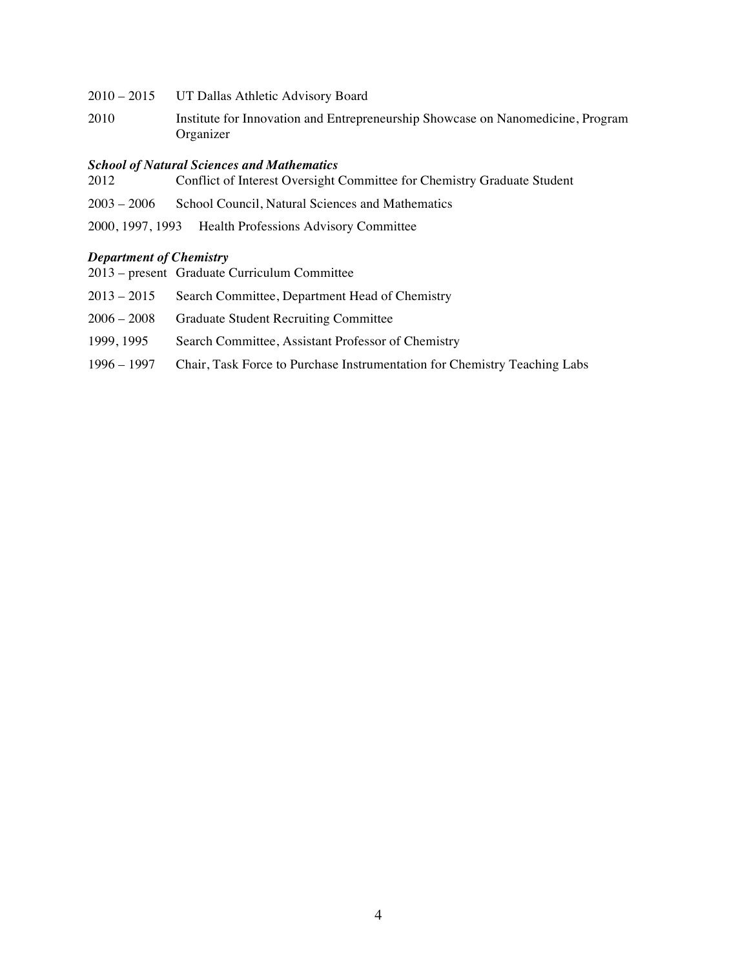| 2010 – 2015 UT Dallas Athletic Advisory Board |  |  |  |  |
|-----------------------------------------------|--|--|--|--|
|-----------------------------------------------|--|--|--|--|

2010 Institute for Innovation and Entrepreneurship Showcase on Nanomedicine, Program Organizer

#### *School of Natural Sciences and Mathematics*

- 2012 Conflict of Interest Oversight Committee for Chemistry Graduate Student 2003 – 2006 School Council, Natural Sciences and Mathematics
- 2000, 1997, 1993 Health Professions Advisory Committee

#### *Department of Chemistry*

- 2013 present Graduate Curriculum Committee
- 2013 2015 Search Committee, Department Head of Chemistry
- 2006 2008 Graduate Student Recruiting Committee
- 1999, 1995 Search Committee, Assistant Professor of Chemistry
- 1996 1997 Chair, Task Force to Purchase Instrumentation for Chemistry Teaching Labs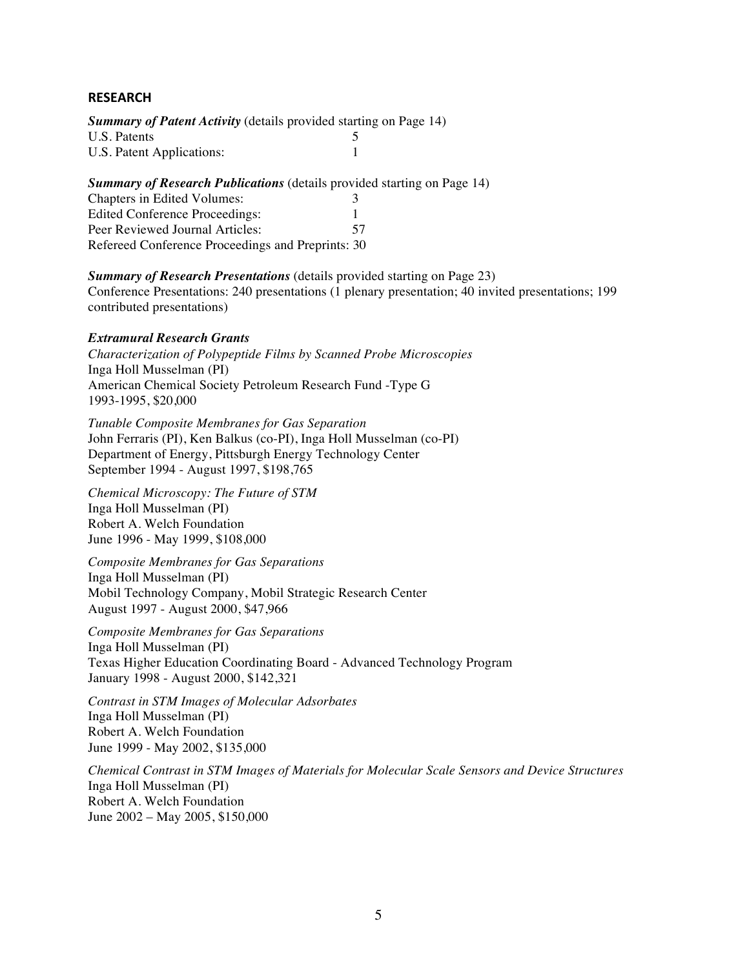### **RESEARCH**

*Summary of Patent Activity* (details provided starting on Page 14) U.S. Patents 5 U.S. Patent Applications: 1

*Summary of Research Publications* (details provided starting on Page 14)

| Chapters in Edited Volumes:                       |     |
|---------------------------------------------------|-----|
| Edited Conference Proceedings:                    |     |
| Peer Reviewed Journal Articles:                   | 57. |
| Refereed Conference Proceedings and Preprints: 30 |     |

#### *Summary of Research Presentations* (details provided starting on Page 23)

Conference Presentations: 240 presentations (1 plenary presentation; 40 invited presentations; 199 contributed presentations)

### *Extramural Research Grants*

*Characterization of Polypeptide Films by Scanned Probe Microscopies* Inga Holl Musselman (PI) American Chemical Society Petroleum Research Fund -Type G 1993-1995, \$20,000

*Tunable Composite Membranes for Gas Separation* John Ferraris (PI), Ken Balkus (co-PI), Inga Holl Musselman (co-PI) Department of Energy, Pittsburgh Energy Technology Center September 1994 - August 1997, \$198,765

*Chemical Microscopy: The Future of STM* Inga Holl Musselman (PI) Robert A. Welch Foundation June 1996 - May 1999, \$108,000

*Composite Membranes for Gas Separations* Inga Holl Musselman (PI) Mobil Technology Company, Mobil Strategic Research Center August 1997 - August 2000, \$47,966

*Composite Membranes for Gas Separations* Inga Holl Musselman (PI) Texas Higher Education Coordinating Board - Advanced Technology Program January 1998 - August 2000, \$142,321

*Contrast in STM Images of Molecular Adsorbates* Inga Holl Musselman (PI) Robert A. Welch Foundation June 1999 - May 2002, \$135,000

*Chemical Contrast in STM Images of Materials for Molecular Scale Sensors and Device Structures* Inga Holl Musselman (PI) Robert A. Welch Foundation June 2002 – May 2005, \$150,000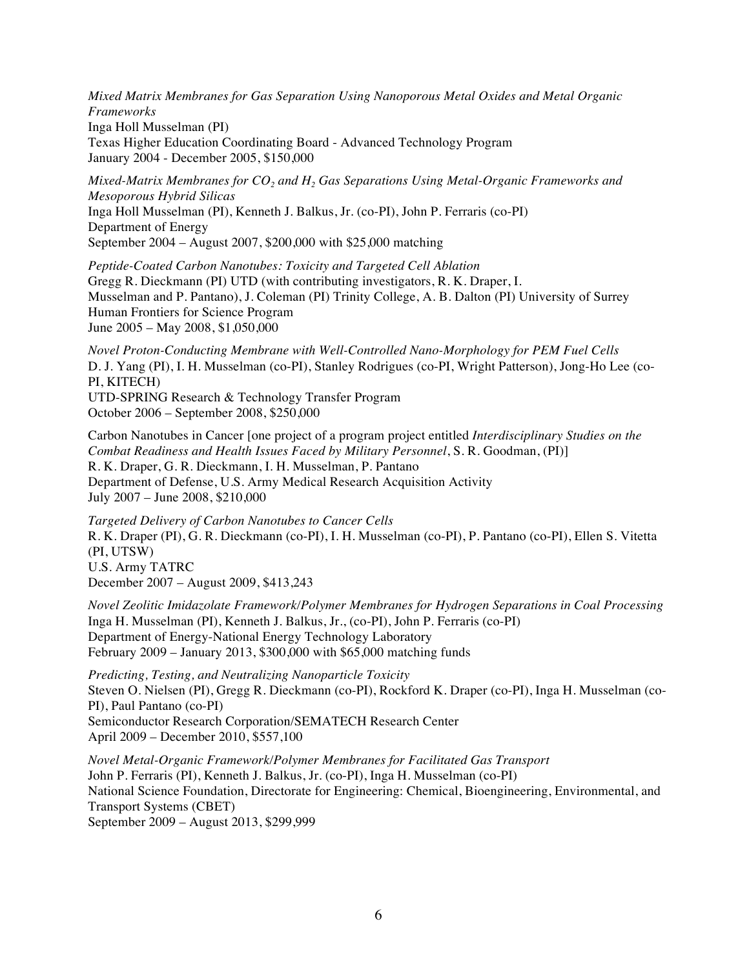*Mixed Matrix Membranes for Gas Separation Using Nanoporous Metal Oxides and Metal Organic Frameworks*

Inga Holl Musselman (PI)

Texas Higher Education Coordinating Board - Advanced Technology Program January 2004 - December 2005, \$150,000

*Mixed-Matrix Membranes for CO<sub>2</sub> and H<sub>2</sub> Gas Separations Using Metal-Organic Frameworks and Mesoporous Hybrid Silicas* Inga Holl Musselman (PI), Kenneth J. Balkus, Jr. (co-PI), John P. Ferraris (co-PI) Department of Energy September 2004 – August 2007, \$200,000 with \$25,000 matching

*Peptide-Coated Carbon Nanotubes: Toxicity and Targeted Cell Ablation* Gregg R. Dieckmann (PI) UTD (with contributing investigators, R. K. Draper, I. Musselman and P. Pantano), J. Coleman (PI) Trinity College, A. B. Dalton (PI) University of Surrey Human Frontiers for Science Program June 2005 – May 2008, \$1,050,000

*Novel Proton-Conducting Membrane with Well-Controlled Nano-Morphology for PEM Fuel Cells* D. J. Yang (PI), I. H. Musselman (co-PI), Stanley Rodrigues (co-PI, Wright Patterson), Jong-Ho Lee (co-PI, KITECH) UTD-SPRING Research & Technology Transfer Program

October 2006 – September 2008, \$250,000

Carbon Nanotubes in Cancer [one project of a program project entitled *Interdisciplinary Studies on the Combat Readiness and Health Issues Faced by Military Personnel*, S. R. Goodman, (PI)] R. K. Draper, G. R. Dieckmann, I. H. Musselman, P. Pantano Department of Defense, U.S. Army Medical Research Acquisition Activity July 2007 – June 2008, \$210,000

*Targeted Delivery of Carbon Nanotubes to Cancer Cells* R. K. Draper (PI), G. R. Dieckmann (co-PI), I. H. Musselman (co-PI), P. Pantano (co-PI), Ellen S. Vitetta (PI, UTSW) U.S. Army TATRC December 2007 – August 2009, \$413,243

*Novel Zeolitic Imidazolate Framework/Polymer Membranes for Hydrogen Separations in Coal Processing* Inga H. Musselman (PI), Kenneth J. Balkus, Jr., (co-PI), John P. Ferraris (co-PI) Department of Energy-National Energy Technology Laboratory February 2009 – January 2013, \$300,000 with \$65,000 matching funds

*Predicting, Testing, and Neutralizing Nanoparticle Toxicity* Steven O. Nielsen (PI), Gregg R. Dieckmann (co-PI), Rockford K. Draper (co-PI), Inga H. Musselman (co-PI), Paul Pantano (co-PI) Semiconductor Research Corporation/SEMATECH Research Center April 2009 – December 2010, \$557,100

*Novel Metal-Organic Framework/Polymer Membranes for Facilitated Gas Transport* John P. Ferraris (PI), Kenneth J. Balkus, Jr. (co-PI), Inga H. Musselman (co-PI) National Science Foundation, Directorate for Engineering: Chemical, Bioengineering, Environmental, and Transport Systems (CBET) September 2009 – August 2013, \$299,999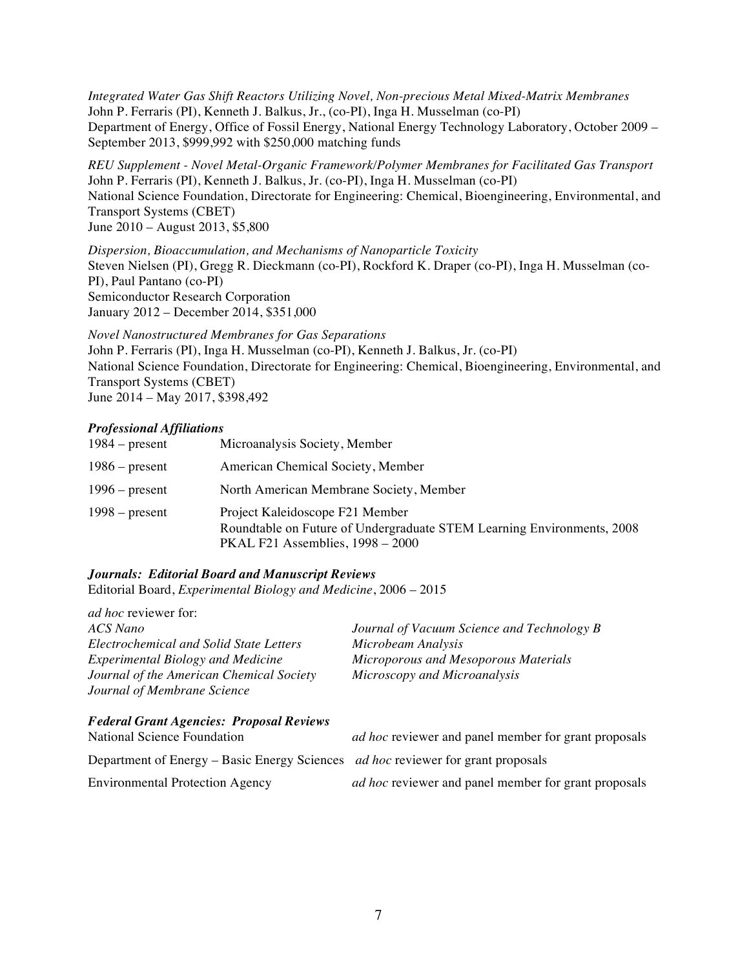*Integrated Water Gas Shift Reactors Utilizing Novel, Non-precious Metal Mixed-Matrix Membranes* John P. Ferraris (PI), Kenneth J. Balkus, Jr., (co-PI), Inga H. Musselman (co-PI) Department of Energy, Office of Fossil Energy, National Energy Technology Laboratory, October 2009 – September 2013, \$999,992 with \$250,000 matching funds

*REU Supplement - Novel Metal-Organic Framework/Polymer Membranes for Facilitated Gas Transport* John P. Ferraris (PI), Kenneth J. Balkus, Jr. (co-PI), Inga H. Musselman (co-PI) National Science Foundation, Directorate for Engineering: Chemical, Bioengineering, Environmental, and Transport Systems (CBET) June 2010 – August 2013, \$5,800

*Dispersion, Bioaccumulation, and Mechanisms of Nanoparticle Toxicity* Steven Nielsen (PI), Gregg R. Dieckmann (co-PI), Rockford K. Draper (co-PI), Inga H. Musselman (co-PI), Paul Pantano (co-PI) Semiconductor Research Corporation January 2012 – December 2014, \$351,000

*Novel Nanostructured Membranes for Gas Separations* John P. Ferraris (PI), Inga H. Musselman (co-PI), Kenneth J. Balkus, Jr. (co-PI) National Science Foundation, Directorate for Engineering: Chemical, Bioengineering, Environmental, and Transport Systems (CBET) June 2014 – May 2017, \$398,492

### *Professional Affiliations*

| $1984 - present$ | Microanalysis Society, Member                                                                                                                   |
|------------------|-------------------------------------------------------------------------------------------------------------------------------------------------|
| $1986$ – present | American Chemical Society, Member                                                                                                               |
| $1996$ – present | North American Membrane Society, Member                                                                                                         |
| $1998 - present$ | Project Kaleidoscope F21 Member<br>Roundtable on Future of Undergraduate STEM Learning Environments, 2008<br>PKAL F21 Assemblies, $1998 - 2000$ |

### *Journals: Editorial Board and Manuscript Reviews*

Editorial Board, *Experimental Biology and Medicine*, 2006 – 2015

| <i>ad hoc</i> reviewer for:                                                             |                                                             |
|-----------------------------------------------------------------------------------------|-------------------------------------------------------------|
| ACS Nano                                                                                | Journal of Vacuum Science and Technology B                  |
| <b>Electrochemical and Solid State Letters</b>                                          | Microbeam Analysis                                          |
| <b>Experimental Biology and Medicine</b>                                                | Microporous and Mesoporous Materials                        |
| Journal of the American Chemical Society                                                | Microscopy and Microanalysis                                |
| Journal of Membrane Science                                                             |                                                             |
| <b>Federal Grant Agencies: Proposal Reviews</b>                                         |                                                             |
| <b>National Science Foundation</b>                                                      | <i>ad hoc</i> reviewer and panel member for grant proposals |
| Department of Energy – Basic Energy Sciences <i>ad hoc</i> reviewer for grant proposals |                                                             |

Environmental Protection Agency *ad hoc* reviewer and panel member for grant proposals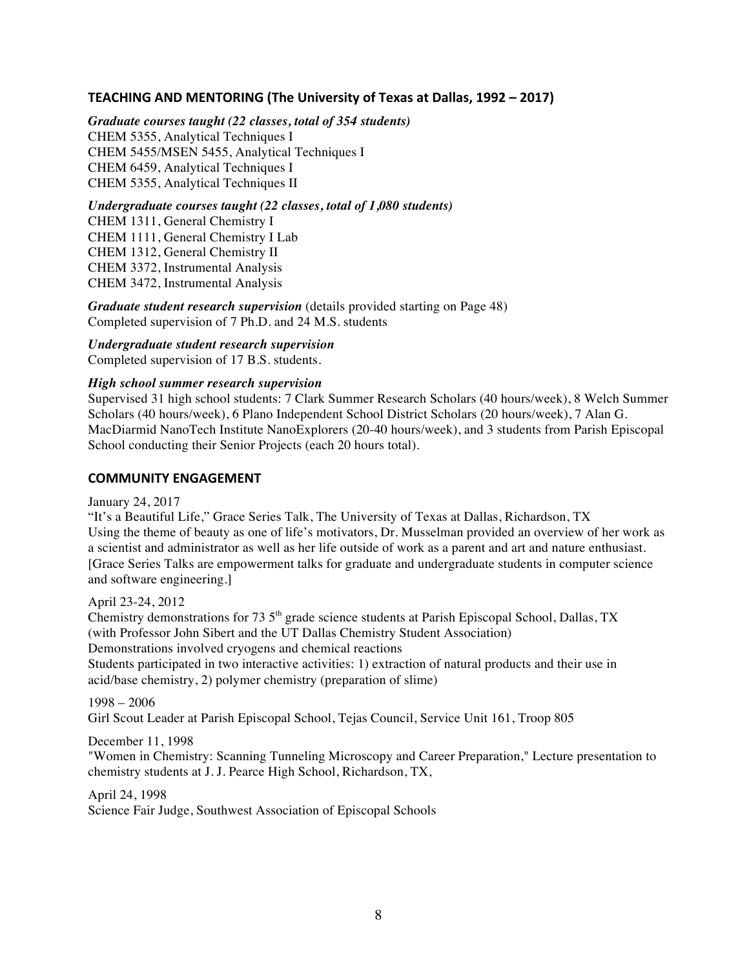## **TEACHING AND MENTORING** (The University of Texas at Dallas, 1992 – 2017)

*Graduate courses taught (22 classes, total of 354 students)* CHEM 5355, Analytical Techniques I CHEM 5455/MSEN 5455, Analytical Techniques I CHEM 6459, Analytical Techniques I CHEM 5355, Analytical Techniques II

*Undergraduate courses taught (22 classes, total of 1,080 students)* CHEM 1311, General Chemistry I CHEM 1111, General Chemistry I Lab CHEM 1312, General Chemistry II CHEM 3372, Instrumental Analysis CHEM 3472, Instrumental Analysis

*Graduate student research supervision* (details provided starting on Page 48) Completed supervision of 7 Ph.D. and 24 M.S. students

*Undergraduate student research supervision* Completed supervision of 17 B.S. students.

#### *High school summer research supervision*

Supervised 31 high school students: 7 Clark Summer Research Scholars (40 hours/week), 8 Welch Summer Scholars (40 hours/week), 6 Plano Independent School District Scholars (20 hours/week), 7 Alan G. MacDiarmid NanoTech Institute NanoExplorers (20-40 hours/week), and 3 students from Parish Episcopal School conducting their Senior Projects (each 20 hours total).

#### **COMMUNITY ENGAGEMENT**

January 24, 2017

"It's a Beautiful Life," Grace Series Talk, The University of Texas at Dallas, Richardson, TX Using the theme of beauty as one of life's motivators, Dr. Musselman provided an overview of her work as a scientist and administrator as well as her life outside of work as a parent and art and nature enthusiast. [Grace Series Talks are empowerment talks for graduate and undergraduate students in computer science and software engineering.]

April 23-24, 2012

Chemistry demonstrations for 73  $5<sup>th</sup>$  grade science students at Parish Episcopal School, Dallas, TX (with Professor John Sibert and the UT Dallas Chemistry Student Association) Demonstrations involved cryogens and chemical reactions Students participated in two interactive activities: 1) extraction of natural products and their use in acid/base chemistry, 2) polymer chemistry (preparation of slime)

1998 – 2006 Girl Scout Leader at Parish Episcopal School, Tejas Council, Service Unit 161, Troop 805

December 11, 1998

"Women in Chemistry: Scanning Tunneling Microscopy and Career Preparation," Lecture presentation to chemistry students at J. J. Pearce High School, Richardson, TX,

April 24, 1998 Science Fair Judge, Southwest Association of Episcopal Schools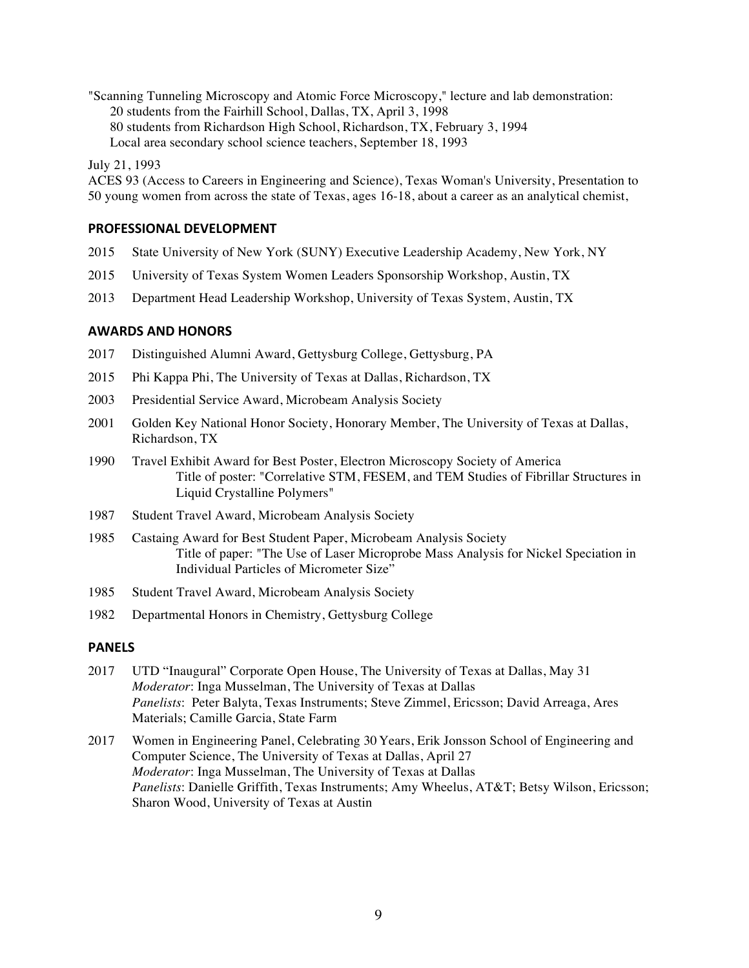"Scanning Tunneling Microscopy and Atomic Force Microscopy," lecture and lab demonstration: 20 students from the Fairhill School, Dallas, TX, April 3, 1998 80 students from Richardson High School, Richardson, TX, February 3, 1994 Local area secondary school science teachers, September 18, 1993

July 21, 1993

ACES 93 (Access to Careers in Engineering and Science), Texas Woman's University, Presentation to 50 young women from across the state of Texas, ages 16-18, about a career as an analytical chemist,

## **PROFESSIONAL DEVELOPMENT**

- 2015 State University of New York (SUNY) Executive Leadership Academy, New York, NY
- 2015 University of Texas System Women Leaders Sponsorship Workshop, Austin, TX
- 2013 Department Head Leadership Workshop, University of Texas System, Austin, TX

#### **AWARDS AND HONORS**

- 2017 Distinguished Alumni Award, Gettysburg College, Gettysburg, PA
- 2015 Phi Kappa Phi, The University of Texas at Dallas, Richardson, TX
- 2003 Presidential Service Award, Microbeam Analysis Society
- 2001 Golden Key National Honor Society, Honorary Member, The University of Texas at Dallas, Richardson, TX
- 1990 Travel Exhibit Award for Best Poster, Electron Microscopy Society of America Title of poster: "Correlative STM, FESEM, and TEM Studies of Fibrillar Structures in Liquid Crystalline Polymers"
- 1987 Student Travel Award, Microbeam Analysis Society
- 1985 Castaing Award for Best Student Paper, Microbeam Analysis Society Title of paper: "The Use of Laser Microprobe Mass Analysis for Nickel Speciation in Individual Particles of Micrometer Size"
- 1985 Student Travel Award, Microbeam Analysis Society
- 1982 Departmental Honors in Chemistry, Gettysburg College

### **PANELS**

- 2017 UTD "Inaugural" Corporate Open House, The University of Texas at Dallas, May 31 *Moderator*: Inga Musselman, The University of Texas at Dallas *Panelists*: Peter Balyta, Texas Instruments; Steve Zimmel, Ericsson; David Arreaga, Ares Materials; Camille Garcia, State Farm
- 2017 Women in Engineering Panel, Celebrating 30 Years, Erik Jonsson School of Engineering and Computer Science, The University of Texas at Dallas, April 27 *Moderator*: Inga Musselman, The University of Texas at Dallas *Panelists*: Danielle Griffith, Texas Instruments; Amy Wheelus, AT&T; Betsy Wilson, Ericsson; Sharon Wood, University of Texas at Austin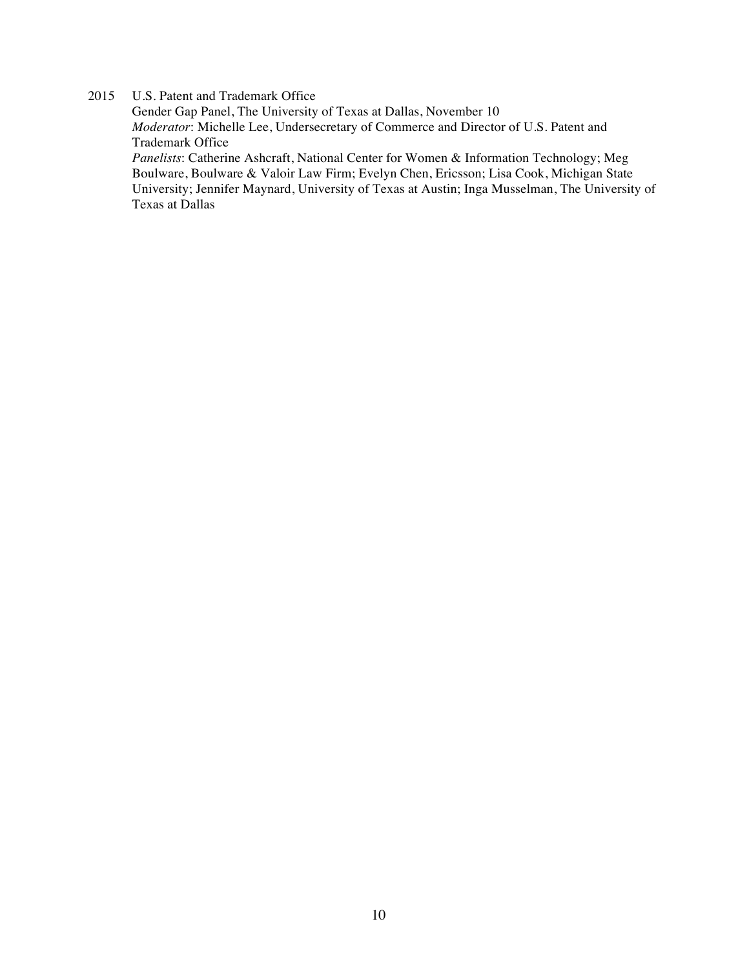## 2015 U.S. Patent and Trademark Office

Gender Gap Panel, The University of Texas at Dallas, November 10 *Moderator*: Michelle Lee, Undersecretary of Commerce and Director of U.S. Patent and Trademark Office *Panelists*: Catherine Ashcraft, National Center for Women & Information Technology; Meg Boulware, Boulware & Valoir Law Firm; Evelyn Chen, Ericsson; Lisa Cook, Michigan State University; Jennifer Maynard, University of Texas at Austin; Inga Musselman, The University of Texas at Dallas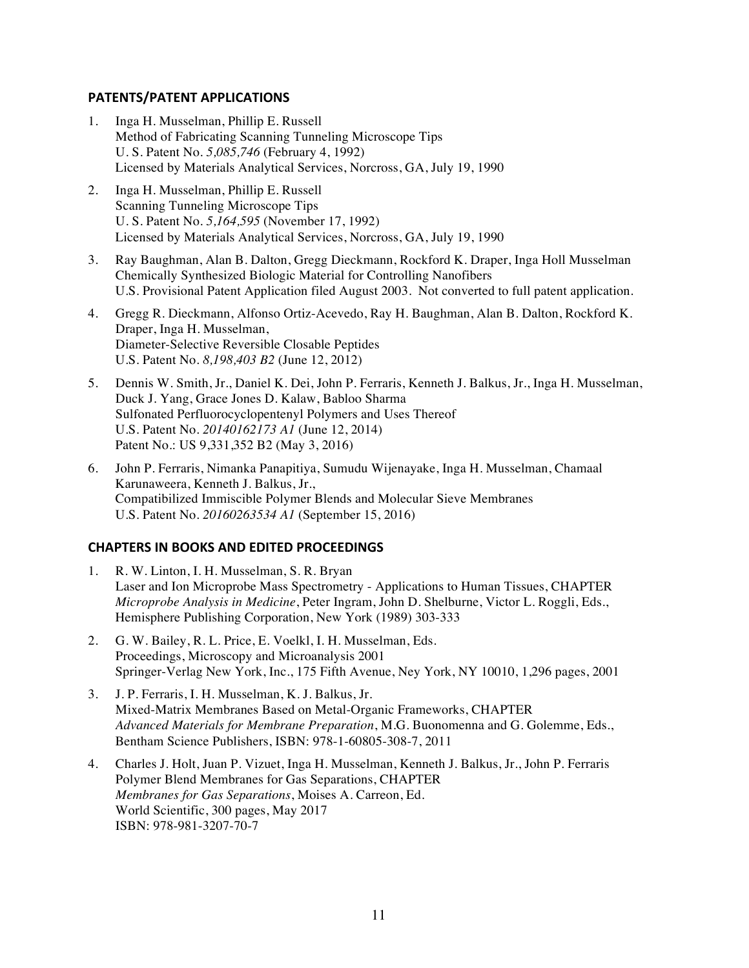## **PATENTS/PATENT APPLICATIONS**

- 1. Inga H. Musselman, Phillip E. Russell Method of Fabricating Scanning Tunneling Microscope Tips U. S. Patent No. *5,085,746* (February 4, 1992) Licensed by Materials Analytical Services, Norcross, GA, July 19, 1990
- 2. Inga H. Musselman, Phillip E. Russell Scanning Tunneling Microscope Tips U. S. Patent No. *5,164,595* (November 17, 1992) Licensed by Materials Analytical Services, Norcross, GA, July 19, 1990
- 3. Ray Baughman, Alan B. Dalton, Gregg Dieckmann, Rockford K. Draper, Inga Holl Musselman Chemically Synthesized Biologic Material for Controlling Nanofibers U.S. Provisional Patent Application filed August 2003. Not converted to full patent application.
- 4. Gregg R. Dieckmann, Alfonso Ortiz-Acevedo, Ray H. Baughman, Alan B. Dalton, Rockford K. Draper, Inga H. Musselman, Diameter-Selective Reversible Closable Peptides U.S. Patent No. *8,198,403 B2* (June 12, 2012)
- 5. Dennis W. Smith, Jr., Daniel K. Dei, John P. Ferraris, Kenneth J. Balkus, Jr., Inga H. Musselman, Duck J. Yang, Grace Jones D. Kalaw, Babloo Sharma Sulfonated Perfluorocyclopentenyl Polymers and Uses Thereof U.S. Patent No. *20140162173 A1* (June 12, 2014) Patent No.: US 9,331,352 B2 (May 3, 2016)
- 6. John P. Ferraris, Nimanka Panapitiya, Sumudu Wijenayake, Inga H. Musselman, Chamaal Karunaweera, Kenneth J. Balkus, Jr., Compatibilized Immiscible Polymer Blends and Molecular Sieve Membranes U.S. Patent No. *20160263534 A1* (September 15, 2016)

## **CHAPTERS IN BOOKS AND EDITED PROCEEDINGS**

- 1. R. W. Linton, I. H. Musselman, S. R. Bryan Laser and Ion Microprobe Mass Spectrometry - Applications to Human Tissues, CHAPTER *Microprobe Analysis in Medicine*, Peter Ingram, John D. Shelburne, Victor L. Roggli, Eds., Hemisphere Publishing Corporation, New York (1989) 303-333
- 2. G. W. Bailey, R. L. Price, E. Voelkl, I. H. Musselman, Eds. Proceedings, Microscopy and Microanalysis 2001 Springer-Verlag New York, Inc., 175 Fifth Avenue, Ney York, NY 10010, 1,296 pages, 2001
- 3. J. P. Ferraris, I. H. Musselman, K. J. Balkus, Jr. Mixed-Matrix Membranes Based on Metal-Organic Frameworks, CHAPTER *Advanced Materials for Membrane Preparation*, M.G. Buonomenna and G. Golemme, Eds., Bentham Science Publishers, ISBN: 978-1-60805-308-7, 2011
- 4. Charles J. Holt, Juan P. Vizuet, Inga H. Musselman, Kenneth J. Balkus, Jr., John P. Ferraris Polymer Blend Membranes for Gas Separations, CHAPTER *Membranes for Gas Separations*, Moises A. Carreon, Ed. World Scientific, 300 pages, May 2017 ISBN: 978-981-3207-70-7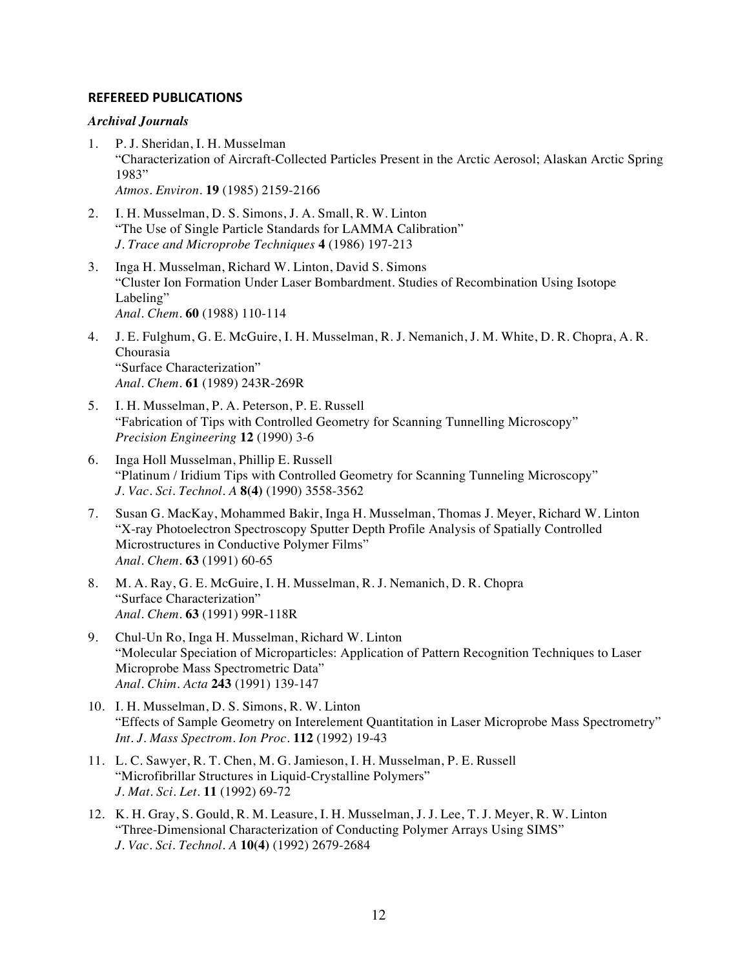### **REFEREED PUBLICATIONS**

#### *Archival Journals*

- 1. P. J. Sheridan, I. H. Musselman "Characterization of Aircraft-Collected Particles Present in the Arctic Aerosol; Alaskan Arctic Spring 1983" *Atmos. Environ.* **19** (1985) 2159-2166
- 2. I. H. Musselman, D. S. Simons, J. A. Small, R. W. Linton "The Use of Single Particle Standards for LAMMA Calibration" *J. Trace and Microprobe Techniques* **4** (1986) 197-213
- 3. Inga H. Musselman, Richard W. Linton, David S. Simons "Cluster Ion Formation Under Laser Bombardment. Studies of Recombination Using Isotope Labeling" *Anal. Chem.* **60** (1988) 110-114
- 4. J. E. Fulghum, G. E. McGuire, I. H. Musselman, R. J. Nemanich, J. M. White, D. R. Chopra, A. R. Chourasia "Surface Characterization" *Anal. Chem.* **61** (1989) 243R-269R
- 5. I. H. Musselman, P. A. Peterson, P. E. Russell "Fabrication of Tips with Controlled Geometry for Scanning Tunnelling Microscopy" *Precision Engineering* **12** (1990) 3-6
- 6. Inga Holl Musselman, Phillip E. Russell "Platinum / Iridium Tips with Controlled Geometry for Scanning Tunneling Microscopy" *J. Vac. Sci. Technol. A* **8(4)** (1990) 3558-3562
- 7. Susan G. MacKay, Mohammed Bakir, Inga H. Musselman, Thomas J. Meyer, Richard W. Linton "X-ray Photoelectron Spectroscopy Sputter Depth Profile Analysis of Spatially Controlled Microstructures in Conductive Polymer Films" *Anal. Chem*. **63** (1991) 60-65
- 8. M. A. Ray, G. E. McGuire, I. H. Musselman, R. J. Nemanich, D. R. Chopra "Surface Characterization" *Anal. Chem*. **63** (1991) 99R-118R
- 9. Chul-Un Ro, Inga H. Musselman, Richard W. Linton "Molecular Speciation of Microparticles: Application of Pattern Recognition Techniques to Laser Microprobe Mass Spectrometric Data" *Anal. Chim. Acta* **243** (1991) 139-147
- 10. I. H. Musselman, D. S. Simons, R. W. Linton "Effects of Sample Geometry on Interelement Quantitation in Laser Microprobe Mass Spectrometry" *Int. J. Mass Spectrom. Ion Proc*. **112** (1992) 19-43
- 11. L. C. Sawyer, R. T. Chen, M. G. Jamieson, I. H. Musselman, P. E. Russell "Microfibrillar Structures in Liquid-Crystalline Polymers" *J. Mat. Sci. Let*. **11** (1992) 69-72
- 12. K. H. Gray, S. Gould, R. M. Leasure, I. H. Musselman, J. J. Lee, T. J. Meyer, R. W. Linton "Three-Dimensional Characterization of Conducting Polymer Arrays Using SIMS" *J. Vac. Sci. Technol. A* **10(4)** (1992) 2679-2684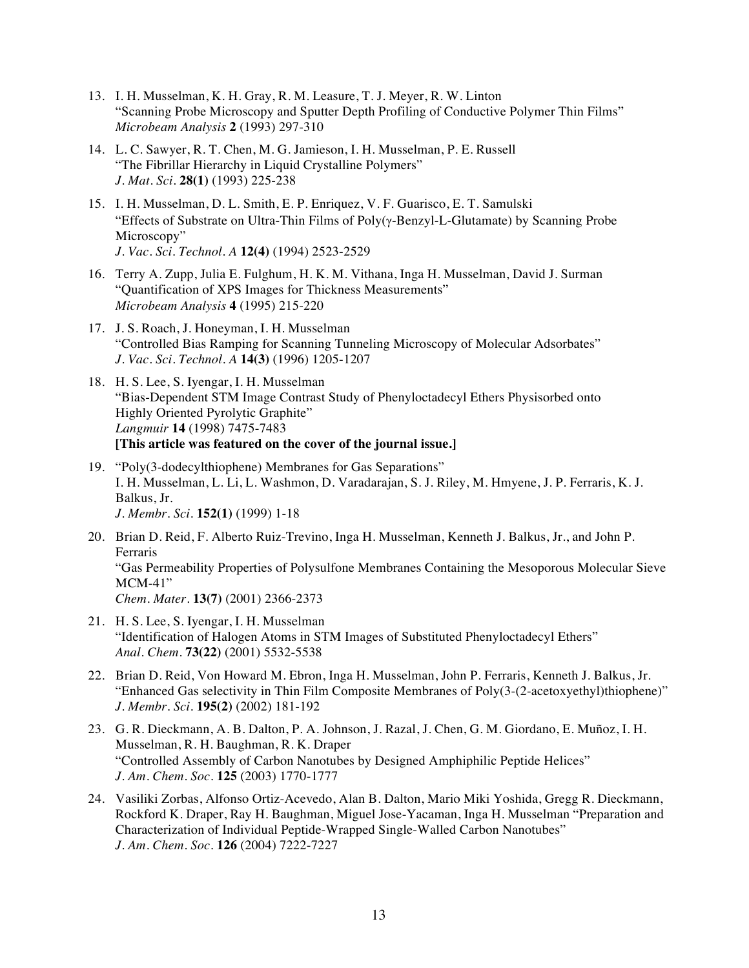- 13. I. H. Musselman, K. H. Gray, R. M. Leasure, T. J. Meyer, R. W. Linton "Scanning Probe Microscopy and Sputter Depth Profiling of Conductive Polymer Thin Films" *Microbeam Analysis* **2** (1993) 297-310
- 14. L. C. Sawyer, R. T. Chen, M. G. Jamieson, I. H. Musselman, P. E. Russell "The Fibrillar Hierarchy in Liquid Crystalline Polymers" *J. Mat. Sci.* **28(1)** (1993) 225-238
- 15. I. H. Musselman, D. L. Smith, E. P. Enriquez, V. F. Guarisco, E. T. Samulski "Effects of Substrate on Ultra-Thin Films of Poly(g-Benzyl-L-Glutamate) by Scanning Probe Microscopy" *J. Vac. Sci. Technol. A* **12(4)** (1994) 2523-2529
- 16. Terry A. Zupp, Julia E. Fulghum, H. K. M. Vithana, Inga H. Musselman, David J. Surman "Quantification of XPS Images for Thickness Measurements" *Microbeam Analysis* **4** (1995) 215-220
- 17. J. S. Roach, J. Honeyman, I. H. Musselman "Controlled Bias Ramping for Scanning Tunneling Microscopy of Molecular Adsorbates" *J. Vac. Sci. Technol. A* **14(3)** (1996) 1205-1207
- 18. H. S. Lee, S. Iyengar, I. H. Musselman "Bias-Dependent STM Image Contrast Study of Phenyloctadecyl Ethers Physisorbed onto Highly Oriented Pyrolytic Graphite" *Langmuir* **14** (1998) 7475-7483 **[This article was featured on the cover of the journal issue.]**
- 19. "Poly(3-dodecylthiophene) Membranes for Gas Separations" I. H. Musselman, L. Li, L. Washmon, D. Varadarajan, S. J. Riley, M. Hmyene, J. P. Ferraris, K. J. Balkus, Jr. *J. Membr. Sci.* **152(1)** (1999) 1-18
- 20. Brian D. Reid, F. Alberto Ruiz-Trevino, Inga H. Musselman, Kenneth J. Balkus, Jr., and John P. Ferraris "Gas Permeability Properties of Polysulfone Membranes Containing the Mesoporous Molecular Sieve MCM-41" *Chem. Mater.* **13(7)** (2001) 2366-2373
- 21. H. S. Lee, S. Iyengar, I. H. Musselman "Identification of Halogen Atoms in STM Images of Substituted Phenyloctadecyl Ethers" *Anal. Chem.* **73(22)** (2001) 5532-5538
- 22. Brian D. Reid, Von Howard M. Ebron, Inga H. Musselman, John P. Ferraris, Kenneth J. Balkus, Jr. "Enhanced Gas selectivity in Thin Film Composite Membranes of Poly(3-(2-acetoxyethyl)thiophene)" *J. Membr. Sci.* **195(2)** (2002) 181-192
- 23. G. R. Dieckmann, A. B. Dalton, P. A. Johnson, J. Razal, J. Chen, G. M. Giordano, E. Muñoz, I. H. Musselman, R. H. Baughman, R. K. Draper "Controlled Assembly of Carbon Nanotubes by Designed Amphiphilic Peptide Helices" *J. Am. Chem. Soc.* **125** (2003) 1770-1777
- 24. Vasiliki Zorbas, Alfonso Ortiz-Acevedo, Alan B. Dalton, Mario Miki Yoshida, Gregg R. Dieckmann, Rockford K. Draper, Ray H. Baughman, Miguel Jose-Yacaman, Inga H. Musselman "Preparation and Characterization of Individual Peptide-Wrapped Single-Walled Carbon Nanotubes" *J. Am. Chem. Soc.* **126** (2004) 7222-7227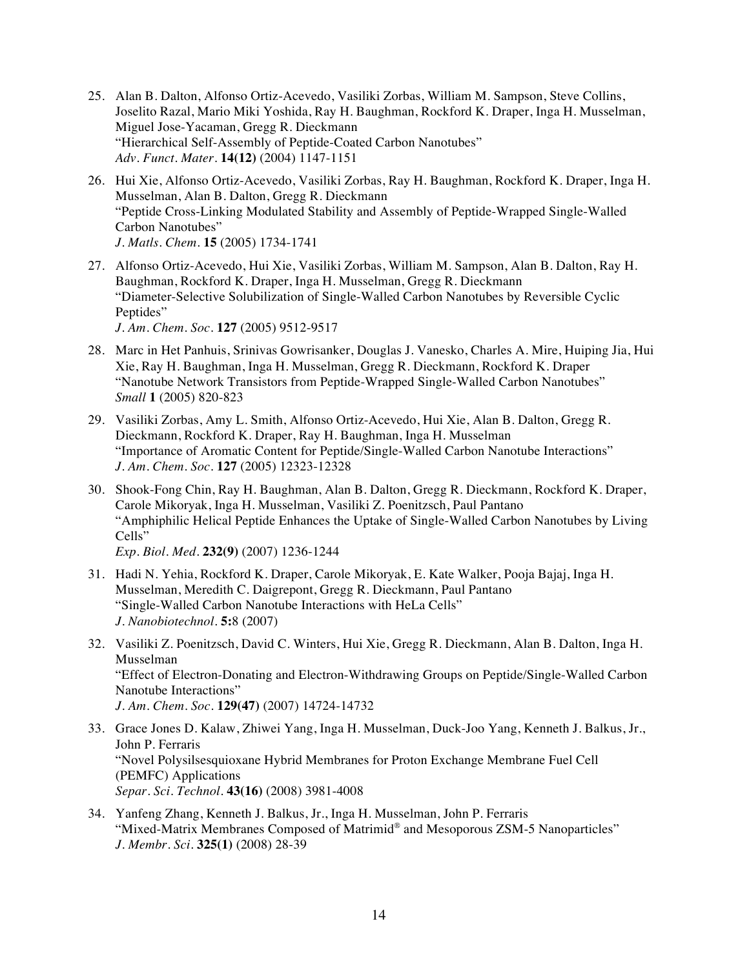- 25. Alan B. Dalton, Alfonso Ortiz-Acevedo, Vasiliki Zorbas, William M. Sampson, Steve Collins, Joselito Razal, Mario Miki Yoshida, Ray H. Baughman, Rockford K. Draper, Inga H. Musselman, Miguel Jose-Yacaman, Gregg R. Dieckmann "Hierarchical Self-Assembly of Peptide-Coated Carbon Nanotubes" *Adv. Funct. Mater.* **14(12)** (2004) 1147-1151
- 26. Hui Xie, Alfonso Ortiz-Acevedo, Vasiliki Zorbas, Ray H. Baughman, Rockford K. Draper, Inga H. Musselman, Alan B. Dalton, Gregg R. Dieckmann "Peptide Cross-Linking Modulated Stability and Assembly of Peptide-Wrapped Single-Walled Carbon Nanotubes" *J. Matls. Chem.* **15** (2005) 1734-1741
- 27. Alfonso Ortiz-Acevedo, Hui Xie, Vasiliki Zorbas, William M. Sampson, Alan B. Dalton, Ray H. Baughman, Rockford K. Draper, Inga H. Musselman, Gregg R. Dieckmann "Diameter-Selective Solubilization of Single-Walled Carbon Nanotubes by Reversible Cyclic Peptides" *J. Am. Chem. Soc.* **127** (2005) 9512-9517
- 28. Marc in Het Panhuis, Srinivas Gowrisanker, Douglas J. Vanesko, Charles A. Mire, Huiping Jia, Hui Xie, Ray H. Baughman, Inga H. Musselman, Gregg R. Dieckmann, Rockford K. Draper "Nanotube Network Transistors from Peptide-Wrapped Single-Walled Carbon Nanotubes" *Small* **1** (2005) 820-823
- 29. Vasiliki Zorbas, Amy L. Smith, Alfonso Ortiz-Acevedo, Hui Xie, Alan B. Dalton, Gregg R. Dieckmann, Rockford K. Draper, Ray H. Baughman, Inga H. Musselman "Importance of Aromatic Content for Peptide/Single-Walled Carbon Nanotube Interactions" *J. Am. Chem. Soc.* **127** (2005) 12323-12328
- 30. Shook-Fong Chin, Ray H. Baughman, Alan B. Dalton, Gregg R. Dieckmann, Rockford K. Draper, Carole Mikoryak, Inga H. Musselman, Vasiliki Z. Poenitzsch, Paul Pantano "Amphiphilic Helical Peptide Enhances the Uptake of Single-Walled Carbon Nanotubes by Living Cells"

*Exp. Biol. Med.* **232(9)** (2007) 1236-1244

- 31. Hadi N. Yehia, Rockford K. Draper, Carole Mikoryak, E. Kate Walker, Pooja Bajaj, Inga H. Musselman, Meredith C. Daigrepont, Gregg R. Dieckmann, Paul Pantano "Single-Walled Carbon Nanotube Interactions with HeLa Cells" *J. Nanobiotechnol.* **5:**8 (2007)
- 32. Vasiliki Z. Poenitzsch, David C. Winters, Hui Xie, Gregg R. Dieckmann, Alan B. Dalton, Inga H. Musselman "Effect of Electron-Donating and Electron-Withdrawing Groups on Peptide/Single-Walled Carbon Nanotube Interactions" *J. Am. Chem. Soc.* **129(47)** (2007) 14724-14732
- 33. Grace Jones D. Kalaw, Zhiwei Yang, Inga H. Musselman, Duck-Joo Yang, Kenneth J. Balkus, Jr., John P. Ferraris "Novel Polysilsesquioxane Hybrid Membranes for Proton Exchange Membrane Fuel Cell (PEMFC) Applications *Separ. Sci. Technol.* **43(16)** (2008) 3981-4008
- 34. Yanfeng Zhang, Kenneth J. Balkus, Jr., Inga H. Musselman, John P. Ferraris "Mixed-Matrix Membranes Composed of Matrimid® and Mesoporous ZSM-5 Nanoparticles" *J. Membr. Sci.* **325(1)** (2008) 28-39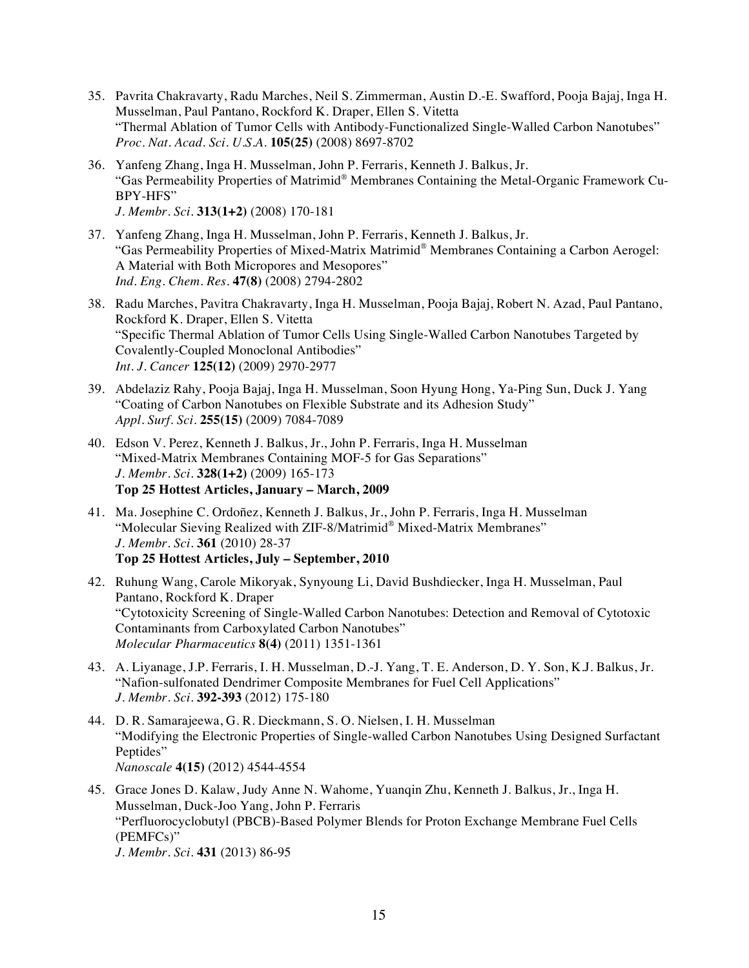- 35. Pavrita Chakravarty, Radu Marches, Neil S. Zimmerman, Austin D.-E. Swafford, Pooja Bajaj, Inga H. Musselman, Paul Pantano, Rockford K. Draper, Ellen S. Vitetta "Thermal Ablation of Tumor Cells with Antibody-Functionalized Single-Walled Carbon Nanotubes" *Proc. Nat. Acad. Sci. U.S.A.* **105(25)** (2008) 8697-8702
- 36. Yanfeng Zhang, Inga H. Musselman, John P. Ferraris, Kenneth J. Balkus, Jr. "Gas Permeability Properties of Matrimid® Membranes Containing the Metal-Organic Framework Cu-BPY-HFS" *J. Membr. Sci.* **313(1+2)** (2008) 170-181
- 37. Yanfeng Zhang, Inga H. Musselman, John P. Ferraris, Kenneth J. Balkus, Jr. "Gas Permeability Properties of Mixed-Matrix Matrimid® Membranes Containing a Carbon Aerogel: A Material with Both Micropores and Mesopores" *Ind. Eng. Chem. Res.* **47(8)** (2008) 2794-2802
- 38. Radu Marches, Pavitra Chakravarty, Inga H. Musselman, Pooja Bajaj, Robert N. Azad, Paul Pantano, Rockford K. Draper, Ellen S. Vitetta "Specific Thermal Ablation of Tumor Cells Using Single-Walled Carbon Nanotubes Targeted by Covalently-Coupled Monoclonal Antibodies" *Int. J. Cancer* **125(12)** (2009) 2970-2977
- 39. Abdelaziz Rahy, Pooja Bajaj, Inga H. Musselman, Soon Hyung Hong, Ya-Ping Sun, Duck J. Yang "Coating of Carbon Nanotubes on Flexible Substrate and its Adhesion Study" *Appl. Surf. Sci.* **255(15)** (2009) 7084-7089
- 40. Edson V. Perez, Kenneth J. Balkus, Jr., John P. Ferraris, Inga H. Musselman "Mixed-Matrix Membranes Containing MOF-5 for Gas Separations" *J. Membr. Sci.* **328(1+2)** (2009) 165-173 **Top 25 Hottest Articles, January – March, 2009**
- 41. Ma. Josephine C. Ordoñez, Kenneth J. Balkus, Jr., John P. Ferraris, Inga H. Musselman "Molecular Sieving Realized with ZIF-8/Matrimid® Mixed-Matrix Membranes" *J. Membr. Sci.* **361** (2010) 28-37 **Top 25 Hottest Articles, July – September, 2010**
- 42. Ruhung Wang, Carole Mikoryak, Synyoung Li, David Bushdiecker, Inga H. Musselman, Paul Pantano, Rockford K. Draper "Cytotoxicity Screening of Single-Walled Carbon Nanotubes: Detection and Removal of Cytotoxic Contaminants from Carboxylated Carbon Nanotubes" *Molecular Pharmaceutics* **8(4)** (2011) 1351-1361
- 43. A. Liyanage, J.P. Ferraris, I. H. Musselman, D.-J. Yang, T. E. Anderson, D. Y. Son, K.J. Balkus, Jr. "Nafion-sulfonated Dendrimer Composite Membranes for Fuel Cell Applications" *J. Membr. Sci.* **392-393** (2012) 175-180
- 44. D. R. Samarajeewa, G. R. Dieckmann, S. O. Nielsen, I. H. Musselman "Modifying the Electronic Properties of Single-walled Carbon Nanotubes Using Designed Surfactant Peptides" *Nanoscale* **4(15)** (2012) 4544-4554
- 45. Grace Jones D. Kalaw, Judy Anne N. Wahome, Yuanqin Zhu, Kenneth J. Balkus, Jr., Inga H. Musselman, Duck-Joo Yang, John P. Ferraris "Perfluorocyclobutyl (PBCB)-Based Polymer Blends for Proton Exchange Membrane Fuel Cells (PEMFCs)" *J. Membr. Sci.* **431** (2013) 86-95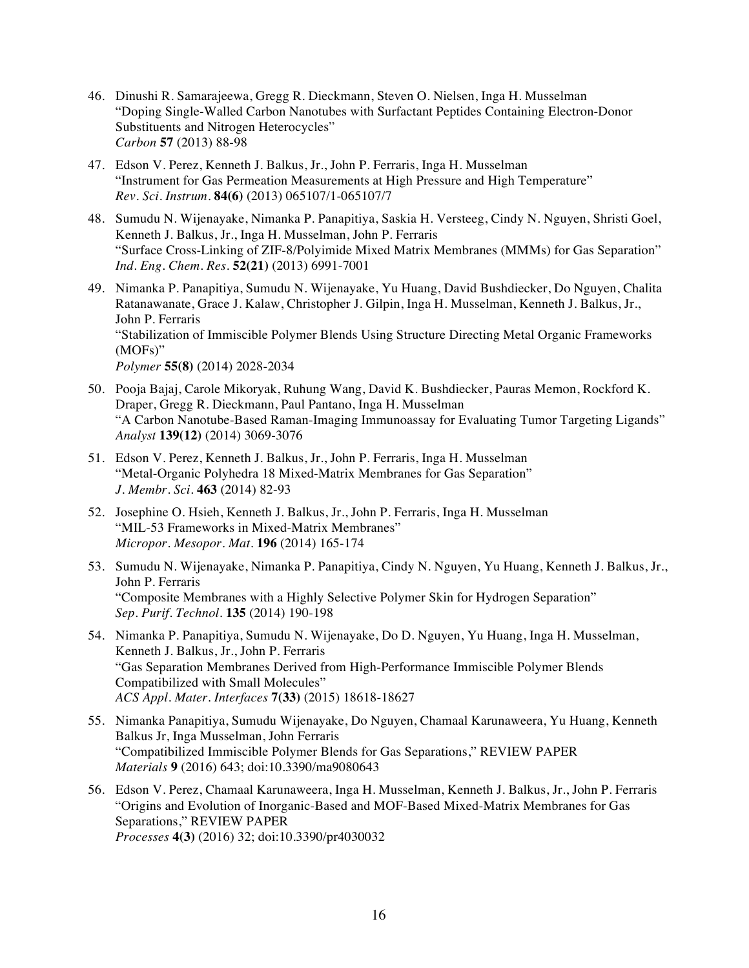- 46. Dinushi R. Samarajeewa, Gregg R. Dieckmann, Steven O. Nielsen, Inga H. Musselman "Doping Single-Walled Carbon Nanotubes with Surfactant Peptides Containing Electron-Donor Substituents and Nitrogen Heterocycles" *Carbon* **57** (2013) 88-98
- 47. Edson V. Perez, Kenneth J. Balkus, Jr., John P. Ferraris, Inga H. Musselman "Instrument for Gas Permeation Measurements at High Pressure and High Temperature" *Rev. Sci. Instrum.* **84(6)** (2013) 065107/1-065107/7
- 48. Sumudu N. Wijenayake, Nimanka P. Panapitiya, Saskia H. Versteeg, Cindy N. Nguyen, Shristi Goel, Kenneth J. Balkus, Jr., Inga H. Musselman, John P. Ferraris "Surface Cross-Linking of ZIF-8/Polyimide Mixed Matrix Membranes (MMMs) for Gas Separation" *Ind. Eng. Chem. Res.* **52(21)** (2013) 6991-7001
- 49. Nimanka P. Panapitiya, Sumudu N. Wijenayake, Yu Huang, David Bushdiecker, Do Nguyen, Chalita Ratanawanate, Grace J. Kalaw, Christopher J. Gilpin, Inga H. Musselman, Kenneth J. Balkus, Jr., John P. Ferraris "Stabilization of Immiscible Polymer Blends Using Structure Directing Metal Organic Frameworks (MOFs)" *Polymer* **55(8)** (2014) 2028-2034
- 50. Pooja Bajaj, Carole Mikoryak, Ruhung Wang, David K. Bushdiecker, Pauras Memon, Rockford K. Draper, Gregg R. Dieckmann, Paul Pantano, Inga H. Musselman "A Carbon Nanotube-Based Raman-Imaging Immunoassay for Evaluating Tumor Targeting Ligands" *Analyst* **139(12)** (2014) 3069-3076
- 51. Edson V. Perez, Kenneth J. Balkus, Jr., John P. Ferraris, Inga H. Musselman "Metal-Organic Polyhedra 18 Mixed-Matrix Membranes for Gas Separation" *J. Membr. Sci.* **463** (2014) 82-93
- 52. Josephine O. Hsieh, Kenneth J. Balkus, Jr., John P. Ferraris, Inga H. Musselman "MIL-53 Frameworks in Mixed-Matrix Membranes" *Micropor. Mesopor. Mat.* **196** (2014) 165-174
- 53. Sumudu N. Wijenayake, Nimanka P. Panapitiya, Cindy N. Nguyen, Yu Huang, Kenneth J. Balkus, Jr., John P. Ferraris "Composite Membranes with a Highly Selective Polymer Skin for Hydrogen Separation" *Sep. Purif. Technol.* **135** (2014) 190-198
- 54. Nimanka P. Panapitiya, Sumudu N. Wijenayake, Do D. Nguyen, Yu Huang, Inga H. Musselman, Kenneth J. Balkus, Jr., John P. Ferraris "Gas Separation Membranes Derived from High-Performance Immiscible Polymer Blends Compatibilized with Small Molecules" *ACS Appl. Mater. Interfaces* **7(33)** (2015) 18618-18627
- 55. Nimanka Panapitiya, Sumudu Wijenayake, Do Nguyen, Chamaal Karunaweera, Yu Huang, Kenneth Balkus Jr, Inga Musselman, John Ferraris "Compatibilized Immiscible Polymer Blends for Gas Separations," REVIEW PAPER *Materials* **9** (2016) 643; doi:10.3390/ma9080643
- 56. Edson V. Perez, Chamaal Karunaweera, Inga H. Musselman, Kenneth J. Balkus, Jr., John P. Ferraris "Origins and Evolution of Inorganic-Based and MOF-Based Mixed-Matrix Membranes for Gas Separations," REVIEW PAPER *Processes* **4(3)** (2016) 32; doi:10.3390/pr4030032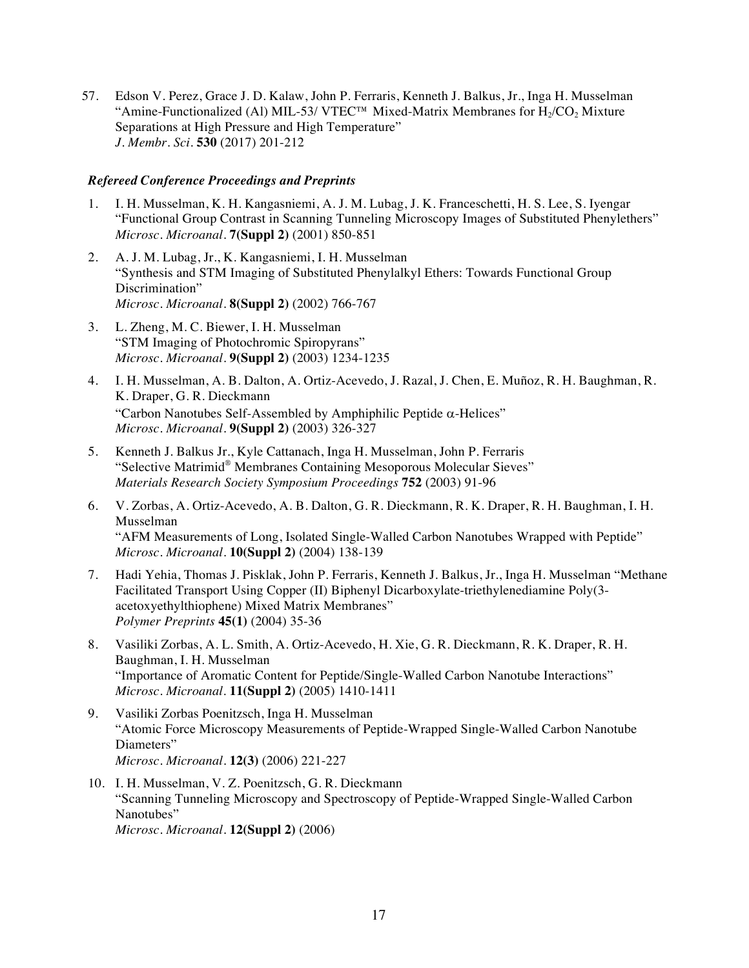57. Edson V. Perez, Grace J. D. Kalaw, John P. Ferraris, Kenneth J. Balkus, Jr., Inga H. Musselman "Amine-Functionalized (Al) MIL-53/ VTEC<sup>TM</sup> Mixed-Matrix Membranes for  $H_2/CO_2$  Mixture Separations at High Pressure and High Temperature" *J. Membr. Sci.* **530** (2017) 201-212

#### *Refereed Conference Proceedings and Preprints*

- 1. I. H. Musselman, K. H. Kangasniemi, A. J. M. Lubag, J. K. Franceschetti, H. S. Lee, S. Iyengar "Functional Group Contrast in Scanning Tunneling Microscopy Images of Substituted Phenylethers" *Microsc. Microanal.* **7(Suppl 2)** (2001) 850-851
- 2. A. J. M. Lubag, Jr., K. Kangasniemi, I. H. Musselman "Synthesis and STM Imaging of Substituted Phenylalkyl Ethers: Towards Functional Group Discrimination" *Microsc. Microanal.* **8(Suppl 2)** (2002) 766-767
- 3. L. Zheng, M. C. Biewer, I. H. Musselman "STM Imaging of Photochromic Spiropyrans" *Microsc. Microanal.* **9(Suppl 2)** (2003) 1234-1235
- 4. I. H. Musselman, A. B. Dalton, A. Ortiz-Acevedo, J. Razal, J. Chen, E. Muñoz, R. H. Baughman, R. K. Draper, G. R. Dieckmann "Carbon Nanotubes Self-Assembled by Amphiphilic Peptide  $\alpha$ -Helices" *Microsc. Microanal.* **9(Suppl 2)** (2003) 326-327
- 5. Kenneth J. Balkus Jr., Kyle Cattanach, Inga H. Musselman, John P. Ferraris "Selective Matrimid® Membranes Containing Mesoporous Molecular Sieves" *Materials Research Society Symposium Proceedings* **752** (2003) 91-96
- 6. V. Zorbas, A. Ortiz-Acevedo, A. B. Dalton, G. R. Dieckmann, R. K. Draper, R. H. Baughman, I. H. Musselman "AFM Measurements of Long, Isolated Single-Walled Carbon Nanotubes Wrapped with Peptide" *Microsc. Microanal.* **10(Suppl 2)** (2004) 138-139
- 7. Hadi Yehia, Thomas J. Pisklak, John P. Ferraris, Kenneth J. Balkus, Jr., Inga H. Musselman "Methane Facilitated Transport Using Copper (II) Biphenyl Dicarboxylate-triethylenediamine Poly(3 acetoxyethylthiophene) Mixed Matrix Membranes" *Polymer Preprints* **45(1)** (2004) 35-36
- 8. Vasiliki Zorbas, A. L. Smith, A. Ortiz-Acevedo, H. Xie, G. R. Dieckmann, R. K. Draper, R. H. Baughman, I. H. Musselman "Importance of Aromatic Content for Peptide/Single-Walled Carbon Nanotube Interactions" *Microsc. Microanal.* **11(Suppl 2)** (2005) 1410-1411
- 9. Vasiliki Zorbas Poenitzsch, Inga H. Musselman "Atomic Force Microscopy Measurements of Peptide-Wrapped Single-Walled Carbon Nanotube Diameters" *Microsc. Microanal.* **12(3)** (2006) 221-227
- 10. I. H. Musselman, V. Z. Poenitzsch, G. R. Dieckmann "Scanning Tunneling Microscopy and Spectroscopy of Peptide-Wrapped Single-Walled Carbon Nanotubes" *Microsc. Microanal.* **12(Suppl 2)** (2006)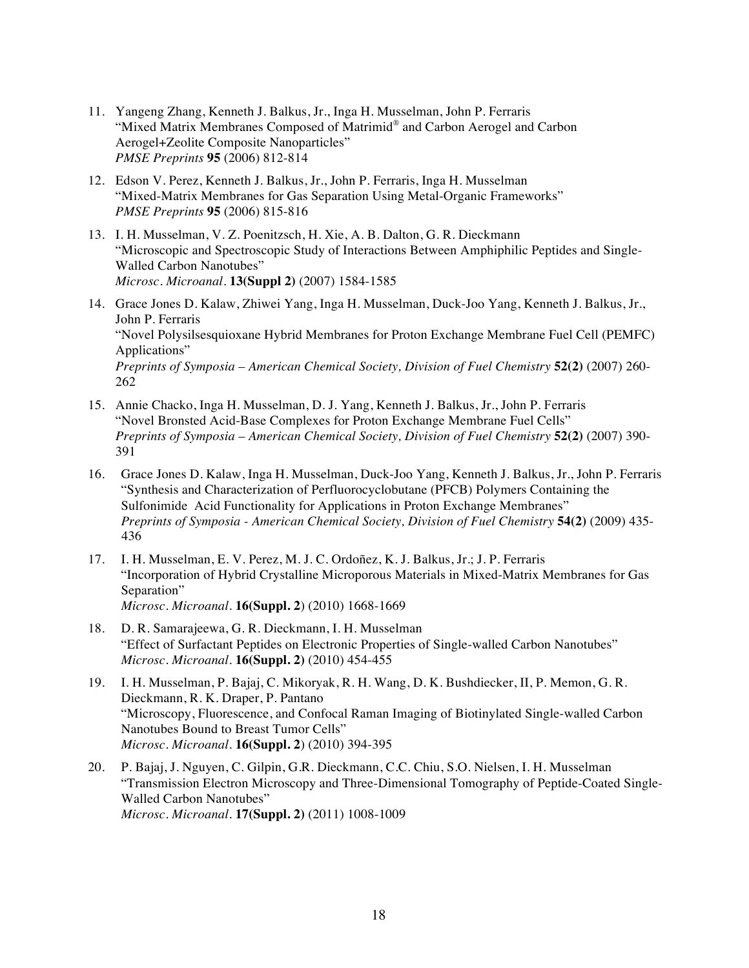- 11. Yangeng Zhang, Kenneth J. Balkus, Jr., Inga H. Musselman, John P. Ferraris "Mixed Matrix Membranes Composed of Matrimid® and Carbon Aerogel and Carbon Aerogel+Zeolite Composite Nanoparticles" *PMSE Preprints* **95** (2006) 812-814
- 12. Edson V. Perez, Kenneth J. Balkus, Jr., John P. Ferraris, Inga H. Musselman "Mixed-Matrix Membranes for Gas Separation Using Metal-Organic Frameworks" *PMSE Preprints* **95** (2006) 815-816
- 13. I. H. Musselman, V. Z. Poenitzsch, H. Xie, A. B. Dalton, G. R. Dieckmann "Microscopic and Spectroscopic Study of Interactions Between Amphiphilic Peptides and Single-Walled Carbon Nanotubes" *Microsc. Microanal.* **13(Suppl 2)** (2007) 1584-1585
- 14. Grace Jones D. Kalaw, Zhiwei Yang, Inga H. Musselman, Duck-Joo Yang, Kenneth J. Balkus, Jr., John P. Ferraris "Novel Polysilsesquioxane Hybrid Membranes for Proton Exchange Membrane Fuel Cell (PEMFC) Applications" *Preprints of Symposia – American Chemical Society, Division of Fuel Chemistry* **52(2)** (2007) 260- 262
- 15. Annie Chacko, Inga H. Musselman, D. J. Yang, Kenneth J. Balkus, Jr., John P. Ferraris "Novel Bronsted Acid-Base Complexes for Proton Exchange Membrane Fuel Cells" *Preprints of Symposia – American Chemical Society, Division of Fuel Chemistry* **52(2)** (2007) 390- 391
- 16. Grace Jones D. Kalaw, Inga H. Musselman, Duck-Joo Yang, Kenneth J. Balkus, Jr., John P. Ferraris "Synthesis and Characterization of Perfluorocyclobutane (PFCB) Polymers Containing the Sulfonimide Acid Functionality for Applications in Proton Exchange Membranes" *Preprints of Symposia - American Chemical Society, Division of Fuel Chemistry* **54(2)** (2009) 435- 436
- 17. I. H. Musselman, E. V. Perez, M. J. C. Ordoñez, K. J. Balkus, Jr.; J. P. Ferraris "Incorporation of Hybrid Crystalline Microporous Materials in Mixed-Matrix Membranes for Gas Separation" *Microsc. Microanal.* **16(Suppl. 2**) (2010) 1668-1669
- 18. D. R. Samarajeewa, G. R. Dieckmann, I. H. Musselman "Effect of Surfactant Peptides on Electronic Properties of Single-walled Carbon Nanotubes" *Microsc. Microanal.* **16(Suppl. 2)** (2010) 454-455
- 19. I. H. Musselman, P. Bajaj, C. Mikoryak, R. H. Wang, D. K. Bushdiecker, II, P. Memon, G. R. Dieckmann, R. K. Draper, P. Pantano "Microscopy, Fluorescence, and Confocal Raman Imaging of Biotinylated Single-walled Carbon Nanotubes Bound to Breast Tumor Cells" *Microsc. Microanal.* **16(Suppl. 2**) (2010) 394-395
- 20. P. Bajaj, J. Nguyen, C. Gilpin, G.R. Dieckmann, C.C. Chiu, S.O. Nielsen, I. H. Musselman "Transmission Electron Microscopy and Three-Dimensional Tomography of Peptide-Coated Single-Walled Carbon Nanotubes" *Microsc. Microanal.* **17(Suppl. 2)** (2011) 1008-1009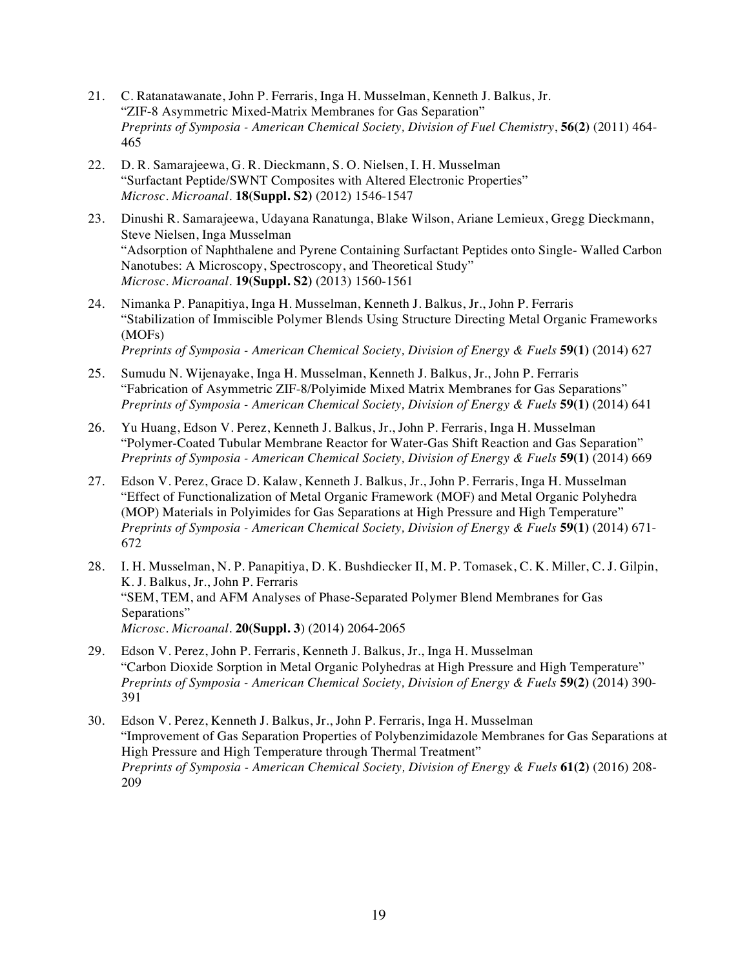- 21. C. Ratanatawanate, John P. Ferraris, Inga H. Musselman, Kenneth J. Balkus, Jr. "ZIF-8 Asymmetric Mixed-Matrix Membranes for Gas Separation" *Preprints of Symposia - American Chemical Society, Division of Fuel Chemistry*, **56(2)** (2011) 464- 465
- 22. D. R. Samarajeewa, G. R. Dieckmann, S. O. Nielsen, I. H. Musselman "Surfactant Peptide/SWNT Composites with Altered Electronic Properties" *Microsc. Microanal.* **18(Suppl. S2)** (2012) 1546-1547
- 23. Dinushi R. Samarajeewa, Udayana Ranatunga, Blake Wilson, Ariane Lemieux, Gregg Dieckmann, Steve Nielsen, Inga Musselman "Adsorption of Naphthalene and Pyrene Containing Surfactant Peptides onto Single- Walled Carbon Nanotubes: A Microscopy, Spectroscopy, and Theoretical Study" *Microsc. Microanal.* **19(Suppl. S2)** (2013) 1560-1561
- 24. Nimanka P. Panapitiya, Inga H. Musselman, Kenneth J. Balkus, Jr., John P. Ferraris "Stabilization of Immiscible Polymer Blends Using Structure Directing Metal Organic Frameworks (MOFs) *Preprints of Symposia - American Chemical Society, Division of Energy & Fuels* **59(1)** (2014) 627
- 25. Sumudu N. Wijenayake, Inga H. Musselman, Kenneth J. Balkus, Jr., John P. Ferraris "Fabrication of Asymmetric ZIF-8/Polyimide Mixed Matrix Membranes for Gas Separations" *Preprints of Symposia - American Chemical Society, Division of Energy & Fuels* **59(1)** (2014) 641
- 26. Yu Huang, Edson V. Perez, Kenneth J. Balkus, Jr., John P. Ferraris, Inga H. Musselman "Polymer-Coated Tubular Membrane Reactor for Water-Gas Shift Reaction and Gas Separation" *Preprints of Symposia - American Chemical Society, Division of Energy & Fuels* **59(1)** (2014) 669
- 27. Edson V. Perez, Grace D. Kalaw, Kenneth J. Balkus, Jr., John P. Ferraris, Inga H. Musselman "Effect of Functionalization of Metal Organic Framework (MOF) and Metal Organic Polyhedra (MOP) Materials in Polyimides for Gas Separations at High Pressure and High Temperature" *Preprints of Symposia - American Chemical Society, Division of Energy & Fuels* **59(1)** (2014) 671- 672
- 28. I. H. Musselman, N. P. Panapitiya, D. K. Bushdiecker II, M. P. Tomasek, C. K. Miller, C. J. Gilpin, K. J. Balkus, Jr., John P. Ferraris "SEM, TEM, and AFM Analyses of Phase-Separated Polymer Blend Membranes for Gas Separations" *Microsc. Microanal.* **20(Suppl. 3**) (2014) 2064-2065
- 29. Edson V. Perez, John P. Ferraris, Kenneth J. Balkus, Jr., Inga H. Musselman "Carbon Dioxide Sorption in Metal Organic Polyhedras at High Pressure and High Temperature" *Preprints of Symposia - American Chemical Society, Division of Energy & Fuels* **59(2)** (2014) 390- 391
- 30. Edson V. Perez, Kenneth J. Balkus, Jr., John P. Ferraris, Inga H. Musselman "Improvement of Gas Separation Properties of Polybenzimidazole Membranes for Gas Separations at High Pressure and High Temperature through Thermal Treatment" *Preprints of Symposia - American Chemical Society, Division of Energy & Fuels* **61(2)** (2016) 208- 209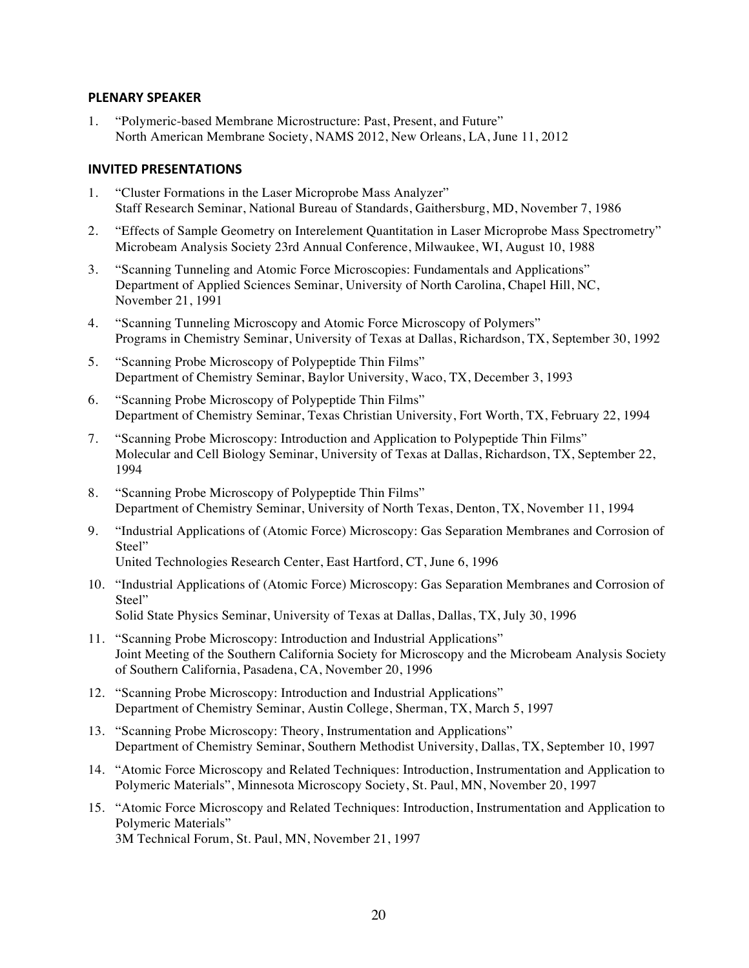#### **PLENARY SPEAKER**

1. "Polymeric-based Membrane Microstructure: Past, Present, and Future" North American Membrane Society, NAMS 2012, New Orleans, LA, June 11, 2012

## **INVITED PRESENTATIONS**

- 1. "Cluster Formations in the Laser Microprobe Mass Analyzer" Staff Research Seminar, National Bureau of Standards, Gaithersburg, MD, November 7, 1986
- 2. "Effects of Sample Geometry on Interelement Quantitation in Laser Microprobe Mass Spectrometry" Microbeam Analysis Society 23rd Annual Conference, Milwaukee, WI, August 10, 1988
- 3. "Scanning Tunneling and Atomic Force Microscopies: Fundamentals and Applications" Department of Applied Sciences Seminar, University of North Carolina, Chapel Hill, NC, November 21, 1991
- 4. "Scanning Tunneling Microscopy and Atomic Force Microscopy of Polymers" Programs in Chemistry Seminar, University of Texas at Dallas, Richardson, TX, September 30, 1992
- 5. "Scanning Probe Microscopy of Polypeptide Thin Films" Department of Chemistry Seminar, Baylor University, Waco, TX, December 3, 1993
- 6. "Scanning Probe Microscopy of Polypeptide Thin Films" Department of Chemistry Seminar, Texas Christian University, Fort Worth, TX, February 22, 1994
- 7. "Scanning Probe Microscopy: Introduction and Application to Polypeptide Thin Films" Molecular and Cell Biology Seminar, University of Texas at Dallas, Richardson, TX, September 22, 1994
- 8. "Scanning Probe Microscopy of Polypeptide Thin Films" Department of Chemistry Seminar, University of North Texas, Denton, TX, November 11, 1994
- 9. "Industrial Applications of (Atomic Force) Microscopy: Gas Separation Membranes and Corrosion of Steel" United Technologies Research Center, East Hartford, CT, June 6, 1996
- 10. "Industrial Applications of (Atomic Force) Microscopy: Gas Separation Membranes and Corrosion of Steel" Solid State Physics Seminar, University of Texas at Dallas, Dallas, TX, July 30, 1996
- 11. "Scanning Probe Microscopy: Introduction and Industrial Applications" Joint Meeting of the Southern California Society for Microscopy and the Microbeam Analysis Society of Southern California, Pasadena, CA, November 20, 1996
- 12. "Scanning Probe Microscopy: Introduction and Industrial Applications" Department of Chemistry Seminar, Austin College, Sherman, TX, March 5, 1997
- 13. "Scanning Probe Microscopy: Theory, Instrumentation and Applications" Department of Chemistry Seminar, Southern Methodist University, Dallas, TX, September 10, 1997
- 14. "Atomic Force Microscopy and Related Techniques: Introduction, Instrumentation and Application to Polymeric Materials", Minnesota Microscopy Society, St. Paul, MN, November 20, 1997
- 15. "Atomic Force Microscopy and Related Techniques: Introduction, Instrumentation and Application to Polymeric Materials"

3M Technical Forum, St. Paul, MN, November 21, 1997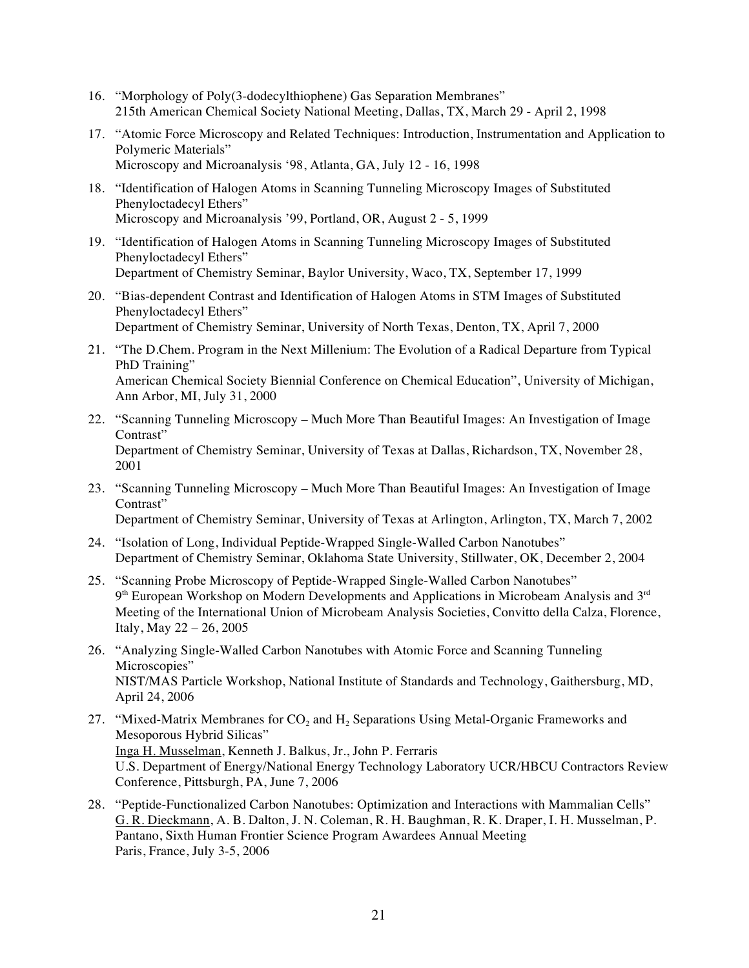- 16. "Morphology of Poly(3-dodecylthiophene) Gas Separation Membranes" 215th American Chemical Society National Meeting, Dallas, TX, March 29 - April 2, 1998
- 17. "Atomic Force Microscopy and Related Techniques: Introduction, Instrumentation and Application to Polymeric Materials" Microscopy and Microanalysis '98, Atlanta, GA, July 12 - 16, 1998
- 18. "Identification of Halogen Atoms in Scanning Tunneling Microscopy Images of Substituted Phenyloctadecyl Ethers" Microscopy and Microanalysis '99, Portland, OR, August 2 - 5, 1999
- 19. "Identification of Halogen Atoms in Scanning Tunneling Microscopy Images of Substituted Phenyloctadecyl Ethers" Department of Chemistry Seminar, Baylor University, Waco, TX, September 17, 1999
- 20. "Bias-dependent Contrast and Identification of Halogen Atoms in STM Images of Substituted Phenyloctadecyl Ethers" Department of Chemistry Seminar, University of North Texas, Denton, TX, April 7, 2000
- 21. "The D.Chem. Program in the Next Millenium: The Evolution of a Radical Departure from Typical PhD Training" American Chemical Society Biennial Conference on Chemical Education", University of Michigan, Ann Arbor, MI, July 31, 2000
- 22. "Scanning Tunneling Microscopy Much More Than Beautiful Images: An Investigation of Image Contrast" Department of Chemistry Seminar, University of Texas at Dallas, Richardson, TX, November 28, 2001
- 23. "Scanning Tunneling Microscopy Much More Than Beautiful Images: An Investigation of Image Contrast" Department of Chemistry Seminar, University of Texas at Arlington, Arlington, TX, March 7, 2002
- 24. "Isolation of Long, Individual Peptide-Wrapped Single-Walled Carbon Nanotubes" Department of Chemistry Seminar, Oklahoma State University, Stillwater, OK, December 2, 2004
- 25. "Scanning Probe Microscopy of Peptide-Wrapped Single-Walled Carbon Nanotubes"  $9<sup>th</sup> European Workshop on Modern Developments and Applications in Microbeam Analysis and  $3<sup>rd</sup>$$ Meeting of the International Union of Microbeam Analysis Societies, Convitto della Calza, Florence, Italy, May 22 – 26, 2005
- 26. "Analyzing Single-Walled Carbon Nanotubes with Atomic Force and Scanning Tunneling Microscopies" NIST/MAS Particle Workshop, National Institute of Standards and Technology, Gaithersburg, MD, April 24, 2006
- 27. "Mixed-Matrix Membranes for  $CO<sub>2</sub>$  and  $H<sub>2</sub>$  Separations Using Metal-Organic Frameworks and Mesoporous Hybrid Silicas" Inga H. Musselman, Kenneth J. Balkus, Jr., John P. Ferraris U.S. Department of Energy/National Energy Technology Laboratory UCR/HBCU Contractors Review Conference, Pittsburgh, PA, June 7, 2006
- 28. "Peptide-Functionalized Carbon Nanotubes: Optimization and Interactions with Mammalian Cells" G. R. Dieckmann, A. B. Dalton, J. N. Coleman, R. H. Baughman, R. K. Draper, I. H. Musselman, P. Pantano, Sixth Human Frontier Science Program Awardees Annual Meeting Paris, France, July 3-5, 2006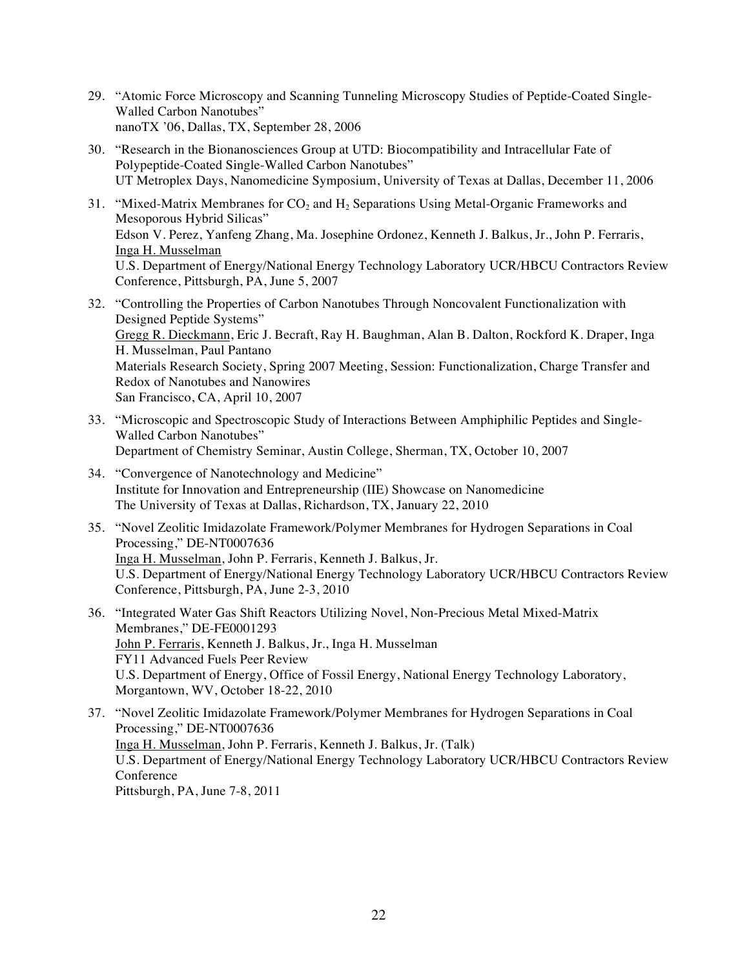- 29. "Atomic Force Microscopy and Scanning Tunneling Microscopy Studies of Peptide-Coated Single-Walled Carbon Nanotubes" nanoTX '06, Dallas, TX, September 28, 2006
- 30. "Research in the Bionanosciences Group at UTD: Biocompatibility and Intracellular Fate of Polypeptide-Coated Single-Walled Carbon Nanotubes" UT Metroplex Days, Nanomedicine Symposium, University of Texas at Dallas, December 11, 2006
- 31. "Mixed-Matrix Membranes for  $CO<sub>2</sub>$  and  $H<sub>2</sub>$  Separations Using Metal-Organic Frameworks and Mesoporous Hybrid Silicas" Edson V. Perez, Yanfeng Zhang, Ma. Josephine Ordonez, Kenneth J. Balkus, Jr., John P. Ferraris, Inga H. Musselman U.S. Department of Energy/National Energy Technology Laboratory UCR/HBCU Contractors Review Conference, Pittsburgh, PA, June 5, 2007
- 32. "Controlling the Properties of Carbon Nanotubes Through Noncovalent Functionalization with Designed Peptide Systems" Gregg R. Dieckmann, Eric J. Becraft, Ray H. Baughman, Alan B. Dalton, Rockford K. Draper, Inga H. Musselman, Paul Pantano Materials Research Society, Spring 2007 Meeting, Session: Functionalization, Charge Transfer and Redox of Nanotubes and Nanowires San Francisco, CA, April 10, 2007
- 33. "Microscopic and Spectroscopic Study of Interactions Between Amphiphilic Peptides and Single-Walled Carbon Nanotubes" Department of Chemistry Seminar, Austin College, Sherman, TX, October 10, 2007
- 34. "Convergence of Nanotechnology and Medicine" Institute for Innovation and Entrepreneurship (IIE) Showcase on Nanomedicine The University of Texas at Dallas, Richardson, TX, January 22, 2010
- 35. "Novel Zeolitic Imidazolate Framework/Polymer Membranes for Hydrogen Separations in Coal Processing," DE-NT0007636 Inga H. Musselman, John P. Ferraris, Kenneth J. Balkus, Jr. U.S. Department of Energy/National Energy Technology Laboratory UCR/HBCU Contractors Review Conference, Pittsburgh, PA, June 2-3, 2010
- 36. "Integrated Water Gas Shift Reactors Utilizing Novel, Non-Precious Metal Mixed-Matrix Membranes," DE-FE0001293 John P. Ferraris, Kenneth J. Balkus, Jr., Inga H. Musselman FY11 Advanced Fuels Peer Review U.S. Department of Energy, Office of Fossil Energy, National Energy Technology Laboratory, Morgantown, WV, October 18-22, 2010
- 37. "Novel Zeolitic Imidazolate Framework/Polymer Membranes for Hydrogen Separations in Coal Processing," DE-NT0007636 Inga H. Musselman, John P. Ferraris, Kenneth J. Balkus, Jr. (Talk) U.S. Department of Energy/National Energy Technology Laboratory UCR/HBCU Contractors Review Conference Pittsburgh, PA, June 7-8, 2011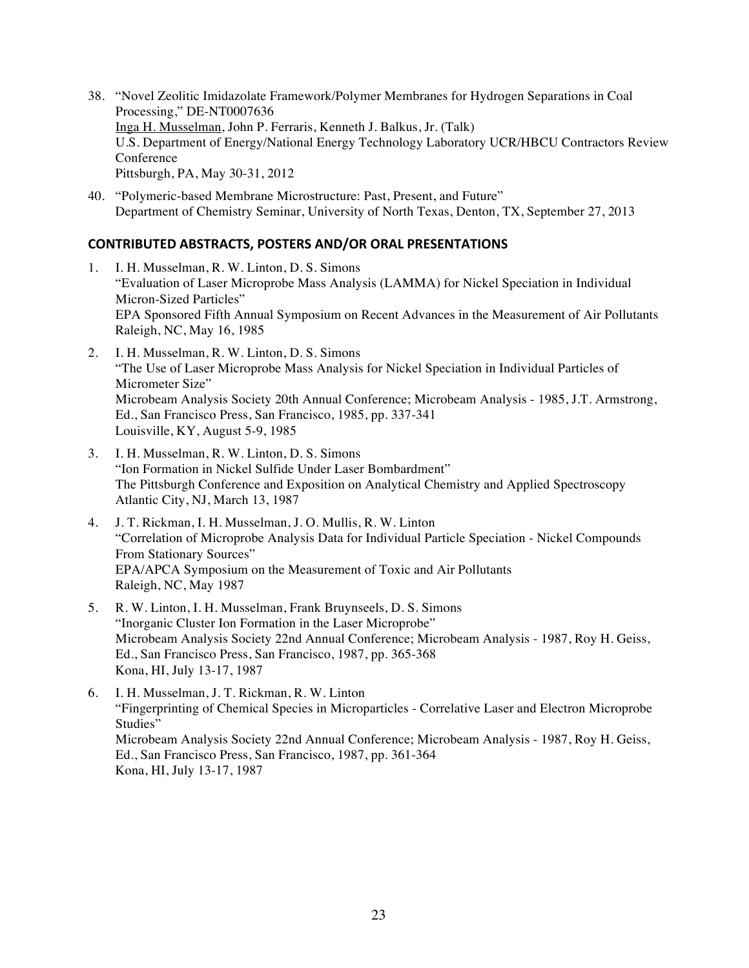- 38. "Novel Zeolitic Imidazolate Framework/Polymer Membranes for Hydrogen Separations in Coal Processing," DE-NT0007636 Inga H. Musselman, John P. Ferraris, Kenneth J. Balkus, Jr. (Talk) U.S. Department of Energy/National Energy Technology Laboratory UCR/HBCU Contractors Review **Conference** Pittsburgh, PA, May 30-31, 2012
- 40. "Polymeric-based Membrane Microstructure: Past, Present, and Future" Department of Chemistry Seminar, University of North Texas, Denton, TX, September 27, 2013

## **CONTRIBUTED ABSTRACTS, POSTERS AND/OR ORAL PRESENTATIONS**

- 1. I. H. Musselman, R. W. Linton, D. S. Simons "Evaluation of Laser Microprobe Mass Analysis (LAMMA) for Nickel Speciation in Individual Micron-Sized Particles" EPA Sponsored Fifth Annual Symposium on Recent Advances in the Measurement of Air Pollutants Raleigh, NC, May 16, 1985
- 2. I. H. Musselman, R. W. Linton, D. S. Simons "The Use of Laser Microprobe Mass Analysis for Nickel Speciation in Individual Particles of Micrometer Size" Microbeam Analysis Society 20th Annual Conference; Microbeam Analysis - 1985, J.T. Armstrong, Ed., San Francisco Press, San Francisco, 1985, pp. 337-341 Louisville, KY, August 5-9, 1985
- 3. I. H. Musselman, R. W. Linton, D. S. Simons "Ion Formation in Nickel Sulfide Under Laser Bombardment" The Pittsburgh Conference and Exposition on Analytical Chemistry and Applied Spectroscopy Atlantic City, NJ, March 13, 1987
- 4. J. T. Rickman, I. H. Musselman, J. O. Mullis, R. W. Linton "Correlation of Microprobe Analysis Data for Individual Particle Speciation - Nickel Compounds From Stationary Sources" EPA/APCA Symposium on the Measurement of Toxic and Air Pollutants Raleigh, NC, May 1987
- 5. R. W. Linton, I. H. Musselman, Frank Bruynseels, D. S. Simons "Inorganic Cluster Ion Formation in the Laser Microprobe" Microbeam Analysis Society 22nd Annual Conference; Microbeam Analysis - 1987, Roy H. Geiss, Ed., San Francisco Press, San Francisco, 1987, pp. 365-368 Kona, HI, July 13-17, 1987
- 6. I. H. Musselman, J. T. Rickman, R. W. Linton "Fingerprinting of Chemical Species in Microparticles - Correlative Laser and Electron Microprobe Studies" Microbeam Analysis Society 22nd Annual Conference; Microbeam Analysis - 1987, Roy H. Geiss, Ed., San Francisco Press, San Francisco, 1987, pp. 361-364 Kona, HI, July 13-17, 1987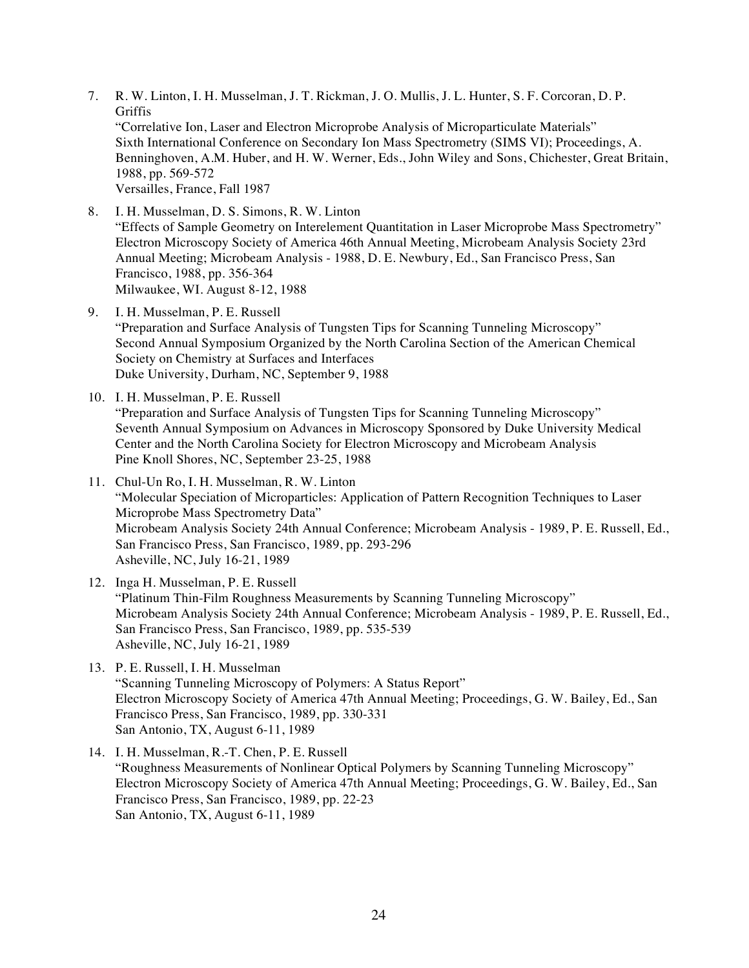- 7. R. W. Linton, I. H. Musselman, J. T. Rickman, J. O. Mullis, J. L. Hunter, S. F. Corcoran, D. P. **Griffis** "Correlative Ion, Laser and Electron Microprobe Analysis of Microparticulate Materials" Sixth International Conference on Secondary Ion Mass Spectrometry (SIMS VI); Proceedings, A. Benninghoven, A.M. Huber, and H. W. Werner, Eds., John Wiley and Sons, Chichester, Great Britain, 1988, pp. 569-572 Versailles, France, Fall 1987
- 8. I. H. Musselman, D. S. Simons, R. W. Linton "Effects of Sample Geometry on Interelement Quantitation in Laser Microprobe Mass Spectrometry" Electron Microscopy Society of America 46th Annual Meeting, Microbeam Analysis Society 23rd Annual Meeting; Microbeam Analysis - 1988, D. E. Newbury, Ed., San Francisco Press, San Francisco, 1988, pp. 356-364 Milwaukee, WI. August 8-12, 1988
- 9. I. H. Musselman, P. E. Russell "Preparation and Surface Analysis of Tungsten Tips for Scanning Tunneling Microscopy" Second Annual Symposium Organized by the North Carolina Section of the American Chemical Society on Chemistry at Surfaces and Interfaces Duke University, Durham, NC, September 9, 1988
- 10. I. H. Musselman, P. E. Russell "Preparation and Surface Analysis of Tungsten Tips for Scanning Tunneling Microscopy" Seventh Annual Symposium on Advances in Microscopy Sponsored by Duke University Medical Center and the North Carolina Society for Electron Microscopy and Microbeam Analysis Pine Knoll Shores, NC, September 23-25, 1988
- 11. Chul-Un Ro, I. H. Musselman, R. W. Linton "Molecular Speciation of Microparticles: Application of Pattern Recognition Techniques to Laser Microprobe Mass Spectrometry Data" Microbeam Analysis Society 24th Annual Conference; Microbeam Analysis - 1989, P. E. Russell, Ed., San Francisco Press, San Francisco, 1989, pp. 293-296 Asheville, NC, July 16-21, 1989
- 12. Inga H. Musselman, P. E. Russell "Platinum Thin-Film Roughness Measurements by Scanning Tunneling Microscopy" Microbeam Analysis Society 24th Annual Conference; Microbeam Analysis - 1989, P. E. Russell, Ed., San Francisco Press, San Francisco, 1989, pp. 535-539 Asheville, NC, July 16-21, 1989
- 13. P. E. Russell, I. H. Musselman "Scanning Tunneling Microscopy of Polymers: A Status Report" Electron Microscopy Society of America 47th Annual Meeting; Proceedings, G. W. Bailey, Ed., San Francisco Press, San Francisco, 1989, pp. 330-331 San Antonio, TX, August 6-11, 1989
- 14. I. H. Musselman, R.-T. Chen, P. E. Russell "Roughness Measurements of Nonlinear Optical Polymers by Scanning Tunneling Microscopy" Electron Microscopy Society of America 47th Annual Meeting; Proceedings, G. W. Bailey, Ed., San Francisco Press, San Francisco, 1989, pp. 22-23 San Antonio, TX, August 6-11, 1989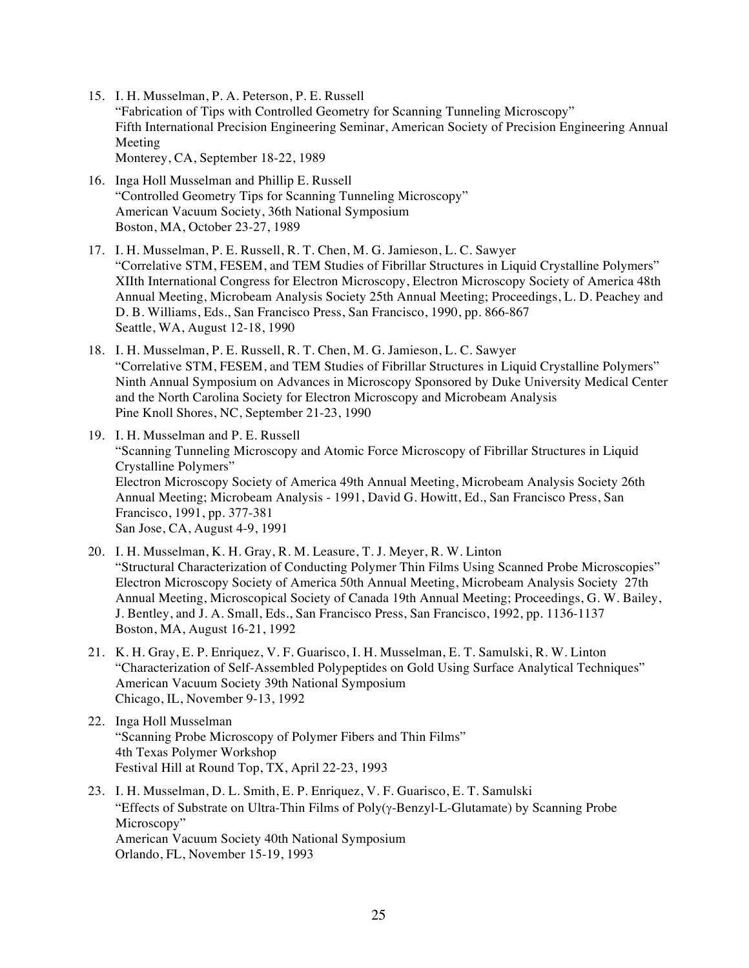- 15. I. H. Musselman, P. A. Peterson, P. E. Russell "Fabrication of Tips with Controlled Geometry for Scanning Tunneling Microscopy" Fifth International Precision Engineering Seminar, American Society of Precision Engineering Annual Meeting Monterey, CA, September 18-22, 1989
- 16. Inga Holl Musselman and Phillip E. Russell "Controlled Geometry Tips for Scanning Tunneling Microscopy" American Vacuum Society, 36th National Symposium Boston, MA, October 23-27, 1989
- 17. I. H. Musselman, P. E. Russell, R. T. Chen, M. G. Jamieson, L. C. Sawyer "Correlative STM, FESEM, and TEM Studies of Fibrillar Structures in Liquid Crystalline Polymers" XIIth International Congress for Electron Microscopy, Electron Microscopy Society of America 48th Annual Meeting, Microbeam Analysis Society 25th Annual Meeting; Proceedings, L. D. Peachey and D. B. Williams, Eds., San Francisco Press, San Francisco, 1990, pp. 866-867 Seattle, WA, August 12-18, 1990
- 18. I. H. Musselman, P. E. Russell, R. T. Chen, M. G. Jamieson, L. C. Sawyer "Correlative STM, FESEM, and TEM Studies of Fibrillar Structures in Liquid Crystalline Polymers" Ninth Annual Symposium on Advances in Microscopy Sponsored by Duke University Medical Center and the North Carolina Society for Electron Microscopy and Microbeam Analysis Pine Knoll Shores, NC, September 21-23, 1990
- 19. I. H. Musselman and P. E. Russell "Scanning Tunneling Microscopy and Atomic Force Microscopy of Fibrillar Structures in Liquid Crystalline Polymers" Electron Microscopy Society of America 49th Annual Meeting, Microbeam Analysis Society 26th Annual Meeting; Microbeam Analysis - 1991, David G. Howitt, Ed., San Francisco Press, San Francisco, 1991, pp. 377-381 San Jose, CA, August 4-9, 1991
- 20. I. H. Musselman, K. H. Gray, R. M. Leasure, T. J. Meyer, R. W. Linton "Structural Characterization of Conducting Polymer Thin Films Using Scanned Probe Microscopies" Electron Microscopy Society of America 50th Annual Meeting, Microbeam Analysis Society 27th Annual Meeting, Microscopical Society of Canada 19th Annual Meeting; Proceedings, G. W. Bailey, J. Bentley, and J. A. Small, Eds., San Francisco Press, San Francisco, 1992, pp. 1136-1137 Boston, MA, August 16-21, 1992
- 21. K. H. Gray, E. P. Enriquez, V. F. Guarisco, I. H. Musselman, E. T. Samulski, R. W. Linton "Characterization of Self-Assembled Polypeptides on Gold Using Surface Analytical Techniques" American Vacuum Society 39th National Symposium Chicago, IL, November 9-13, 1992
- 22. Inga Holl Musselman "Scanning Probe Microscopy of Polymer Fibers and Thin Films" 4th Texas Polymer Workshop Festival Hill at Round Top, TX, April 22-23, 1993
- 23. I. H. Musselman, D. L. Smith, E. P. Enriquez, V. F. Guarisco, E. T. Samulski "Effects of Substrate on Ultra-Thin Films of  $Poly(\gamma\text{-}Benzyl-L\text{-}Glutamate)$  by Scanning Probe Microscopy" American Vacuum Society 40th National Symposium Orlando, FL, November 15-19, 1993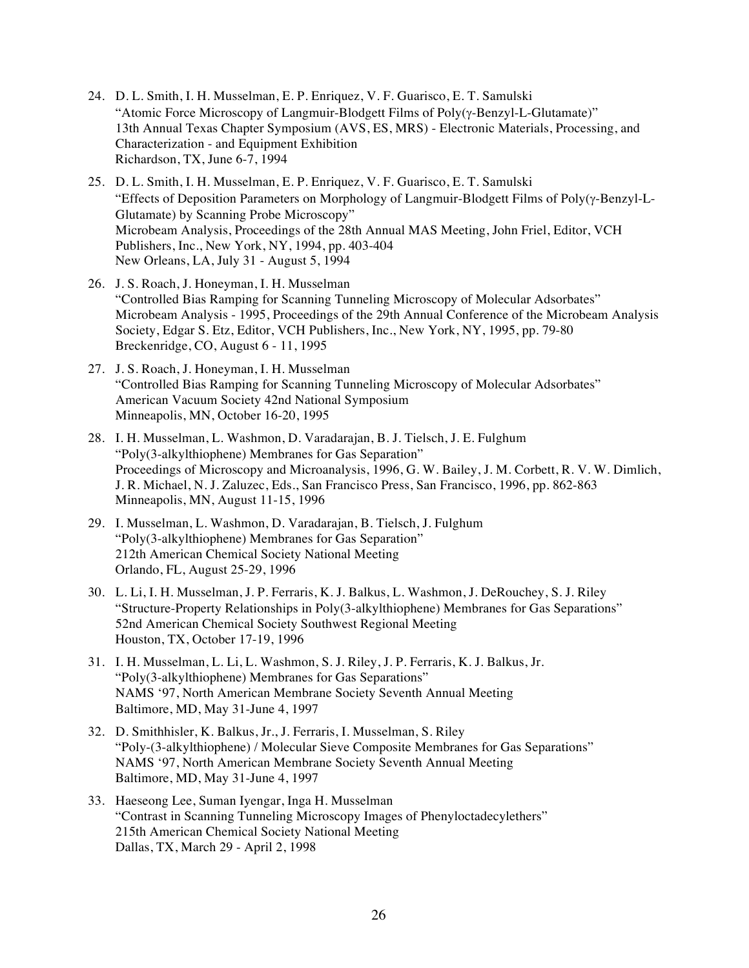- 24. D. L. Smith, I. H. Musselman, E. P. Enriquez, V. F. Guarisco, E. T. Samulski "Atomic Force Microscopy of Langmuir-Blodgett Films of Poly( $\gamma$ -Benzyl-L-Glutamate)" 13th Annual Texas Chapter Symposium (AVS, ES, MRS) - Electronic Materials, Processing, and Characterization - and Equipment Exhibition Richardson, TX, June 6-7, 1994
- 25. D. L. Smith, I. H. Musselman, E. P. Enriquez, V. F. Guarisco, E. T. Samulski "Effects of Deposition Parameters on Morphology of Langmuir-Blodgett Films of Poly( $\gamma$ -Benzyl-L-Glutamate) by Scanning Probe Microscopy" Microbeam Analysis, Proceedings of the 28th Annual MAS Meeting, John Friel, Editor, VCH Publishers, Inc., New York, NY, 1994, pp. 403-404 New Orleans, LA, July 31 - August 5, 1994
- 26. J. S. Roach, J. Honeyman, I. H. Musselman "Controlled Bias Ramping for Scanning Tunneling Microscopy of Molecular Adsorbates" Microbeam Analysis - 1995, Proceedings of the 29th Annual Conference of the Microbeam Analysis Society, Edgar S. Etz, Editor, VCH Publishers, Inc., New York, NY, 1995, pp. 79-80 Breckenridge, CO, August 6 - 11, 1995
- 27. J. S. Roach, J. Honeyman, I. H. Musselman "Controlled Bias Ramping for Scanning Tunneling Microscopy of Molecular Adsorbates" American Vacuum Society 42nd National Symposium Minneapolis, MN, October 16-20, 1995
- 28. I. H. Musselman, L. Washmon, D. Varadarajan, B. J. Tielsch, J. E. Fulghum "Poly(3-alkylthiophene) Membranes for Gas Separation" Proceedings of Microscopy and Microanalysis, 1996, G. W. Bailey, J. M. Corbett, R. V. W. Dimlich, J. R. Michael, N. J. Zaluzec, Eds., San Francisco Press, San Francisco, 1996, pp. 862-863 Minneapolis, MN, August 11-15, 1996
- 29. I. Musselman, L. Washmon, D. Varadarajan, B. Tielsch, J. Fulghum "Poly(3-alkylthiophene) Membranes for Gas Separation" 212th American Chemical Society National Meeting Orlando, FL, August 25-29, 1996
- 30. L. Li, I. H. Musselman, J. P. Ferraris, K. J. Balkus, L. Washmon, J. DeRouchey, S. J. Riley "Structure-Property Relationships in Poly(3-alkylthiophene) Membranes for Gas Separations" 52nd American Chemical Society Southwest Regional Meeting Houston, TX, October 17-19, 1996
- 31. I. H. Musselman, L. Li, L. Washmon, S. J. Riley, J. P. Ferraris, K. J. Balkus, Jr. "Poly(3-alkylthiophene) Membranes for Gas Separations" NAMS '97, North American Membrane Society Seventh Annual Meeting Baltimore, MD, May 31-June 4, 1997
- 32. D. Smithhisler, K. Balkus, Jr., J. Ferraris, I. Musselman, S. Riley "Poly-(3-alkylthiophene) / Molecular Sieve Composite Membranes for Gas Separations" NAMS '97, North American Membrane Society Seventh Annual Meeting Baltimore, MD, May 31-June 4, 1997
- 33. Haeseong Lee, Suman Iyengar, Inga H. Musselman "Contrast in Scanning Tunneling Microscopy Images of Phenyloctadecylethers" 215th American Chemical Society National Meeting Dallas, TX, March 29 - April 2, 1998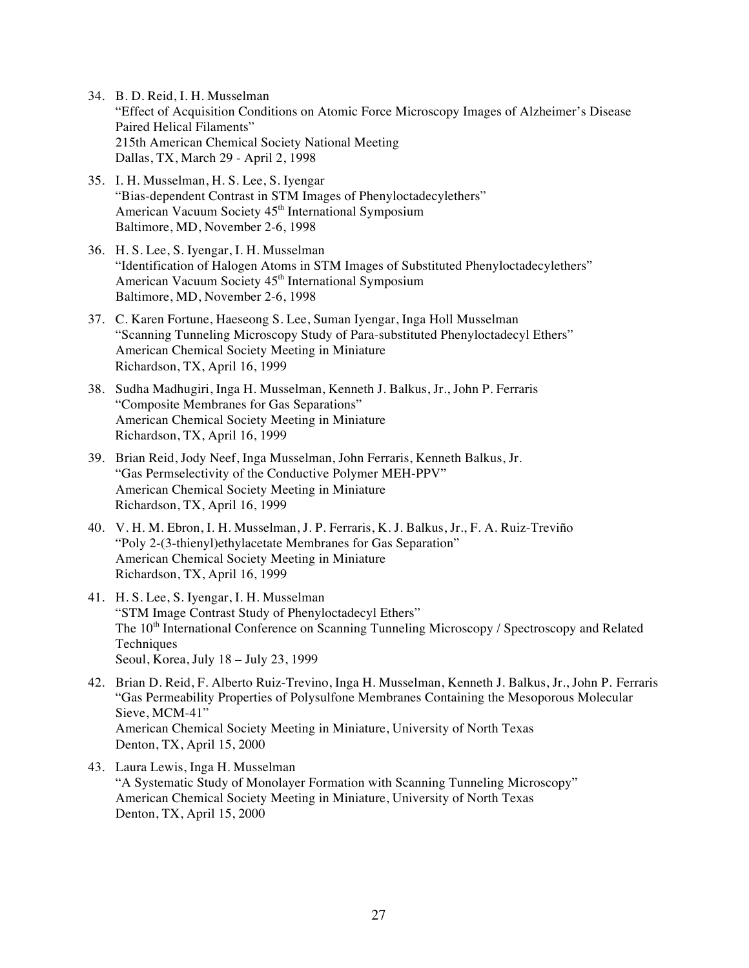- 34. B. D. Reid, I. H. Musselman "Effect of Acquisition Conditions on Atomic Force Microscopy Images of Alzheimer's Disease Paired Helical Filaments" 215th American Chemical Society National Meeting Dallas, TX, March 29 - April 2, 1998
- 35. I. H. Musselman, H. S. Lee, S. Iyengar "Bias-dependent Contrast in STM Images of Phenyloctadecylethers" American Vacuum Society 45<sup>th</sup> International Symposium Baltimore, MD, November 2-6, 1998
- 36. H. S. Lee, S. Iyengar, I. H. Musselman "Identification of Halogen Atoms in STM Images of Substituted Phenyloctadecylethers" American Vacuum Society 45<sup>th</sup> International Symposium Baltimore, MD, November 2-6, 1998
- 37. C. Karen Fortune, Haeseong S. Lee, Suman Iyengar, Inga Holl Musselman "Scanning Tunneling Microscopy Study of Para-substituted Phenyloctadecyl Ethers" American Chemical Society Meeting in Miniature Richardson, TX, April 16, 1999
- 38. Sudha Madhugiri, Inga H. Musselman, Kenneth J. Balkus, Jr., John P. Ferraris "Composite Membranes for Gas Separations" American Chemical Society Meeting in Miniature Richardson, TX, April 16, 1999
- 39. Brian Reid, Jody Neef, Inga Musselman, John Ferraris, Kenneth Balkus, Jr. "Gas Permselectivity of the Conductive Polymer MEH-PPV" American Chemical Society Meeting in Miniature Richardson, TX, April 16, 1999
- 40. V. H. M. Ebron, I. H. Musselman, J. P. Ferraris, K. J. Balkus, Jr., F. A. Ruiz-Treviño "Poly 2-(3-thienyl)ethylacetate Membranes for Gas Separation" American Chemical Society Meeting in Miniature Richardson, TX, April 16, 1999
- 41. H. S. Lee, S. Iyengar, I. H. Musselman "STM Image Contrast Study of Phenyloctadecyl Ethers" The 10<sup>th</sup> International Conference on Scanning Tunneling Microscopy / Spectroscopy and Related **Techniques** Seoul, Korea, July 18 – July 23, 1999
- 42. Brian D. Reid, F. Alberto Ruiz-Trevino, Inga H. Musselman, Kenneth J. Balkus, Jr., John P. Ferraris "Gas Permeability Properties of Polysulfone Membranes Containing the Mesoporous Molecular Sieve, MCM-41" American Chemical Society Meeting in Miniature, University of North Texas Denton, TX, April 15, 2000
- 43. Laura Lewis, Inga H. Musselman "A Systematic Study of Monolayer Formation with Scanning Tunneling Microscopy" American Chemical Society Meeting in Miniature, University of North Texas Denton, TX, April 15, 2000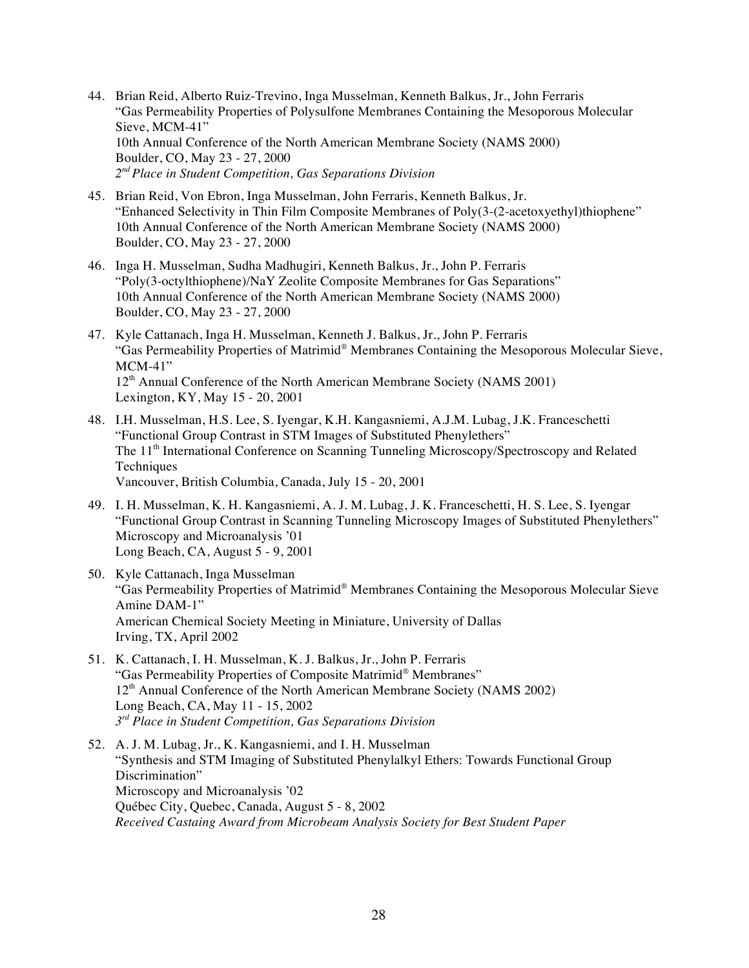- 44. Brian Reid, Alberto Ruiz-Trevino, Inga Musselman, Kenneth Balkus, Jr., John Ferraris "Gas Permeability Properties of Polysulfone Membranes Containing the Mesoporous Molecular Sieve, MCM-41" 10th Annual Conference of the North American Membrane Society (NAMS 2000) Boulder, CO, May 23 - 27, 2000 *2nd Place in Student Competition, Gas Separations Division*
- 45. Brian Reid, Von Ebron, Inga Musselman, John Ferraris, Kenneth Balkus, Jr. "Enhanced Selectivity in Thin Film Composite Membranes of Poly(3-(2-acetoxyethyl)thiophene" 10th Annual Conference of the North American Membrane Society (NAMS 2000) Boulder, CO, May 23 - 27, 2000
- 46. Inga H. Musselman, Sudha Madhugiri, Kenneth Balkus, Jr., John P. Ferraris "Poly(3-octylthiophene)/NaY Zeolite Composite Membranes for Gas Separations" 10th Annual Conference of the North American Membrane Society (NAMS 2000) Boulder, CO, May 23 - 27, 2000
- 47. Kyle Cattanach, Inga H. Musselman, Kenneth J. Balkus, Jr., John P. Ferraris "Gas Permeability Properties of Matrimid® Membranes Containing the Mesoporous Molecular Sieve, MCM-41" 12<sup>th</sup> Annual Conference of the North American Membrane Society (NAMS 2001) Lexington, KY, May 15 - 20, 2001
- 48. I.H. Musselman, H.S. Lee, S. Iyengar, K.H. Kangasniemi, A.J.M. Lubag, J.K. Franceschetti "Functional Group Contrast in STM Images of Substituted Phenylethers" The 11<sup>th</sup> International Conference on Scanning Tunneling Microscopy/Spectroscopy and Related **Techniques** Vancouver, British Columbia, Canada, July 15 - 20, 2001
- 49. I. H. Musselman, K. H. Kangasniemi, A. J. M. Lubag, J. K. Franceschetti, H. S. Lee, S. Iyengar "Functional Group Contrast in Scanning Tunneling Microscopy Images of Substituted Phenylethers" Microscopy and Microanalysis '01 Long Beach, CA, August 5 - 9, 2001
- 50. Kyle Cattanach, Inga Musselman "Gas Permeability Properties of Matrimid® Membranes Containing the Mesoporous Molecular Sieve Amine DAM-1" American Chemical Society Meeting in Miniature, University of Dallas Irving, TX, April 2002
- 51. K. Cattanach, I. H. Musselman, K. J. Balkus, Jr., John P. Ferraris "Gas Permeability Properties of Composite Matrimid® Membranes" 12<sup>th</sup> Annual Conference of the North American Membrane Society (NAMS 2002) Long Beach, CA, May 11 - 15, 2002 *3rd Place in Student Competition, Gas Separations Division*
- 52. A. J. M. Lubag, Jr., K. Kangasniemi, and I. H. Musselman "Synthesis and STM Imaging of Substituted Phenylalkyl Ethers: Towards Functional Group Discrimination" Microscopy and Microanalysis '02 Québec City, Quebec, Canada, August 5 - 8, 2002 *Received Castaing Award from Microbeam Analysis Society for Best Student Paper*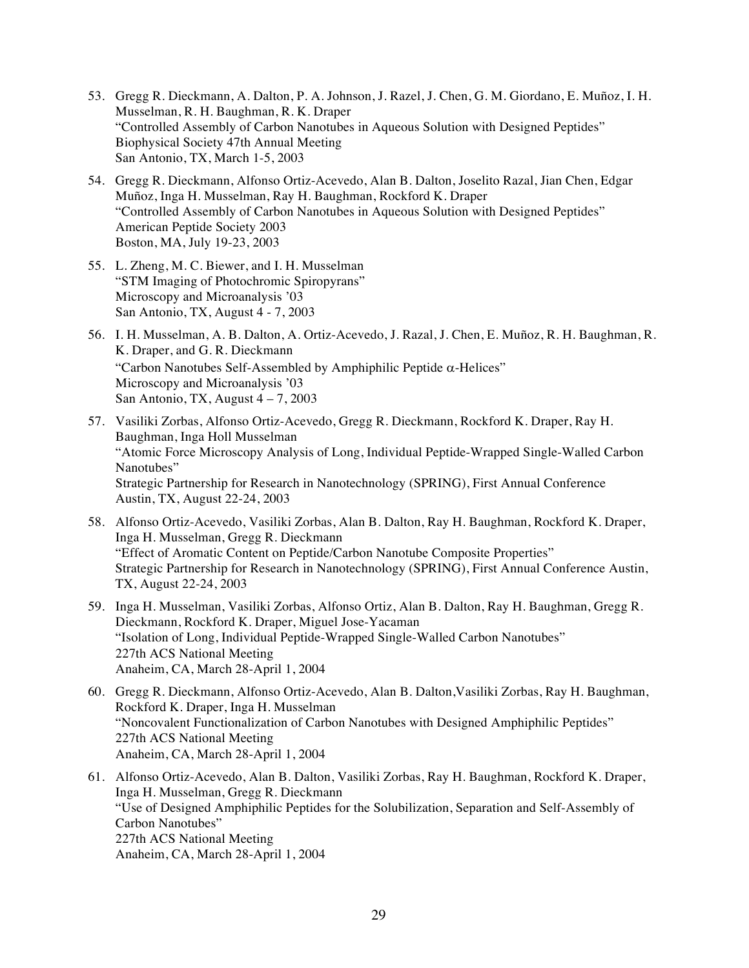- 53. Gregg R. Dieckmann, A. Dalton, P. A. Johnson, J. Razel, J. Chen, G. M. Giordano, E. Muñoz, I. H. Musselman, R. H. Baughman, R. K. Draper "Controlled Assembly of Carbon Nanotubes in Aqueous Solution with Designed Peptides" Biophysical Society 47th Annual Meeting San Antonio, TX, March 1-5, 2003
- 54. Gregg R. Dieckmann, Alfonso Ortiz-Acevedo, Alan B. Dalton, Joselito Razal, Jian Chen, Edgar Muñoz, Inga H. Musselman, Ray H. Baughman, Rockford K. Draper "Controlled Assembly of Carbon Nanotubes in Aqueous Solution with Designed Peptides" American Peptide Society 2003 Boston, MA, July 19-23, 2003
- 55. L. Zheng, M. C. Biewer, and I. H. Musselman "STM Imaging of Photochromic Spiropyrans" Microscopy and Microanalysis '03 San Antonio, TX, August 4 - 7, 2003
- 56. I. H. Musselman, A. B. Dalton, A. Ortiz-Acevedo, J. Razal, J. Chen, E. Muñoz, R. H. Baughman, R. K. Draper, and G. R. Dieckmann "Carbon Nanotubes Self-Assembled by Amphiphilic Peptide  $\alpha$ -Helices" Microscopy and Microanalysis '03 San Antonio, TX, August  $4 - 7$ , 2003
- 57. Vasiliki Zorbas, Alfonso Ortiz-Acevedo, Gregg R. Dieckmann, Rockford K. Draper, Ray H. Baughman, Inga Holl Musselman "Atomic Force Microscopy Analysis of Long, Individual Peptide-Wrapped Single-Walled Carbon Nanotubes" Strategic Partnership for Research in Nanotechnology (SPRING), First Annual Conference Austin, TX, August 22-24, 2003
- 58. Alfonso Ortiz-Acevedo, Vasiliki Zorbas, Alan B. Dalton, Ray H. Baughman, Rockford K. Draper, Inga H. Musselman, Gregg R. Dieckmann "Effect of Aromatic Content on Peptide/Carbon Nanotube Composite Properties" Strategic Partnership for Research in Nanotechnology (SPRING), First Annual Conference Austin, TX, August 22-24, 2003
- 59. Inga H. Musselman, Vasiliki Zorbas, Alfonso Ortiz, Alan B. Dalton, Ray H. Baughman, Gregg R. Dieckmann, Rockford K. Draper, Miguel Jose-Yacaman "Isolation of Long, Individual Peptide-Wrapped Single-Walled Carbon Nanotubes" 227th ACS National Meeting Anaheim, CA, March 28-April 1, 2004
- 60. Gregg R. Dieckmann, Alfonso Ortiz-Acevedo, Alan B. Dalton,Vasiliki Zorbas, Ray H. Baughman, Rockford K. Draper, Inga H. Musselman "Noncovalent Functionalization of Carbon Nanotubes with Designed Amphiphilic Peptides" 227th ACS National Meeting Anaheim, CA, March 28-April 1, 2004
- 61. Alfonso Ortiz-Acevedo, Alan B. Dalton, Vasiliki Zorbas, Ray H. Baughman, Rockford K. Draper, Inga H. Musselman, Gregg R. Dieckmann "Use of Designed Amphiphilic Peptides for the Solubilization, Separation and Self-Assembly of Carbon Nanotubes" 227th ACS National Meeting Anaheim, CA, March 28-April 1, 2004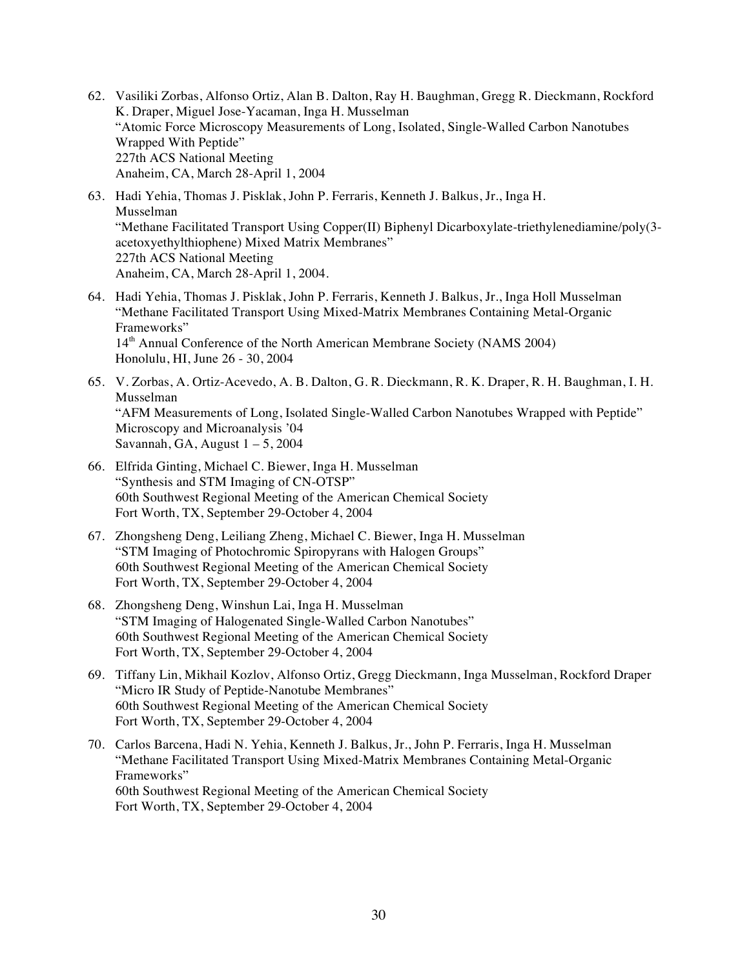- 62. Vasiliki Zorbas, Alfonso Ortiz, Alan B. Dalton, Ray H. Baughman, Gregg R. Dieckmann, Rockford K. Draper, Miguel Jose-Yacaman, Inga H. Musselman "Atomic Force Microscopy Measurements of Long, Isolated, Single-Walled Carbon Nanotubes Wrapped With Peptide" 227th ACS National Meeting Anaheim, CA, March 28-April 1, 2004
- 63. Hadi Yehia, Thomas J. Pisklak, John P. Ferraris, Kenneth J. Balkus, Jr., Inga H. Musselman "Methane Facilitated Transport Using Copper(II) Biphenyl Dicarboxylate-triethylenediamine/poly(3 acetoxyethylthiophene) Mixed Matrix Membranes" 227th ACS National Meeting Anaheim, CA, March 28-April 1, 2004.
- 64. Hadi Yehia, Thomas J. Pisklak, John P. Ferraris, Kenneth J. Balkus, Jr., Inga Holl Musselman "Methane Facilitated Transport Using Mixed-Matrix Membranes Containing Metal-Organic Frameworks" 14<sup>th</sup> Annual Conference of the North American Membrane Society (NAMS 2004) Honolulu, HI, June 26 - 30, 2004
- 65. V. Zorbas, A. Ortiz-Acevedo, A. B. Dalton, G. R. Dieckmann, R. K. Draper, R. H. Baughman, I. H. Musselman "AFM Measurements of Long, Isolated Single-Walled Carbon Nanotubes Wrapped with Peptide" Microscopy and Microanalysis '04 Savannah, GA, August 1 – 5, 2004
- 66. Elfrida Ginting, Michael C. Biewer, Inga H. Musselman "Synthesis and STM Imaging of CN-OTSP" 60th Southwest Regional Meeting of the American Chemical Society Fort Worth, TX, September 29-October 4, 2004
- 67. Zhongsheng Deng, Leiliang Zheng, Michael C. Biewer, Inga H. Musselman "STM Imaging of Photochromic Spiropyrans with Halogen Groups" 60th Southwest Regional Meeting of the American Chemical Society Fort Worth, TX, September 29-October 4, 2004
- 68. Zhongsheng Deng, Winshun Lai, Inga H. Musselman "STM Imaging of Halogenated Single-Walled Carbon Nanotubes" 60th Southwest Regional Meeting of the American Chemical Society Fort Worth, TX, September 29-October 4, 2004
- 69. Tiffany Lin, Mikhail Kozlov, Alfonso Ortiz, Gregg Dieckmann, Inga Musselman, Rockford Draper "Micro IR Study of Peptide-Nanotube Membranes" 60th Southwest Regional Meeting of the American Chemical Society Fort Worth, TX, September 29-October 4, 2004
- 70. Carlos Barcena, Hadi N. Yehia, Kenneth J. Balkus, Jr., John P. Ferraris, Inga H. Musselman "Methane Facilitated Transport Using Mixed-Matrix Membranes Containing Metal-Organic Frameworks" 60th Southwest Regional Meeting of the American Chemical Society Fort Worth, TX, September 29-October 4, 2004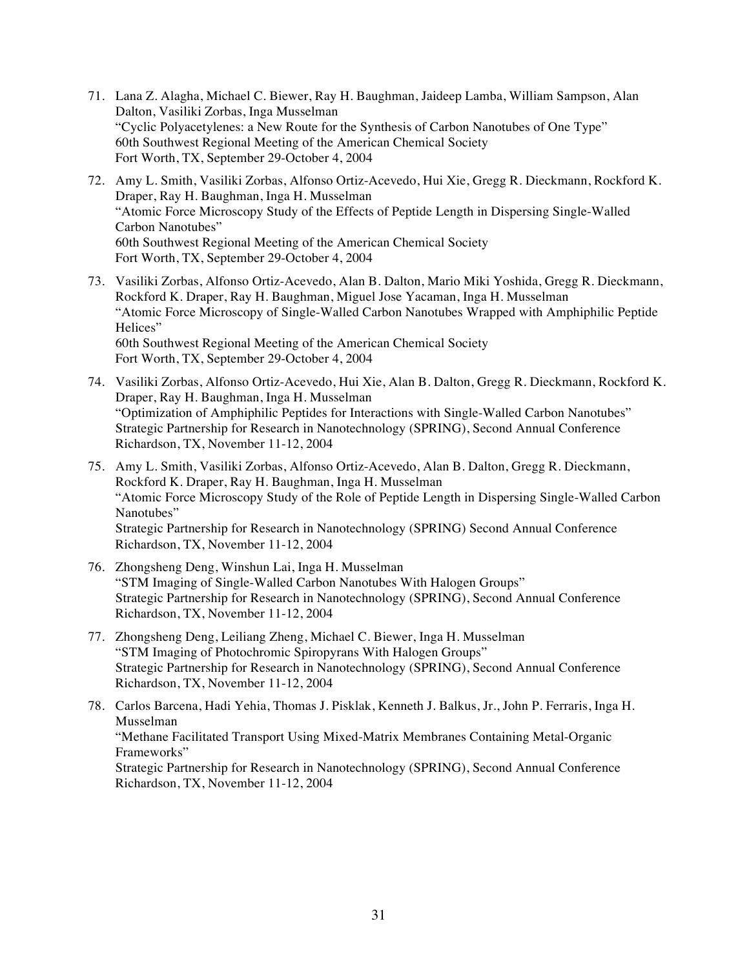- 71. Lana Z. Alagha, Michael C. Biewer, Ray H. Baughman, Jaideep Lamba, William Sampson, Alan Dalton, Vasiliki Zorbas, Inga Musselman "Cyclic Polyacetylenes: a New Route for the Synthesis of Carbon Nanotubes of One Type" 60th Southwest Regional Meeting of the American Chemical Society Fort Worth, TX, September 29-October 4, 2004
- 72. Amy L. Smith, Vasiliki Zorbas, Alfonso Ortiz-Acevedo, Hui Xie, Gregg R. Dieckmann, Rockford K. Draper, Ray H. Baughman, Inga H. Musselman "Atomic Force Microscopy Study of the Effects of Peptide Length in Dispersing Single-Walled Carbon Nanotubes" 60th Southwest Regional Meeting of the American Chemical Society Fort Worth, TX, September 29-October 4, 2004
- 73. Vasiliki Zorbas, Alfonso Ortiz-Acevedo, Alan B. Dalton, Mario Miki Yoshida, Gregg R. Dieckmann, Rockford K. Draper, Ray H. Baughman, Miguel Jose Yacaman, Inga H. Musselman "Atomic Force Microscopy of Single-Walled Carbon Nanotubes Wrapped with Amphiphilic Peptide Helices" 60th Southwest Regional Meeting of the American Chemical Society Fort Worth, TX, September 29-October 4, 2004
- 74. Vasiliki Zorbas, Alfonso Ortiz-Acevedo, Hui Xie, Alan B. Dalton, Gregg R. Dieckmann, Rockford K. Draper, Ray H. Baughman, Inga H. Musselman "Optimization of Amphiphilic Peptides for Interactions with Single-Walled Carbon Nanotubes" Strategic Partnership for Research in Nanotechnology (SPRING), Second Annual Conference Richardson, TX, November 11-12, 2004
- 75. Amy L. Smith, Vasiliki Zorbas, Alfonso Ortiz-Acevedo, Alan B. Dalton, Gregg R. Dieckmann, Rockford K. Draper, Ray H. Baughman, Inga H. Musselman "Atomic Force Microscopy Study of the Role of Peptide Length in Dispersing Single-Walled Carbon Nanotubes" Strategic Partnership for Research in Nanotechnology (SPRING) Second Annual Conference Richardson, TX, November 11-12, 2004
- 76. Zhongsheng Deng, Winshun Lai, Inga H. Musselman "STM Imaging of Single-Walled Carbon Nanotubes With Halogen Groups" Strategic Partnership for Research in Nanotechnology (SPRING), Second Annual Conference Richardson, TX, November 11-12, 2004
- 77. Zhongsheng Deng, Leiliang Zheng, Michael C. Biewer, Inga H. Musselman "STM Imaging of Photochromic Spiropyrans With Halogen Groups" Strategic Partnership for Research in Nanotechnology (SPRING), Second Annual Conference Richardson, TX, November 11-12, 2004
- 78. Carlos Barcena, Hadi Yehia, Thomas J. Pisklak, Kenneth J. Balkus, Jr., John P. Ferraris, Inga H. Musselman "Methane Facilitated Transport Using Mixed-Matrix Membranes Containing Metal-Organic Frameworks" Strategic Partnership for Research in Nanotechnology (SPRING), Second Annual Conference Richardson, TX, November 11-12, 2004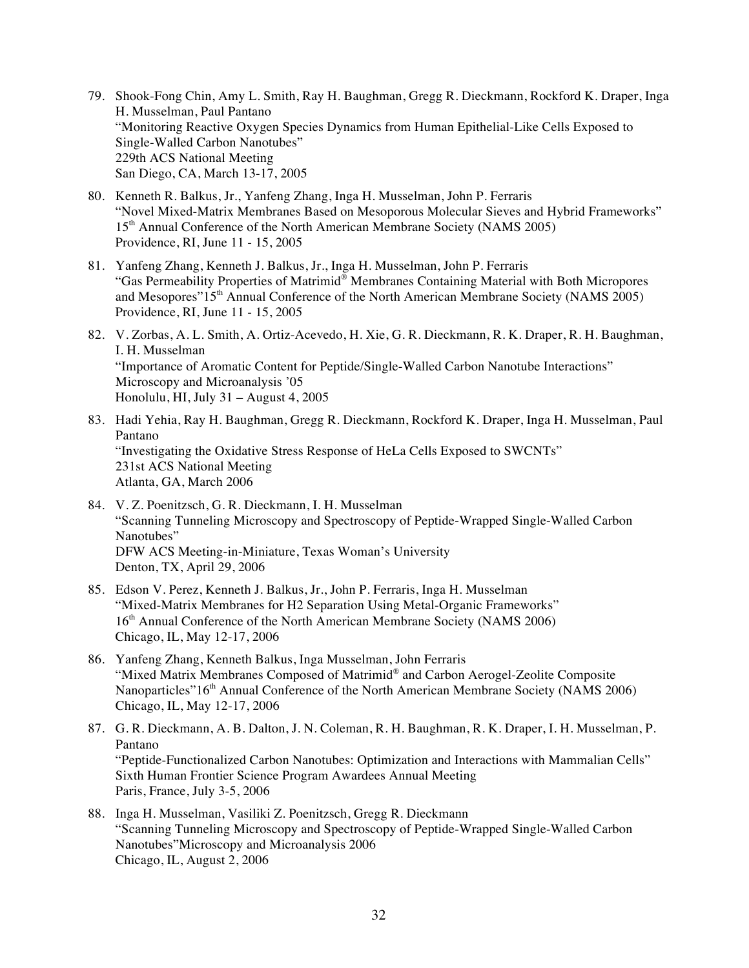- 79. Shook-Fong Chin, Amy L. Smith, Ray H. Baughman, Gregg R. Dieckmann, Rockford K. Draper, Inga H. Musselman, Paul Pantano "Monitoring Reactive Oxygen Species Dynamics from Human Epithelial-Like Cells Exposed to Single-Walled Carbon Nanotubes" 229th ACS National Meeting San Diego, CA, March 13-17, 2005
- 80. Kenneth R. Balkus, Jr., Yanfeng Zhang, Inga H. Musselman, John P. Ferraris "Novel Mixed-Matrix Membranes Based on Mesoporous Molecular Sieves and Hybrid Frameworks" 15th Annual Conference of the North American Membrane Society (NAMS 2005) Providence, RI, June 11 - 15, 2005
- 81. Yanfeng Zhang, Kenneth J. Balkus, Jr., Inga H. Musselman, John P. Ferraris "Gas Permeability Properties of Matrimid® Membranes Containing Material with Both Micropores and Mesopores"15<sup>th</sup> Annual Conference of the North American Membrane Society (NAMS 2005) Providence, RI, June 11 - 15, 2005
- 82. V. Zorbas, A. L. Smith, A. Ortiz-Acevedo, H. Xie, G. R. Dieckmann, R. K. Draper, R. H. Baughman, I. H. Musselman "Importance of Aromatic Content for Peptide/Single-Walled Carbon Nanotube Interactions" Microscopy and Microanalysis '05 Honolulu, HI, July 31 – August 4, 2005
- 83. Hadi Yehia, Ray H. Baughman, Gregg R. Dieckmann, Rockford K. Draper, Inga H. Musselman, Paul Pantano "Investigating the Oxidative Stress Response of HeLa Cells Exposed to SWCNTs" 231st ACS National Meeting Atlanta, GA, March 2006
- 84. V. Z. Poenitzsch, G. R. Dieckmann, I. H. Musselman "Scanning Tunneling Microscopy and Spectroscopy of Peptide-Wrapped Single-Walled Carbon Nanotubes" DFW ACS Meeting-in-Miniature, Texas Woman's University Denton, TX, April 29, 2006
- 85. Edson V. Perez, Kenneth J. Balkus, Jr., John P. Ferraris, Inga H. Musselman "Mixed-Matrix Membranes for H2 Separation Using Metal-Organic Frameworks" 16<sup>th</sup> Annual Conference of the North American Membrane Society (NAMS 2006) Chicago, IL, May 12-17, 2006
- 86. Yanfeng Zhang, Kenneth Balkus, Inga Musselman, John Ferraris "Mixed Matrix Membranes Composed of Matrimid® and Carbon Aerogel-Zeolite Composite Nanoparticles"16<sup>th</sup> Annual Conference of the North American Membrane Society (NAMS 2006) Chicago, IL, May 12-17, 2006
- 87. G. R. Dieckmann, A. B. Dalton, J. N. Coleman, R. H. Baughman, R. K. Draper, I. H. Musselman, P. Pantano "Peptide-Functionalized Carbon Nanotubes: Optimization and Interactions with Mammalian Cells" Sixth Human Frontier Science Program Awardees Annual Meeting Paris, France, July 3-5, 2006
- 88. Inga H. Musselman, Vasiliki Z. Poenitzsch, Gregg R. Dieckmann "Scanning Tunneling Microscopy and Spectroscopy of Peptide-Wrapped Single-Walled Carbon Nanotubes"Microscopy and Microanalysis 2006 Chicago, IL, August 2, 2006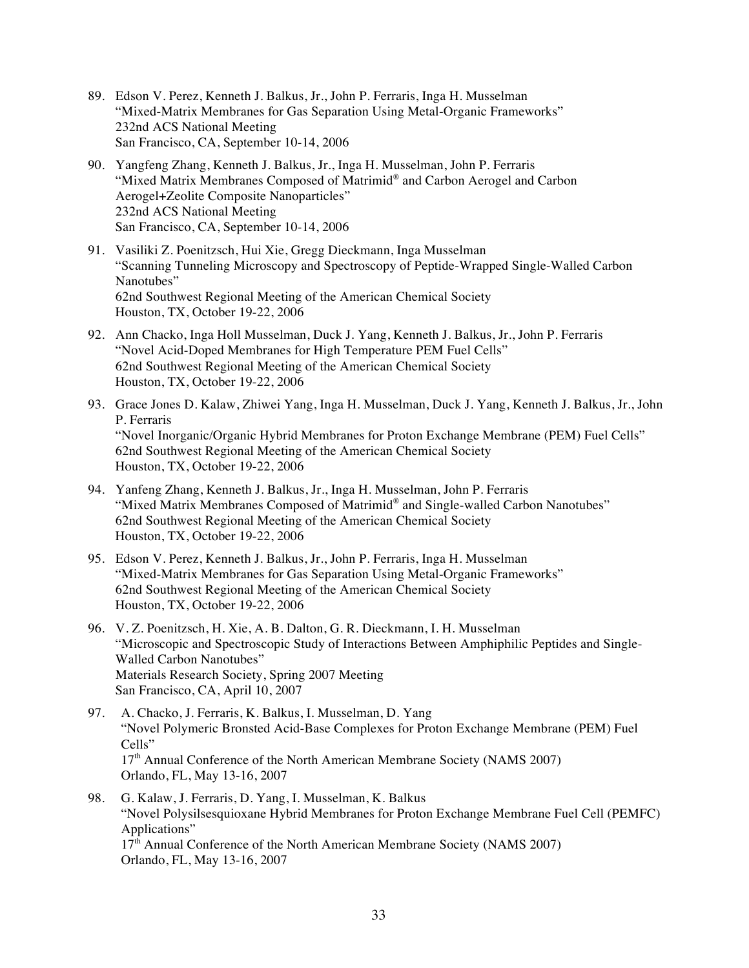- 89. Edson V. Perez, Kenneth J. Balkus, Jr., John P. Ferraris, Inga H. Musselman "Mixed-Matrix Membranes for Gas Separation Using Metal-Organic Frameworks" 232nd ACS National Meeting San Francisco, CA, September 10-14, 2006
- 90. Yangfeng Zhang, Kenneth J. Balkus, Jr., Inga H. Musselman, John P. Ferraris "Mixed Matrix Membranes Composed of Matrimid® and Carbon Aerogel and Carbon Aerogel+Zeolite Composite Nanoparticles" 232nd ACS National Meeting San Francisco, CA, September 10-14, 2006
- 91. Vasiliki Z. Poenitzsch, Hui Xie, Gregg Dieckmann, Inga Musselman "Scanning Tunneling Microscopy and Spectroscopy of Peptide-Wrapped Single-Walled Carbon Nanotubes" 62nd Southwest Regional Meeting of the American Chemical Society Houston, TX, October 19-22, 2006
- 92. Ann Chacko, Inga Holl Musselman, Duck J. Yang, Kenneth J. Balkus, Jr., John P. Ferraris "Novel Acid-Doped Membranes for High Temperature PEM Fuel Cells" 62nd Southwest Regional Meeting of the American Chemical Society Houston, TX, October 19-22, 2006
- 93. Grace Jones D. Kalaw, Zhiwei Yang, Inga H. Musselman, Duck J. Yang, Kenneth J. Balkus, Jr., John P. Ferraris "Novel Inorganic/Organic Hybrid Membranes for Proton Exchange Membrane (PEM) Fuel Cells" 62nd Southwest Regional Meeting of the American Chemical Society Houston, TX, October 19-22, 2006
- 94. Yanfeng Zhang, Kenneth J. Balkus, Jr., Inga H. Musselman, John P. Ferraris "Mixed Matrix Membranes Composed of Matrimid® and Single-walled Carbon Nanotubes" 62nd Southwest Regional Meeting of the American Chemical Society Houston, TX, October 19-22, 2006
- 95. Edson V. Perez, Kenneth J. Balkus, Jr., John P. Ferraris, Inga H. Musselman "Mixed-Matrix Membranes for Gas Separation Using Metal-Organic Frameworks" 62nd Southwest Regional Meeting of the American Chemical Society Houston, TX, October 19-22, 2006
- 96. V. Z. Poenitzsch, H. Xie, A. B. Dalton, G. R. Dieckmann, I. H. Musselman "Microscopic and Spectroscopic Study of Interactions Between Amphiphilic Peptides and Single-Walled Carbon Nanotubes" Materials Research Society, Spring 2007 Meeting San Francisco, CA, April 10, 2007
- 97. A. Chacko, J. Ferraris, K. Balkus, I. Musselman, D. Yang "Novel Polymeric Bronsted Acid-Base Complexes for Proton Exchange Membrane (PEM) Fuel Cells" 17<sup>th</sup> Annual Conference of the North American Membrane Society (NAMS 2007) Orlando, FL, May 13-16, 2007
- 98. G. Kalaw, J. Ferraris, D. Yang, I. Musselman, K. Balkus "Novel Polysilsesquioxane Hybrid Membranes for Proton Exchange Membrane Fuel Cell (PEMFC) Applications" 17<sup>th</sup> Annual Conference of the North American Membrane Society (NAMS 2007) Orlando, FL, May 13-16, 2007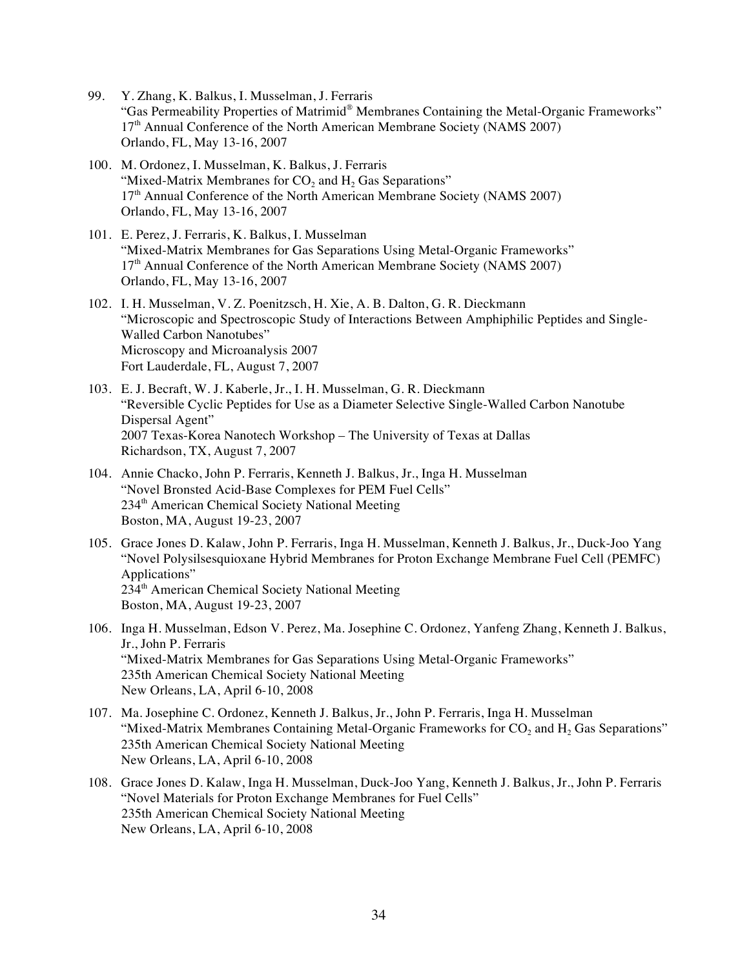- 99. Y. Zhang, K. Balkus, I. Musselman, J. Ferraris "Gas Permeability Properties of Matrimid® Membranes Containing the Metal-Organic Frameworks" 17<sup>th</sup> Annual Conference of the North American Membrane Society (NAMS 2007) Orlando, FL, May 13-16, 2007
- 100. M. Ordonez, I. Musselman, K. Balkus, J. Ferraris "Mixed-Matrix Membranes for  $CO<sub>2</sub>$  and  $H<sub>2</sub>$  Gas Separations" 17<sup>th</sup> Annual Conference of the North American Membrane Society (NAMS 2007) Orlando, FL, May 13-16, 2007
- 101. E. Perez, J. Ferraris, K. Balkus, I. Musselman "Mixed-Matrix Membranes for Gas Separations Using Metal-Organic Frameworks" 17<sup>th</sup> Annual Conference of the North American Membrane Society (NAMS 2007) Orlando, FL, May 13-16, 2007
- 102. I. H. Musselman, V. Z. Poenitzsch, H. Xie, A. B. Dalton, G. R. Dieckmann "Microscopic and Spectroscopic Study of Interactions Between Amphiphilic Peptides and Single-Walled Carbon Nanotubes" Microscopy and Microanalysis 2007 Fort Lauderdale, FL, August 7, 2007
- 103. E. J. Becraft, W. J. Kaberle, Jr., I. H. Musselman, G. R. Dieckmann "Reversible Cyclic Peptides for Use as a Diameter Selective Single-Walled Carbon Nanotube Dispersal Agent" 2007 Texas-Korea Nanotech Workshop – The University of Texas at Dallas Richardson, TX, August 7, 2007
- 104. Annie Chacko, John P. Ferraris, Kenneth J. Balkus, Jr., Inga H. Musselman "Novel Bronsted Acid-Base Complexes for PEM Fuel Cells" 234<sup>th</sup> American Chemical Society National Meeting Boston, MA, August 19-23, 2007
- 105. Grace Jones D. Kalaw, John P. Ferraris, Inga H. Musselman, Kenneth J. Balkus, Jr., Duck-Joo Yang "Novel Polysilsesquioxane Hybrid Membranes for Proton Exchange Membrane Fuel Cell (PEMFC) Applications" 234<sup>th</sup> American Chemical Society National Meeting Boston, MA, August 19-23, 2007
- 106. Inga H. Musselman, Edson V. Perez, Ma. Josephine C. Ordonez, Yanfeng Zhang, Kenneth J. Balkus, Jr., John P. Ferraris "Mixed-Matrix Membranes for Gas Separations Using Metal-Organic Frameworks" 235th American Chemical Society National Meeting New Orleans, LA, April 6-10, 2008
- 107. Ma. Josephine C. Ordonez, Kenneth J. Balkus, Jr., John P. Ferraris, Inga H. Musselman "Mixed-Matrix Membranes Containing Metal-Organic Frameworks for  $CO<sub>2</sub>$  and  $H<sub>2</sub>$  Gas Separations" 235th American Chemical Society National Meeting New Orleans, LA, April 6-10, 2008
- 108. Grace Jones D. Kalaw, Inga H. Musselman, Duck-Joo Yang, Kenneth J. Balkus, Jr., John P. Ferraris "Novel Materials for Proton Exchange Membranes for Fuel Cells" 235th American Chemical Society National Meeting New Orleans, LA, April 6-10, 2008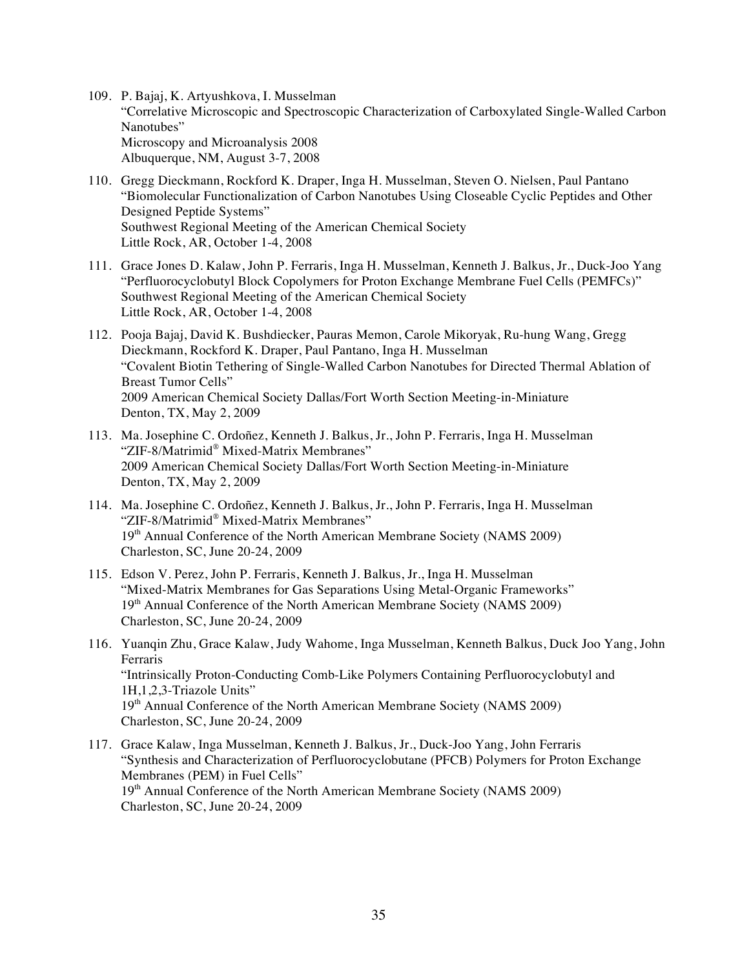- 109. P. Bajaj, K. Artyushkova, I. Musselman "Correlative Microscopic and Spectroscopic Characterization of Carboxylated Single-Walled Carbon Nanotubes" Microscopy and Microanalysis 2008 Albuquerque, NM, August 3-7, 2008
- 110. Gregg Dieckmann, Rockford K. Draper, Inga H. Musselman, Steven O. Nielsen, Paul Pantano "Biomolecular Functionalization of Carbon Nanotubes Using Closeable Cyclic Peptides and Other Designed Peptide Systems" Southwest Regional Meeting of the American Chemical Society Little Rock, AR, October 1-4, 2008
- 111. Grace Jones D. Kalaw, John P. Ferraris, Inga H. Musselman, Kenneth J. Balkus, Jr., Duck-Joo Yang "Perfluorocyclobutyl Block Copolymers for Proton Exchange Membrane Fuel Cells (PEMFCs)" Southwest Regional Meeting of the American Chemical Society Little Rock, AR, October 1-4, 2008
- 112. Pooja Bajaj, David K. Bushdiecker, Pauras Memon, Carole Mikoryak, Ru-hung Wang, Gregg Dieckmann, Rockford K. Draper, Paul Pantano, Inga H. Musselman "Covalent Biotin Tethering of Single-Walled Carbon Nanotubes for Directed Thermal Ablation of Breast Tumor Cells" 2009 American Chemical Society Dallas/Fort Worth Section Meeting-in-Miniature Denton, TX, May 2, 2009
- 113. Ma. Josephine C. Ordoñez, Kenneth J. Balkus, Jr., John P. Ferraris, Inga H. Musselman "ZIF-8/Matrimid® Mixed-Matrix Membranes" 2009 American Chemical Society Dallas/Fort Worth Section Meeting-in-Miniature Denton, TX, May 2, 2009
- 114. Ma. Josephine C. Ordoñez, Kenneth J. Balkus, Jr., John P. Ferraris, Inga H. Musselman "ZIF-8/Matrimid® Mixed-Matrix Membranes" 19<sup>th</sup> Annual Conference of the North American Membrane Society (NAMS 2009) Charleston, SC, June 20-24, 2009
- 115. Edson V. Perez, John P. Ferraris, Kenneth J. Balkus, Jr., Inga H. Musselman "Mixed-Matrix Membranes for Gas Separations Using Metal-Organic Frameworks" 19<sup>th</sup> Annual Conference of the North American Membrane Society (NAMS 2009) Charleston, SC, June 20-24, 2009
- 116. Yuanqin Zhu, Grace Kalaw, Judy Wahome, Inga Musselman, Kenneth Balkus, Duck Joo Yang, John Ferraris "Intrinsically Proton-Conducting Comb-Like Polymers Containing Perfluorocyclobutyl and 1H,1,2,3-Triazole Units" 19<sup>th</sup> Annual Conference of the North American Membrane Society (NAMS 2009) Charleston, SC, June 20-24, 2009
- 117. Grace Kalaw, Inga Musselman, Kenneth J. Balkus, Jr., Duck-Joo Yang, John Ferraris "Synthesis and Characterization of Perfluorocyclobutane (PFCB) Polymers for Proton Exchange Membranes (PEM) in Fuel Cells" 19<sup>th</sup> Annual Conference of the North American Membrane Society (NAMS 2009) Charleston, SC, June 20-24, 2009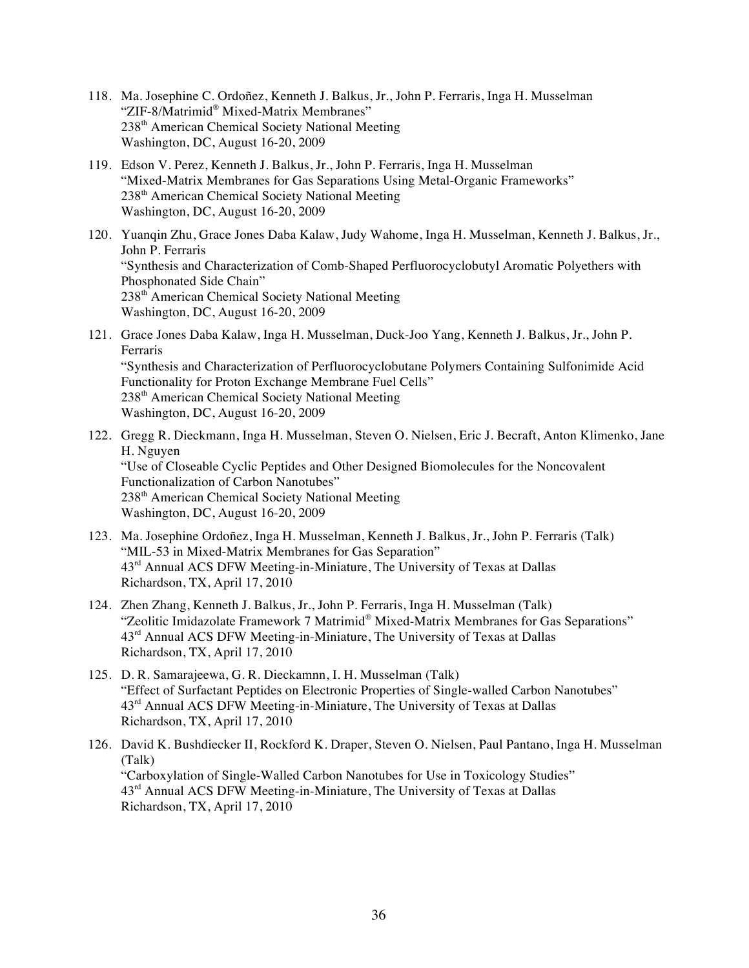- 118. Ma. Josephine C. Ordoñez, Kenneth J. Balkus, Jr., John P. Ferraris, Inga H. Musselman "ZIF-8/Matrimid® Mixed-Matrix Membranes" 238th American Chemical Society National Meeting Washington, DC, August 16-20, 2009
- 119. Edson V. Perez, Kenneth J. Balkus, Jr., John P. Ferraris, Inga H. Musselman "Mixed-Matrix Membranes for Gas Separations Using Metal-Organic Frameworks" 238th American Chemical Society National Meeting Washington, DC, August 16-20, 2009
- 120. Yuanqin Zhu, Grace Jones Daba Kalaw, Judy Wahome, Inga H. Musselman, Kenneth J. Balkus, Jr., John P. Ferraris "Synthesis and Characterization of Comb-Shaped Perfluorocyclobutyl Aromatic Polyethers with Phosphonated Side Chain" 238<sup>th</sup> American Chemical Society National Meeting Washington, DC, August 16-20, 2009
- 121. Grace Jones Daba Kalaw, Inga H. Musselman, Duck-Joo Yang, Kenneth J. Balkus, Jr., John P. Ferraris "Synthesis and Characterization of Perfluorocyclobutane Polymers Containing Sulfonimide Acid Functionality for Proton Exchange Membrane Fuel Cells" 238th American Chemical Society National Meeting Washington, DC, August 16-20, 2009
- 122. Gregg R. Dieckmann, Inga H. Musselman, Steven O. Nielsen, Eric J. Becraft, Anton Klimenko, Jane H. Nguyen "Use of Closeable Cyclic Peptides and Other Designed Biomolecules for the Noncovalent Functionalization of Carbon Nanotubes" 238th American Chemical Society National Meeting Washington, DC, August 16-20, 2009
- 123. Ma. Josephine Ordoñez, Inga H. Musselman, Kenneth J. Balkus, Jr., John P. Ferraris (Talk) "MIL-53 in Mixed-Matrix Membranes for Gas Separation" 43rd Annual ACS DFW Meeting-in-Miniature, The University of Texas at Dallas Richardson, TX, April 17, 2010
- 124. Zhen Zhang, Kenneth J. Balkus, Jr., John P. Ferraris, Inga H. Musselman (Talk) "Zeolitic Imidazolate Framework 7 Matrimid® Mixed-Matrix Membranes for Gas Separations" 43rd Annual ACS DFW Meeting-in-Miniature, The University of Texas at Dallas Richardson, TX, April 17, 2010
- 125. D. R. Samarajeewa, G. R. Dieckamnn, I. H. Musselman (Talk) "Effect of Surfactant Peptides on Electronic Properties of Single-walled Carbon Nanotubes" 43rd Annual ACS DFW Meeting-in-Miniature, The University of Texas at Dallas Richardson, TX, April 17, 2010
- 126. David K. Bushdiecker II, Rockford K. Draper, Steven O. Nielsen, Paul Pantano, Inga H. Musselman (Talk) "Carboxylation of Single-Walled Carbon Nanotubes for Use in Toxicology Studies" 43<sup>rd</sup> Annual ACS DFW Meeting-in-Miniature, The University of Texas at Dallas Richardson, TX, April 17, 2010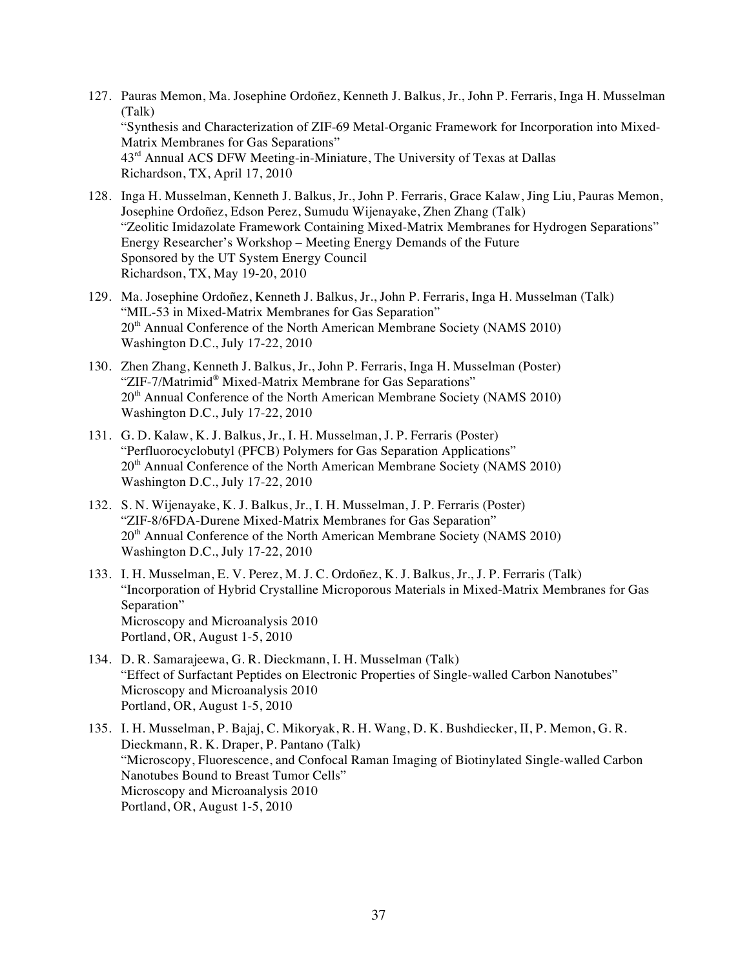- 127. Pauras Memon, Ma. Josephine Ordoñez, Kenneth J. Balkus, Jr., John P. Ferraris, Inga H. Musselman (Talk) "Synthesis and Characterization of ZIF-69 Metal-Organic Framework for Incorporation into Mixed-Matrix Membranes for Gas Separations" 43rd Annual ACS DFW Meeting-in-Miniature, The University of Texas at Dallas Richardson, TX, April 17, 2010
- 128. Inga H. Musselman, Kenneth J. Balkus, Jr., John P. Ferraris, Grace Kalaw, Jing Liu, Pauras Memon, Josephine Ordoñez, Edson Perez, Sumudu Wijenayake, Zhen Zhang (Talk) "Zeolitic Imidazolate Framework Containing Mixed-Matrix Membranes for Hydrogen Separations" Energy Researcher's Workshop – Meeting Energy Demands of the Future Sponsored by the UT System Energy Council Richardson, TX, May 19-20, 2010
- 129. Ma. Josephine Ordoñez, Kenneth J. Balkus, Jr., John P. Ferraris, Inga H. Musselman (Talk) "MIL-53 in Mixed-Matrix Membranes for Gas Separation" 20<sup>th</sup> Annual Conference of the North American Membrane Society (NAMS 2010) Washington D.C., July 17-22, 2010
- 130. Zhen Zhang, Kenneth J. Balkus, Jr., John P. Ferraris, Inga H. Musselman (Poster) "ZIF-7/Matrimid® Mixed-Matrix Membrane for Gas Separations" 20<sup>th</sup> Annual Conference of the North American Membrane Society (NAMS 2010) Washington D.C., July 17-22, 2010
- 131. G. D. Kalaw, K. J. Balkus, Jr., I. H. Musselman, J. P. Ferraris (Poster) "Perfluorocyclobutyl (PFCB) Polymers for Gas Separation Applications" 20<sup>th</sup> Annual Conference of the North American Membrane Society (NAMS 2010) Washington D.C., July 17-22, 2010
- 132. S. N. Wijenayake, K. J. Balkus, Jr., I. H. Musselman, J. P. Ferraris (Poster) "ZIF-8/6FDA-Durene Mixed-Matrix Membranes for Gas Separation" 20<sup>th</sup> Annual Conference of the North American Membrane Society (NAMS 2010) Washington D.C., July 17-22, 2010
- 133. I. H. Musselman, E. V. Perez, M. J. C. Ordoñez, K. J. Balkus, Jr., J. P. Ferraris (Talk) "Incorporation of Hybrid Crystalline Microporous Materials in Mixed-Matrix Membranes for Gas Separation" Microscopy and Microanalysis 2010 Portland, OR, August 1-5, 2010
- 134. D. R. Samarajeewa, G. R. Dieckmann, I. H. Musselman (Talk) "Effect of Surfactant Peptides on Electronic Properties of Single-walled Carbon Nanotubes" Microscopy and Microanalysis 2010 Portland, OR, August 1-5, 2010
- 135. I. H. Musselman, P. Bajaj, C. Mikoryak, R. H. Wang, D. K. Bushdiecker, II, P. Memon, G. R. Dieckmann, R. K. Draper, P. Pantano (Talk) "Microscopy, Fluorescence, and Confocal Raman Imaging of Biotinylated Single-walled Carbon Nanotubes Bound to Breast Tumor Cells" Microscopy and Microanalysis 2010 Portland, OR, August 1-5, 2010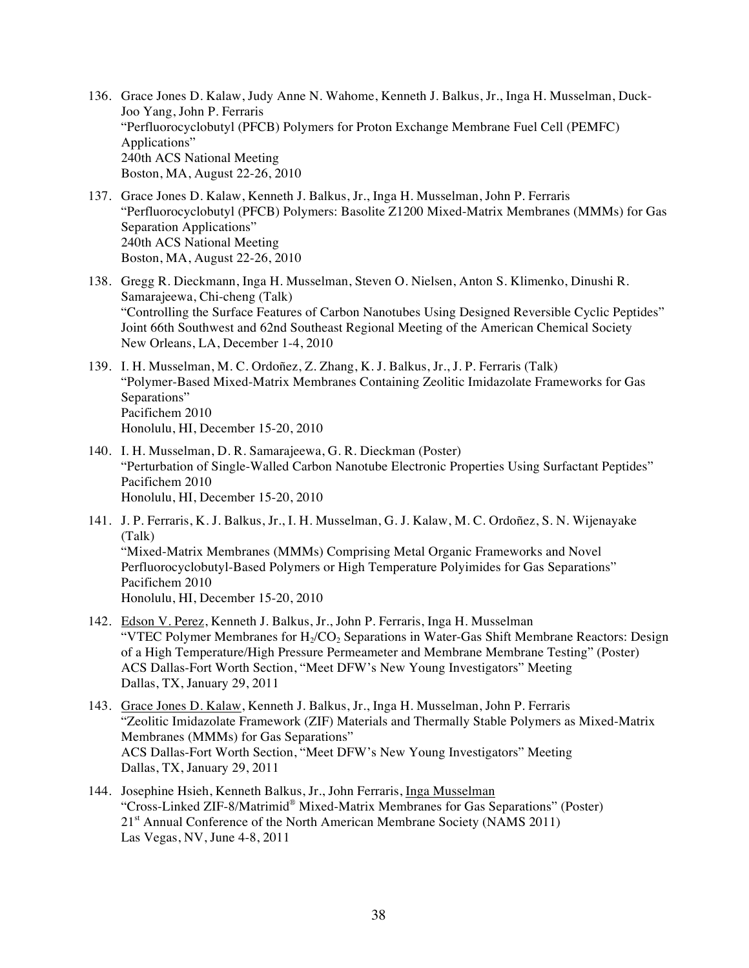- 136. Grace Jones D. Kalaw, Judy Anne N. Wahome, Kenneth J. Balkus, Jr., Inga H. Musselman, Duck-Joo Yang, John P. Ferraris "Perfluorocyclobutyl (PFCB) Polymers for Proton Exchange Membrane Fuel Cell (PEMFC) Applications" 240th ACS National Meeting Boston, MA, August 22-26, 2010
- 137. Grace Jones D. Kalaw, Kenneth J. Balkus, Jr., Inga H. Musselman, John P. Ferraris "Perfluorocyclobutyl (PFCB) Polymers: Basolite Z1200 Mixed-Matrix Membranes (MMMs) for Gas Separation Applications" 240th ACS National Meeting Boston, MA, August 22-26, 2010
- 138. Gregg R. Dieckmann, Inga H. Musselman, Steven O. Nielsen, Anton S. Klimenko, Dinushi R. Samarajeewa, Chi-cheng (Talk) "Controlling the Surface Features of Carbon Nanotubes Using Designed Reversible Cyclic Peptides" Joint 66th Southwest and 62nd Southeast Regional Meeting of the American Chemical Society New Orleans, LA, December 1-4, 2010
- 139. I. H. Musselman, M. C. Ordoñez, Z. Zhang, K. J. Balkus, Jr., J. P. Ferraris (Talk) "Polymer-Based Mixed-Matrix Membranes Containing Zeolitic Imidazolate Frameworks for Gas Separations" Pacifichem 2010 Honolulu, HI, December 15-20, 2010
- 140. I. H. Musselman, D. R. Samarajeewa, G. R. Dieckman (Poster) "Perturbation of Single-Walled Carbon Nanotube Electronic Properties Using Surfactant Peptides" Pacifichem 2010 Honolulu, HI, December 15-20, 2010
- 141. J. P. Ferraris, K. J. Balkus, Jr., I. H. Musselman, G. J. Kalaw, M. C. Ordoñez, S. N. Wijenayake (Talk) "Mixed-Matrix Membranes (MMMs) Comprising Metal Organic Frameworks and Novel Perfluorocyclobutyl-Based Polymers or High Temperature Polyimides for Gas Separations" Pacifichem 2010 Honolulu, HI, December 15-20, 2010
- 142. Edson V. Perez, Kenneth J. Balkus, Jr., John P. Ferraris, Inga H. Musselman "VTEC Polymer Membranes for  $H<sub>2</sub>/CO<sub>2</sub>$  Separations in Water-Gas Shift Membrane Reactors: Design of a High Temperature/High Pressure Permeameter and Membrane Membrane Testing" (Poster) ACS Dallas-Fort Worth Section, "Meet DFW's New Young Investigators" Meeting Dallas, TX, January 29, 2011
- 143. Grace Jones D. Kalaw, Kenneth J. Balkus, Jr., Inga H. Musselman, John P. Ferraris "Zeolitic Imidazolate Framework (ZIF) Materials and Thermally Stable Polymers as Mixed-Matrix Membranes (MMMs) for Gas Separations" ACS Dallas-Fort Worth Section, "Meet DFW's New Young Investigators" Meeting Dallas, TX, January 29, 2011
- 144. Josephine Hsieh, Kenneth Balkus, Jr., John Ferraris, Inga Musselman "Cross-Linked ZIF-8/Matrimid® Mixed-Matrix Membranes for Gas Separations" (Poster) 21<sup>st</sup> Annual Conference of the North American Membrane Society (NAMS 2011) Las Vegas, NV, June 4-8, 2011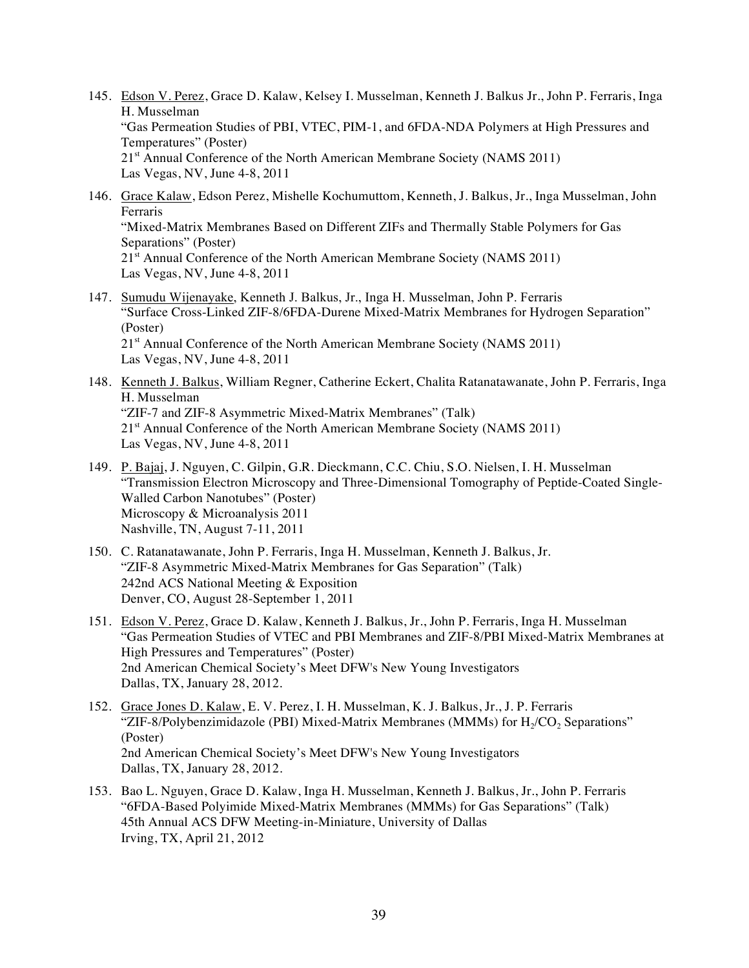- 145. Edson V. Perez, Grace D. Kalaw, Kelsey I. Musselman, Kenneth J. Balkus Jr., John P. Ferraris, Inga H. Musselman "Gas Permeation Studies of PBI, VTEC, PIM-1, and 6FDA-NDA Polymers at High Pressures and Temperatures" (Poster) 21<sup>st</sup> Annual Conference of the North American Membrane Society (NAMS 2011) Las Vegas, NV, June 4-8, 2011
- 146. Grace Kalaw, Edson Perez, Mishelle Kochumuttom, Kenneth, J. Balkus, Jr., Inga Musselman, John Ferraris "Mixed-Matrix Membranes Based on Different ZIFs and Thermally Stable Polymers for Gas Separations" (Poster) 21<sup>st</sup> Annual Conference of the North American Membrane Society (NAMS 2011) Las Vegas, NV, June 4-8, 2011
- 147. Sumudu Wijenayake, Kenneth J. Balkus, Jr., Inga H. Musselman, John P. Ferraris "Surface Cross-Linked ZIF-8/6FDA-Durene Mixed-Matrix Membranes for Hydrogen Separation" (Poster) 21<sup>st</sup> Annual Conference of the North American Membrane Society (NAMS 2011) Las Vegas, NV, June 4-8, 2011
- 148. Kenneth J. Balkus, William Regner, Catherine Eckert, Chalita Ratanatawanate, John P. Ferraris, Inga H. Musselman "ZIF-7 and ZIF-8 Asymmetric Mixed-Matrix Membranes" (Talk) 21<sup>st</sup> Annual Conference of the North American Membrane Society (NAMS 2011) Las Vegas, NV, June 4-8, 2011
- 149. P. Bajaj, J. Nguyen, C. Gilpin, G.R. Dieckmann, C.C. Chiu, S.O. Nielsen, I. H. Musselman "Transmission Electron Microscopy and Three-Dimensional Tomography of Peptide-Coated Single-Walled Carbon Nanotubes" (Poster) Microscopy & Microanalysis 2011 Nashville, TN, August 7-11, 2011
- 150. C. Ratanatawanate, John P. Ferraris, Inga H. Musselman, Kenneth J. Balkus, Jr. "ZIF-8 Asymmetric Mixed-Matrix Membranes for Gas Separation" (Talk) 242nd ACS National Meeting & Exposition Denver, CO, August 28-September 1, 2011
- 151. Edson V. Perez, Grace D. Kalaw, Kenneth J. Balkus, Jr., John P. Ferraris, Inga H. Musselman "Gas Permeation Studies of VTEC and PBI Membranes and ZIF-8/PBI Mixed-Matrix Membranes at High Pressures and Temperatures" (Poster) 2nd American Chemical Society's Meet DFW's New Young Investigators Dallas, TX, January 28, 2012.
- 152. Grace Jones D. Kalaw, E. V. Perez, I. H. Musselman, K. J. Balkus, Jr., J. P. Ferraris "ZIF-8/Polybenzimidazole (PBI) Mixed-Matrix Membranes (MMMs) for H<sub>2</sub>/CO<sub>2</sub> Separations" (Poster) 2nd American Chemical Society's Meet DFW's New Young Investigators Dallas, TX, January 28, 2012.
- 153. Bao L. Nguyen, Grace D. Kalaw, Inga H. Musselman, Kenneth J. Balkus, Jr., John P. Ferraris "6FDA-Based Polyimide Mixed-Matrix Membranes (MMMs) for Gas Separations" (Talk) 45th Annual ACS DFW Meeting-in-Miniature, University of Dallas Irving, TX, April 21, 2012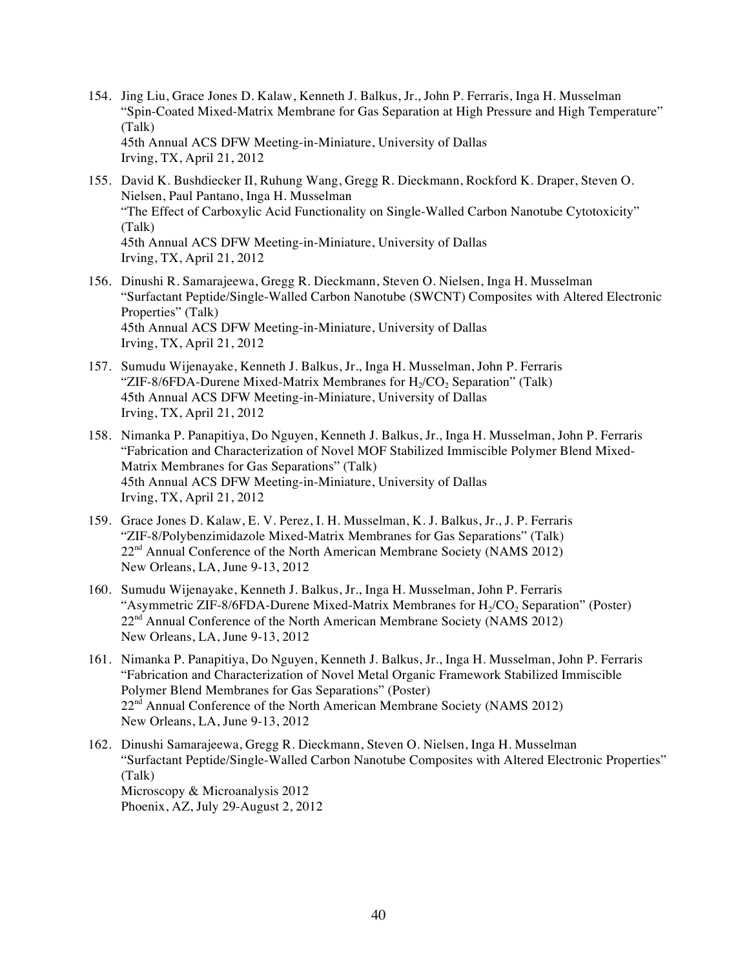- 154. Jing Liu, Grace Jones D. Kalaw, Kenneth J. Balkus, Jr., John P. Ferraris, Inga H. Musselman "Spin-Coated Mixed-Matrix Membrane for Gas Separation at High Pressure and High Temperature" (Talk) 45th Annual ACS DFW Meeting-in-Miniature, University of Dallas Irving, TX, April 21, 2012
- 155. David K. Bushdiecker II, Ruhung Wang, Gregg R. Dieckmann, Rockford K. Draper, Steven O. Nielsen, Paul Pantano, Inga H. Musselman "The Effect of Carboxylic Acid Functionality on Single-Walled Carbon Nanotube Cytotoxicity" (Talk) 45th Annual ACS DFW Meeting-in-Miniature, University of Dallas Irving, TX, April 21, 2012
- 156. Dinushi R. Samarajeewa, Gregg R. Dieckmann, Steven O. Nielsen, Inga H. Musselman "Surfactant Peptide/Single-Walled Carbon Nanotube (SWCNT) Composites with Altered Electronic Properties" (Talk) 45th Annual ACS DFW Meeting-in-Miniature, University of Dallas Irving, TX, April 21, 2012
- 157. Sumudu Wijenayake, Kenneth J. Balkus, Jr., Inga H. Musselman, John P. Ferraris "ZIF-8/6FDA-Durene Mixed-Matrix Membranes for  $H_2/CO_2$  Separation" (Talk) 45th Annual ACS DFW Meeting-in-Miniature, University of Dallas Irving, TX, April 21, 2012
- 158. Nimanka P. Panapitiya, Do Nguyen, Kenneth J. Balkus, Jr., Inga H. Musselman, John P. Ferraris "Fabrication and Characterization of Novel MOF Stabilized Immiscible Polymer Blend Mixed-Matrix Membranes for Gas Separations" (Talk) 45th Annual ACS DFW Meeting-in-Miniature, University of Dallas Irving, TX, April 21, 2012
- 159. Grace Jones D. Kalaw, E. V. Perez, I. H. Musselman, K. J. Balkus, Jr., J. P. Ferraris "ZIF-8/Polybenzimidazole Mixed-Matrix Membranes for Gas Separations" (Talk)  $22<sup>nd</sup>$  Annual Conference of the North American Membrane Society (NAMS 2012) New Orleans, LA, June 9-13, 2012
- 160. Sumudu Wijenayake, Kenneth J. Balkus, Jr., Inga H. Musselman, John P. Ferraris "Asymmetric ZIF-8/6FDA-Durene Mixed-Matrix Membranes for  $H_2/CO_2$  Separation" (Poster) 22<sup>nd</sup> Annual Conference of the North American Membrane Society (NAMS 2012) New Orleans, LA, June 9-13, 2012
- 161. Nimanka P. Panapitiya, Do Nguyen, Kenneth J. Balkus, Jr., Inga H. Musselman, John P. Ferraris "Fabrication and Characterization of Novel Metal Organic Framework Stabilized Immiscible Polymer Blend Membranes for Gas Separations" (Poster) 22<sup>nd</sup> Annual Conference of the North American Membrane Society (NAMS 2012) New Orleans, LA, June 9-13, 2012
- 162. Dinushi Samarajeewa, Gregg R. Dieckmann, Steven O. Nielsen, Inga H. Musselman "Surfactant Peptide/Single-Walled Carbon Nanotube Composites with Altered Electronic Properties" (Talk) Microscopy & Microanalysis 2012 Phoenix, AZ, July 29-August 2, 2012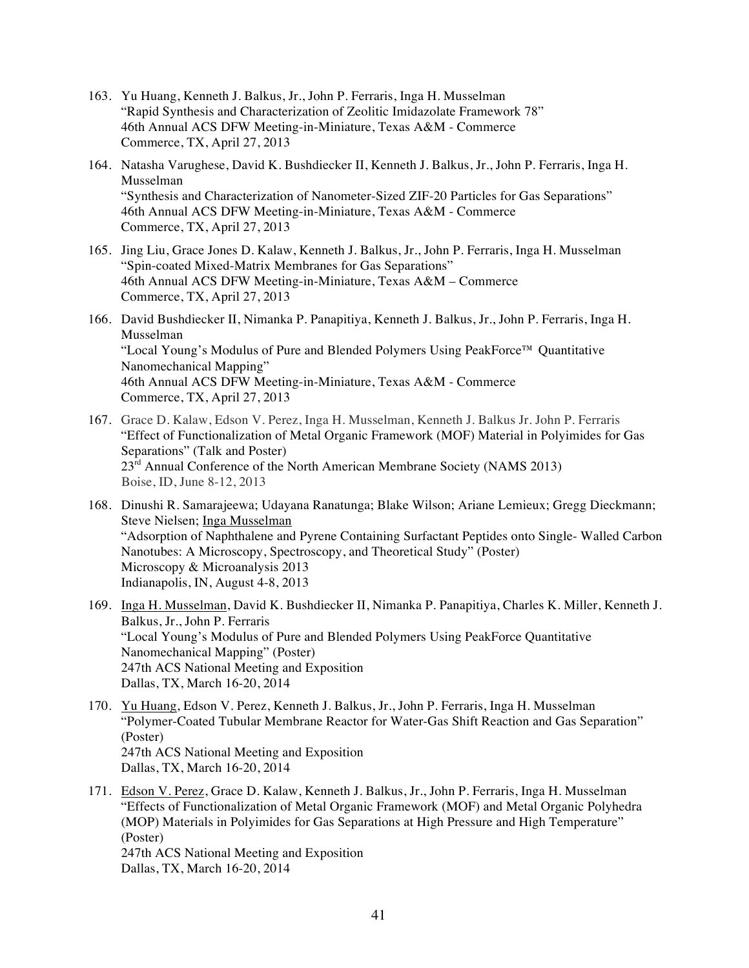- 163. Yu Huang, Kenneth J. Balkus, Jr., John P. Ferraris, Inga H. Musselman "Rapid Synthesis and Characterization of Zeolitic Imidazolate Framework 78" 46th Annual ACS DFW Meeting-in-Miniature, Texas A&M - Commerce Commerce, TX, April 27, 2013
- 164. Natasha Varughese, David K. Bushdiecker II, Kenneth J. Balkus, Jr., John P. Ferraris, Inga H. Musselman "Synthesis and Characterization of Nanometer-Sized ZIF-20 Particles for Gas Separations" 46th Annual ACS DFW Meeting-in-Miniature, Texas A&M - Commerce Commerce, TX, April 27, 2013
- 165. Jing Liu, Grace Jones D. Kalaw, Kenneth J. Balkus, Jr., John P. Ferraris, Inga H. Musselman "Spin-coated Mixed-Matrix Membranes for Gas Separations" 46th Annual ACS DFW Meeting-in-Miniature, Texas A&M – Commerce Commerce, TX, April 27, 2013
- 166. David Bushdiecker II, Nimanka P. Panapitiya, Kenneth J. Balkus, Jr., John P. Ferraris, Inga H. Musselman "Local Young's Modulus of Pure and Blended Polymers Using PeakForce™ Quantitative Nanomechanical Mapping" 46th Annual ACS DFW Meeting-in-Miniature, Texas A&M - Commerce Commerce, TX, April 27, 2013
- 167. Grace D. Kalaw, Edson V. Perez, Inga H. Musselman, Kenneth J. Balkus Jr. John P. Ferraris "Effect of Functionalization of Metal Organic Framework (MOF) Material in Polyimides for Gas Separations" (Talk and Poster) 23<sup>rd</sup> Annual Conference of the North American Membrane Society (NAMS 2013) Boise, ID, June 8-12, 2013
- 168. Dinushi R. Samarajeewa; Udayana Ranatunga; Blake Wilson; Ariane Lemieux; Gregg Dieckmann; Steve Nielsen; Inga Musselman "Adsorption of Naphthalene and Pyrene Containing Surfactant Peptides onto Single- Walled Carbon Nanotubes: A Microscopy, Spectroscopy, and Theoretical Study" (Poster) Microscopy & Microanalysis 2013 Indianapolis, IN, August 4-8, 2013
- 169. Inga H. Musselman, David K. Bushdiecker II, Nimanka P. Panapitiya, Charles K. Miller, Kenneth J. Balkus, Jr., John P. Ferraris "Local Young's Modulus of Pure and Blended Polymers Using PeakForce Quantitative Nanomechanical Mapping" (Poster) 247th ACS National Meeting and Exposition Dallas, TX, March 16-20, 2014
- 170. Yu Huang, Edson V. Perez, Kenneth J. Balkus, Jr., John P. Ferraris, Inga H. Musselman "Polymer-Coated Tubular Membrane Reactor for Water-Gas Shift Reaction and Gas Separation" (Poster) 247th ACS National Meeting and Exposition Dallas, TX, March 16-20, 2014
- 171. Edson V. Perez, Grace D. Kalaw, Kenneth J. Balkus, Jr., John P. Ferraris, Inga H. Musselman "Effects of Functionalization of Metal Organic Framework (MOF) and Metal Organic Polyhedra (MOP) Materials in Polyimides for Gas Separations at High Pressure and High Temperature" (Poster) 247th ACS National Meeting and Exposition Dallas, TX, March 16-20, 2014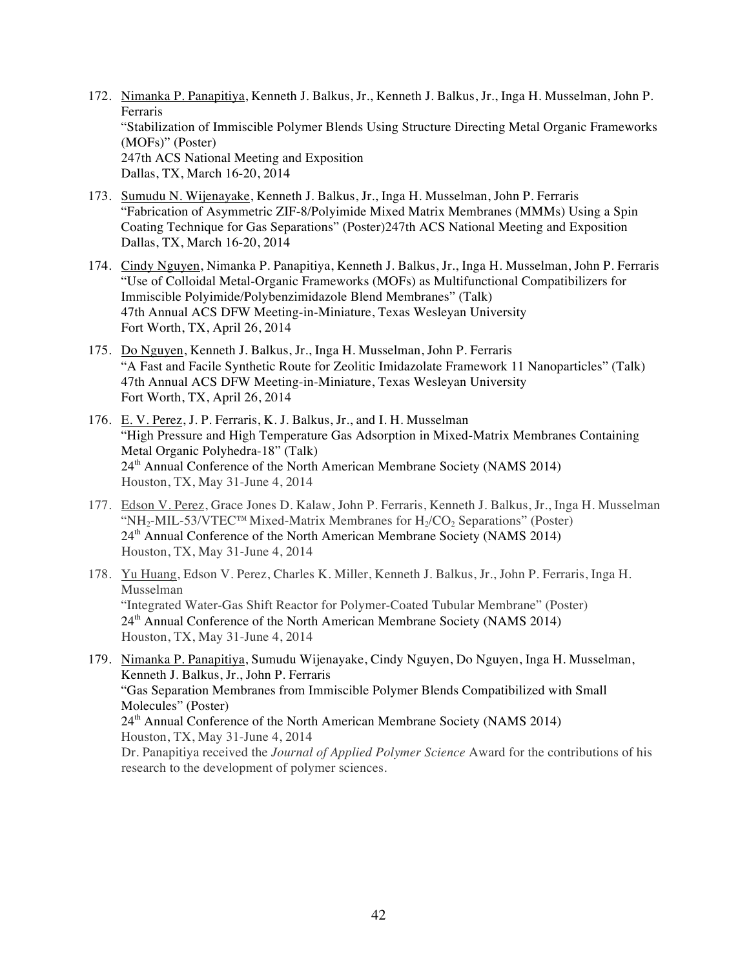- 172. Nimanka P. Panapitiya, Kenneth J. Balkus, Jr., Kenneth J. Balkus, Jr., Inga H. Musselman, John P. Ferraris "Stabilization of Immiscible Polymer Blends Using Structure Directing Metal Organic Frameworks (MOFs)" (Poster) 247th ACS National Meeting and Exposition Dallas, TX, March 16-20, 2014
- 173. Sumudu N. Wijenayake, Kenneth J. Balkus, Jr., Inga H. Musselman, John P. Ferraris "Fabrication of Asymmetric ZIF-8/Polyimide Mixed Matrix Membranes (MMMs) Using a Spin Coating Technique for Gas Separations" (Poster)247th ACS National Meeting and Exposition Dallas, TX, March 16-20, 2014
- 174. Cindy Nguyen, Nimanka P. Panapitiya, Kenneth J. Balkus, Jr., Inga H. Musselman, John P. Ferraris "Use of Colloidal Metal-Organic Frameworks (MOFs) as Multifunctional Compatibilizers for Immiscible Polyimide/Polybenzimidazole Blend Membranes" (Talk) 47th Annual ACS DFW Meeting-in-Miniature, Texas Wesleyan University Fort Worth, TX, April 26, 2014
- 175. Do Nguyen, Kenneth J. Balkus, Jr., Inga H. Musselman, John P. Ferraris "A Fast and Facile Synthetic Route for Zeolitic Imidazolate Framework 11 Nanoparticles" (Talk) 47th Annual ACS DFW Meeting-in-Miniature, Texas Wesleyan University Fort Worth, TX, April 26, 2014
- 176. E. V. Perez, J. P. Ferraris, K. J. Balkus, Jr., and I. H. Musselman "High Pressure and High Temperature Gas Adsorption in Mixed-Matrix Membranes Containing Metal Organic Polyhedra-18" (Talk) 24<sup>th</sup> Annual Conference of the North American Membrane Society (NAMS 2014) Houston, TX, May 31-June 4, 2014
- 177. Edson V. Perez, Grace Jones D. Kalaw, John P. Ferraris, Kenneth J. Balkus, Jr., Inga H. Musselman "NH<sub>2</sub>-MIL-53/VTEC<sup>™</sup>Mixed-Matrix Membranes for H<sub>2</sub>/CO<sub>2</sub> Separations" (Poster) 24<sup>th</sup> Annual Conference of the North American Membrane Society (NAMS 2014) Houston, TX, May 31-June 4, 2014
- 178. Yu Huang, Edson V. Perez, Charles K. Miller, Kenneth J. Balkus, Jr., John P. Ferraris, Inga H. Musselman "Integrated Water-Gas Shift Reactor for Polymer-Coated Tubular Membrane" (Poster) 24<sup>th</sup> Annual Conference of the North American Membrane Society (NAMS 2014) Houston, TX, May 31-June 4, 2014
- 179. Nimanka P. Panapitiya, Sumudu Wijenayake, Cindy Nguyen, Do Nguyen, Inga H. Musselman, Kenneth J. Balkus, Jr., John P. Ferraris "Gas Separation Membranes from Immiscible Polymer Blends Compatibilized with Small Molecules" (Poster) 24<sup>th</sup> Annual Conference of the North American Membrane Society (NAMS 2014) Houston, TX, May 31-June 4, 2014 Dr. Panapitiya received the *Journal of Applied Polymer Science* Award for the contributions of his research to the development of polymer sciences.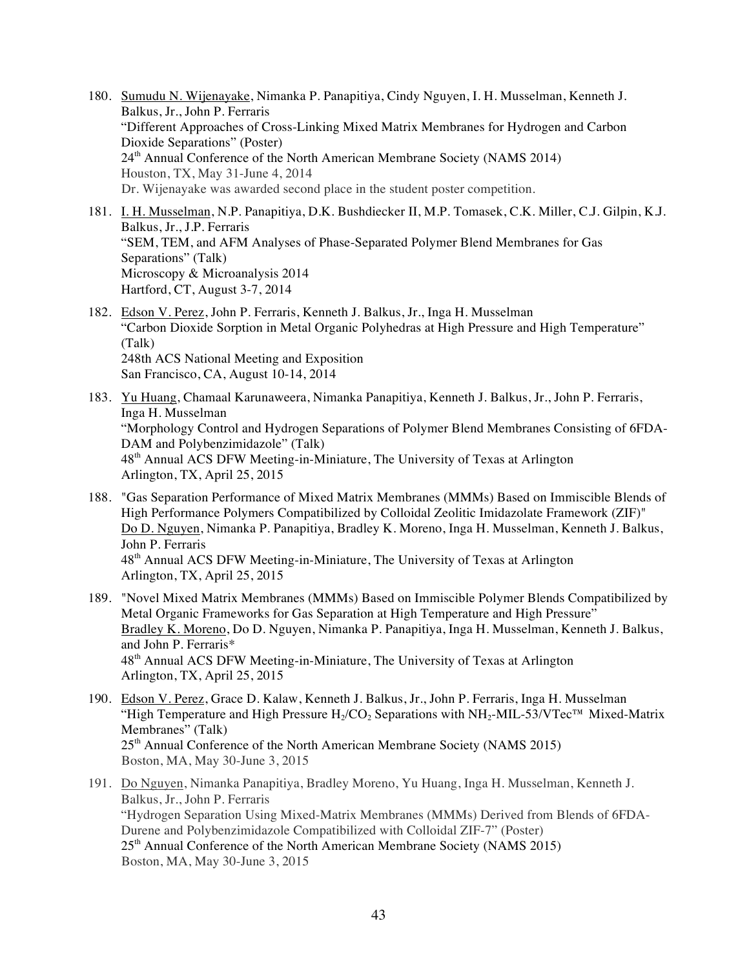- 180. Sumudu N. Wijenayake, Nimanka P. Panapitiya, Cindy Nguyen, I. H. Musselman, Kenneth J. Balkus, Jr., John P. Ferraris "Different Approaches of Cross-Linking Mixed Matrix Membranes for Hydrogen and Carbon Dioxide Separations" (Poster) 24th Annual Conference of the North American Membrane Society (NAMS 2014) Houston, TX, May 31-June 4, 2014 Dr. Wijenayake was awarded second place in the student poster competition.
- 181. I. H. Musselman, N.P. Panapitiya, D.K. Bushdiecker II, M.P. Tomasek, C.K. Miller, C.J. Gilpin, K.J. Balkus, Jr., J.P. Ferraris "SEM, TEM, and AFM Analyses of Phase-Separated Polymer Blend Membranes for Gas Separations" (Talk) Microscopy & Microanalysis 2014 Hartford, CT, August 3-7, 2014
- 182. Edson V. Perez, John P. Ferraris, Kenneth J. Balkus, Jr., Inga H. Musselman "Carbon Dioxide Sorption in Metal Organic Polyhedras at High Pressure and High Temperature" (Talk) 248th ACS National Meeting and Exposition San Francisco, CA, August 10-14, 2014
- 183. Yu Huang, Chamaal Karunaweera, Nimanka Panapitiya, Kenneth J. Balkus, Jr., John P. Ferraris, Inga H. Musselman "Morphology Control and Hydrogen Separations of Polymer Blend Membranes Consisting of 6FDA-DAM and Polybenzimidazole" (Talk) 48th Annual ACS DFW Meeting-in-Miniature, The University of Texas at Arlington Arlington, TX, April 25, 2015
- 188. "Gas Separation Performance of Mixed Matrix Membranes (MMMs) Based on Immiscible Blends of High Performance Polymers Compatibilized by Colloidal Zeolitic Imidazolate Framework (ZIF)" Do D. Nguyen, Nimanka P. Panapitiya, Bradley K. Moreno, Inga H. Musselman, Kenneth J. Balkus, John P. Ferraris 48th Annual ACS DFW Meeting-in-Miniature, The University of Texas at Arlington Arlington, TX, April 25, 2015
- 189. "Novel Mixed Matrix Membranes (MMMs) Based on Immiscible Polymer Blends Compatibilized by Metal Organic Frameworks for Gas Separation at High Temperature and High Pressure" Bradley K. Moreno, Do D. Nguyen, Nimanka P. Panapitiya, Inga H. Musselman, Kenneth J. Balkus, and John P. Ferraris\* 48th Annual ACS DFW Meeting-in-Miniature, The University of Texas at Arlington Arlington, TX, April 25, 2015
- 190. Edson V. Perez, Grace D. Kalaw, Kenneth J. Balkus, Jr., John P. Ferraris, Inga H. Musselman "High Temperature and High Pressure  $H_2/CO_2$  Separations with NH<sub>2</sub>-MIL-53/VTec<sup>TM</sup> Mixed-Matrix Membranes" (Talk) 25<sup>th</sup> Annual Conference of the North American Membrane Society (NAMS 2015) Boston, MA, May 30-June 3, 2015
- 191. Do Nguyen, Nimanka Panapitiya, Bradley Moreno, Yu Huang, Inga H. Musselman, Kenneth J. Balkus, Jr., John P. Ferraris "Hydrogen Separation Using Mixed-Matrix Membranes (MMMs) Derived from Blends of 6FDA-Durene and Polybenzimidazole Compatibilized with Colloidal ZIF-7" (Poster)  $25<sup>th</sup>$  Annual Conference of the North American Membrane Society (NAMS 2015) Boston, MA, May 30-June 3, 2015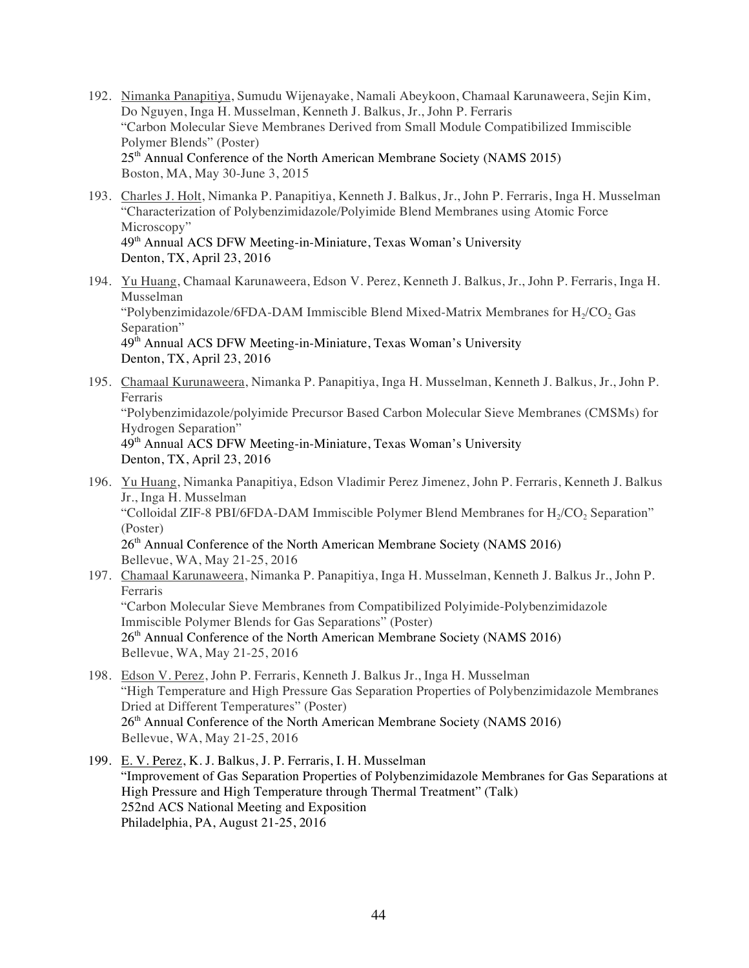- 192. Nimanka Panapitiya, Sumudu Wijenayake, Namali Abeykoon, Chamaal Karunaweera, Sejin Kim, Do Nguyen, Inga H. Musselman, Kenneth J. Balkus, Jr., John P. Ferraris "Carbon Molecular Sieve Membranes Derived from Small Module Compatibilized Immiscible Polymer Blends" (Poster) 25<sup>th</sup> Annual Conference of the North American Membrane Society (NAMS 2015) Boston, MA, May 30-June 3, 2015
- 193. Charles J. Holt, Nimanka P. Panapitiya, Kenneth J. Balkus, Jr., John P. Ferraris, Inga H. Musselman "Characterization of Polybenzimidazole/Polyimide Blend Membranes using Atomic Force Microscopy" 49<sup>th</sup> Annual ACS DFW Meeting-in-Miniature, Texas Woman's University
	- Denton, TX, April 23, 2016
- 194. Yu Huang, Chamaal Karunaweera, Edson V. Perez, Kenneth J. Balkus, Jr., John P. Ferraris, Inga H. Musselman "Polybenzimidazole/6FDA-DAM Immiscible Blend Mixed-Matrix Membranes for  $H_2/CO$ , Gas Separation"  $49<sup>th</sup>$  Annual ACS DFW Meeting-in-Miniature, Texas Woman's University Denton, TX, April 23, 2016
- 195. Chamaal Kurunaweera, Nimanka P. Panapitiya, Inga H. Musselman, Kenneth J. Balkus, Jr., John P. Ferraris "Polybenzimidazole/polyimide Precursor Based Carbon Molecular Sieve Membranes (CMSMs) for Hydrogen Separation" 49<sup>th</sup> Annual ACS DFW Meeting-in-Miniature, Texas Woman's University Denton, TX, April 23, 2016
- 196. Yu Huang, Nimanka Panapitiya, Edson Vladimir Perez Jimenez, John P. Ferraris, Kenneth J. Balkus Jr., Inga H. Musselman "Colloidal ZIF-8 PBI/6FDA-DAM Immiscible Polymer Blend Membranes for H<sub>2</sub>/CO<sub>2</sub> Separation" (Poster) 26<sup>th</sup> Annual Conference of the North American Membrane Society (NAMS 2016) Bellevue, WA, May 21-25, 2016
- 197. Chamaal Karunaweera, Nimanka P. Panapitiya, Inga H. Musselman, Kenneth J. Balkus Jr., John P. Ferraris "Carbon Molecular Sieve Membranes from Compatibilized Polyimide-Polybenzimidazole Immiscible Polymer Blends for Gas Separations" (Poster) 26<sup>th</sup> Annual Conference of the North American Membrane Society (NAMS 2016) Bellevue, WA, May 21-25, 2016
- 198. Edson V. Perez, John P. Ferraris, Kenneth J. Balkus Jr., Inga H. Musselman "High Temperature and High Pressure Gas Separation Properties of Polybenzimidazole Membranes Dried at Different Temperatures" (Poster) 26<sup>th</sup> Annual Conference of the North American Membrane Society (NAMS 2016) Bellevue, WA, May 21-25, 2016
- 199. E. V. Perez, K. J. Balkus, J. P. Ferraris, I. H. Musselman "Improvement of Gas Separation Properties of Polybenzimidazole Membranes for Gas Separations at High Pressure and High Temperature through Thermal Treatment" (Talk) 252nd ACS National Meeting and Exposition Philadelphia, PA, August 21-25, 2016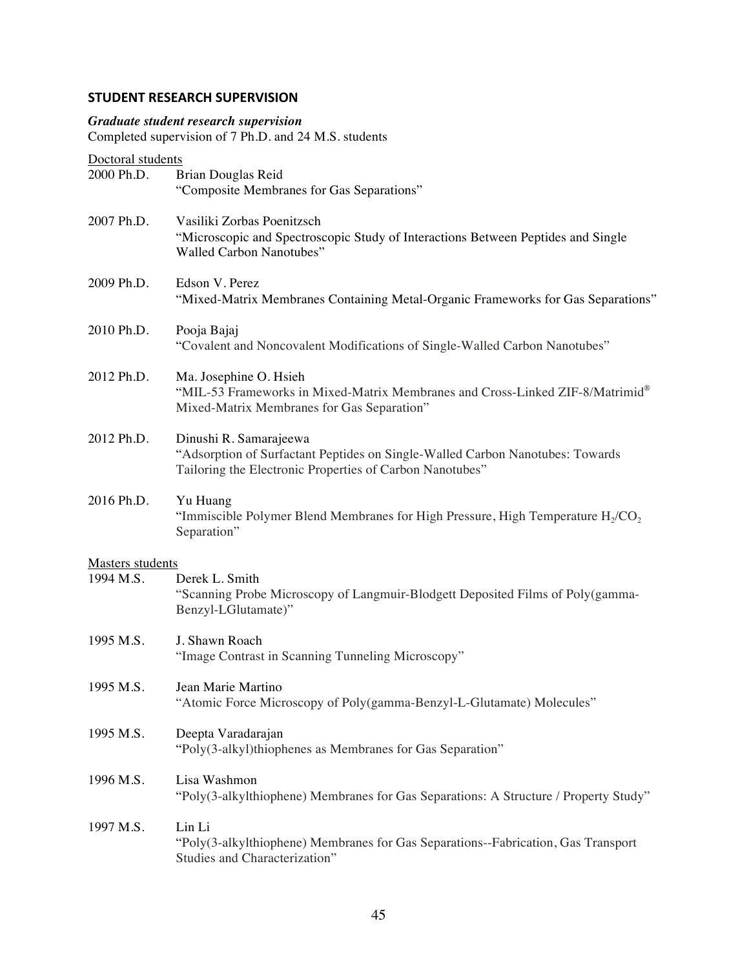# **STUDENT RESEARCH SUPERVISION**

# *Graduate student research supervision*

Completed supervision of 7 Ph.D. and 24 M.S. students

Doctoral students

| Doctorul stuuchts<br>2000 Ph.D.      | Brian Douglas Reid                                                                                                                                                  |
|--------------------------------------|---------------------------------------------------------------------------------------------------------------------------------------------------------------------|
|                                      | "Composite Membranes for Gas Separations"                                                                                                                           |
| 2007 Ph.D.                           | Vasiliki Zorbas Poenitzsch<br>"Microscopic and Spectroscopic Study of Interactions Between Peptides and Single<br>Walled Carbon Nanotubes"                          |
| 2009 Ph.D.                           | Edson V. Perez<br>"Mixed-Matrix Membranes Containing Metal-Organic Frameworks for Gas Separations"                                                                  |
| 2010 Ph.D.                           | Pooja Bajaj<br>"Covalent and Noncovalent Modifications of Single-Walled Carbon Nanotubes"                                                                           |
| 2012 Ph.D.                           | Ma. Josephine O. Hsieh<br>"MIL-53 Frameworks in Mixed-Matrix Membranes and Cross-Linked ZIF-8/Matrimid®<br>Mixed-Matrix Membranes for Gas Separation"               |
| 2012 Ph.D.                           | Dinushi R. Samarajeewa<br>"Adsorption of Surfactant Peptides on Single-Walled Carbon Nanotubes: Towards<br>Tailoring the Electronic Properties of Carbon Nanotubes" |
| 2016 Ph.D.                           | Yu Huang<br>"Immiscible Polymer Blend Membranes for High Pressure, High Temperature $H_2/CO_2$<br>Separation"                                                       |
|                                      |                                                                                                                                                                     |
| <b>Masters students</b><br>1994 M.S. | Derek L. Smith<br>"Scanning Probe Microscopy of Langmuir-Blodgett Deposited Films of Poly(gamma-<br>Benzyl-LGlutamate)"                                             |
| 1995 M.S.                            | J. Shawn Roach<br>"Image Contrast in Scanning Tunneling Microscopy"                                                                                                 |
| 1995 M.S.                            | Jean Marie Martino<br>"Atomic Force Microscopy of Poly(gamma-Benzyl-L-Glutamate) Molecules"                                                                         |
| 1995 M.S.                            | Deepta Varadarajan<br>"Poly(3-alkyl)thiophenes as Membranes for Gas Separation"                                                                                     |
| 1996 M.S.                            | Lisa Washmon<br>"Poly(3-alkylthiophene) Membranes for Gas Separations: A Structure / Property Study"                                                                |
| 1997 M.S.                            | Lin Li<br>"Poly(3-alkylthiophene) Membranes for Gas Separations--Fabrication, Gas Transport<br>Studies and Characterization"                                        |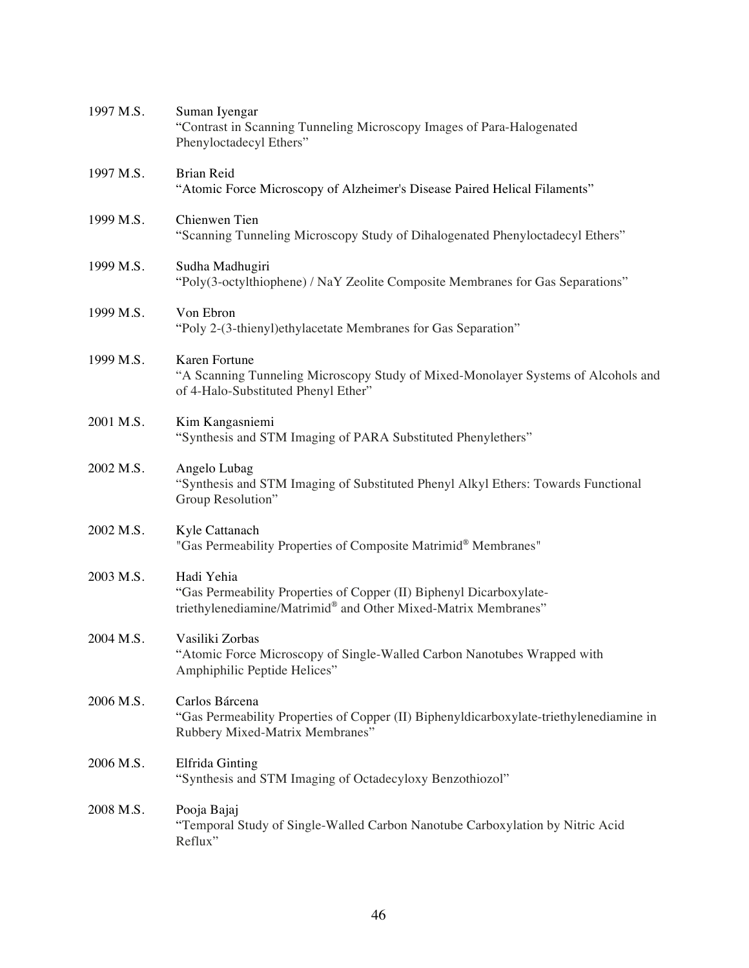| 1997 M.S. | Suman Iyengar<br>"Contrast in Scanning Tunneling Microscopy Images of Para-Halogenated<br>Phenyloctadecyl Ethers"                                   |
|-----------|-----------------------------------------------------------------------------------------------------------------------------------------------------|
| 1997 M.S. | <b>Brian Reid</b><br>"Atomic Force Microscopy of Alzheimer's Disease Paired Helical Filaments"                                                      |
| 1999 M.S. | Chienwen Tien<br>"Scanning Tunneling Microscopy Study of Dihalogenated Phenyloctadecyl Ethers"                                                      |
| 1999 M.S. | Sudha Madhugiri<br>"Poly(3-octylthiophene) / NaY Zeolite Composite Membranes for Gas Separations"                                                   |
| 1999 M.S. | Von Ebron<br>"Poly 2-(3-thienyl) ethylacetate Membranes for Gas Separation"                                                                         |
| 1999 M.S. | Karen Fortune<br>"A Scanning Tunneling Microscopy Study of Mixed-Monolayer Systems of Alcohols and<br>of 4-Halo-Substituted Phenyl Ether"           |
| 2001 M.S. | Kim Kangasniemi<br>"Synthesis and STM Imaging of PARA Substituted Phenylethers"                                                                     |
| 2002 M.S. | Angelo Lubag<br>"Synthesis and STM Imaging of Substituted Phenyl Alkyl Ethers: Towards Functional<br>Group Resolution"                              |
| 2002 M.S. | Kyle Cattanach<br>"Gas Permeability Properties of Composite Matrimid® Membranes"                                                                    |
| 2003 M.S. | Hadi Yehia<br>"Gas Permeability Properties of Copper (II) Biphenyl Dicarboxylate-<br>triethylenediamine/Matrimid® and Other Mixed-Matrix Membranes" |
| 2004 M.S. | Vasiliki Zorbas<br>"Atomic Force Microscopy of Single-Walled Carbon Nanotubes Wrapped with<br>Amphiphilic Peptide Helices"                          |
| 2006 M.S. | Carlos Bárcena<br>"Gas Permeability Properties of Copper (II) Biphenyldicarboxylate-triethylenediamine in<br>Rubbery Mixed-Matrix Membranes"        |
| 2006 M.S. | Elfrida Ginting<br>"Synthesis and STM Imaging of Octadecyloxy Benzothiozol"                                                                         |
| 2008 M.S. | Pooja Bajaj<br>"Temporal Study of Single-Walled Carbon Nanotube Carboxylation by Nitric Acid<br>Reflux"                                             |